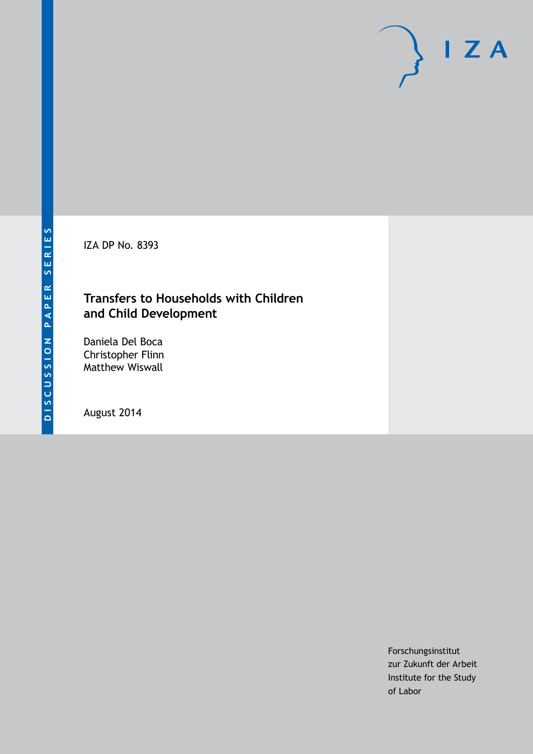IZA DP No. 8393

# **Transfers to Households with Children and Child Development**

Daniela Del Boca Christopher Flinn Matthew Wiswall

August 2014

Forschungsinstitut zur Zukunft der Arbeit Institute for the Study of Labor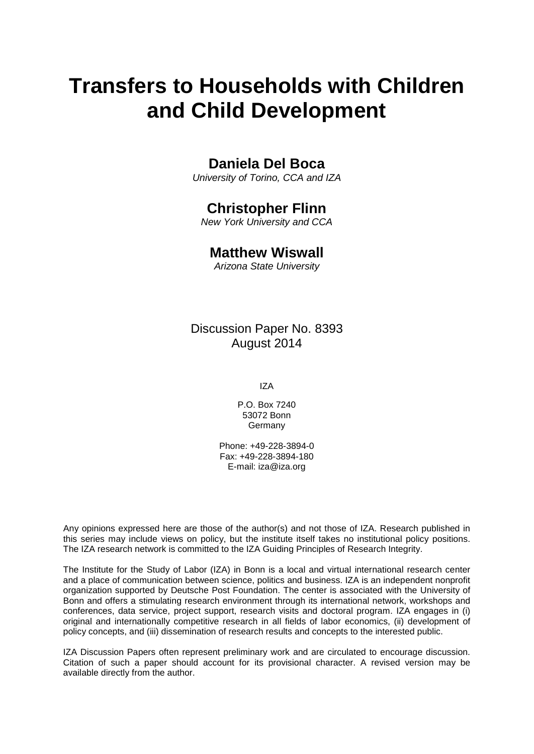# **Transfers to Households with Children and Child Development**

# **Daniela Del Boca**

*University of Torino, CCA and IZA*

# **Christopher Flinn**

*New York University and CCA*

# **Matthew Wiswall**

*Arizona State University*

Discussion Paper No. 8393 August 2014

IZA

P.O. Box 7240 53072 Bonn **Germany** 

Phone: +49-228-3894-0 Fax: +49-228-3894-180 E-mail: [iza@iza.org](mailto:iza@iza.org)

Any opinions expressed here are those of the author(s) and not those of IZA. Research published in this series may include views on policy, but the institute itself takes no institutional policy positions. The IZA research network is committed to the IZA Guiding Principles of Research Integrity.

The Institute for the Study of Labor (IZA) in Bonn is a local and virtual international research center and a place of communication between science, politics and business. IZA is an independent nonprofit organization supported by Deutsche Post Foundation. The center is associated with the University of Bonn and offers a stimulating research environment through its international network, workshops and conferences, data service, project support, research visits and doctoral program. IZA engages in (i) original and internationally competitive research in all fields of labor economics, (ii) development of policy concepts, and (iii) dissemination of research results and concepts to the interested public.

<span id="page-1-0"></span>IZA Discussion Papers often represent preliminary work and are circulated to encourage discussion. Citation of such a paper should account for its provisional character. A revised version may be available directly from the author.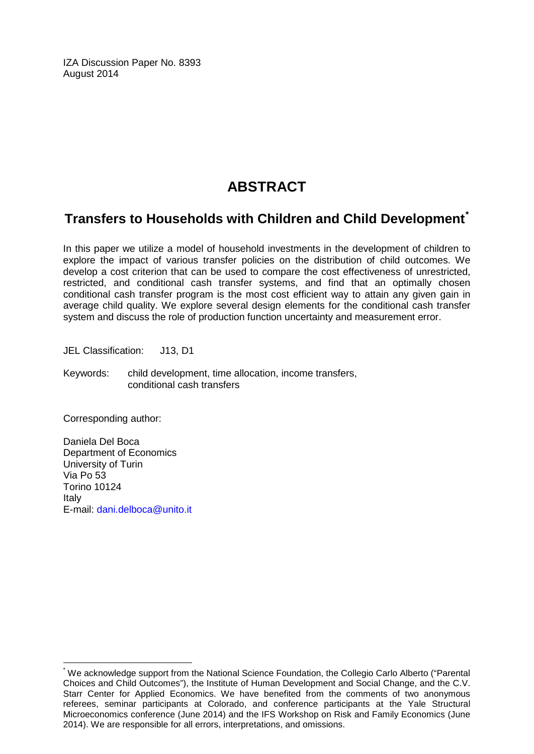IZA Discussion Paper No. 8393 August 2014

# **ABSTRACT**

# **Transfers to Households with Children and Child Development[\\*](#page-1-0)**

In this paper we utilize a model of household investments in the development of children to explore the impact of various transfer policies on the distribution of child outcomes. We develop a cost criterion that can be used to compare the cost effectiveness of unrestricted, restricted, and conditional cash transfer systems, and find that an optimally chosen conditional cash transfer program is the most cost efficient way to attain any given gain in average child quality. We explore several design elements for the conditional cash transfer system and discuss the role of production function uncertainty and measurement error.

JEL Classification: J13, D1

Keywords: child development, time allocation, income transfers, conditional cash transfers

Corresponding author:

Daniela Del Boca Department of Economics University of Turin Via Po 53 Torino 10124 Italy E-mail: [dani.delboca@unito.it](mailto:dani.delboca@unito.it)

\* We acknowledge support from the National Science Foundation, the Collegio Carlo Alberto ("Parental Choices and Child Outcomes"), the Institute of Human Development and Social Change, and the C.V. Starr Center for Applied Economics. We have benefited from the comments of two anonymous referees, seminar participants at Colorado, and conference participants at the Yale Structural Microeconomics conference (June 2014) and the IFS Workshop on Risk and Family Economics (June 2014). We are responsible for all errors, interpretations, and omissions.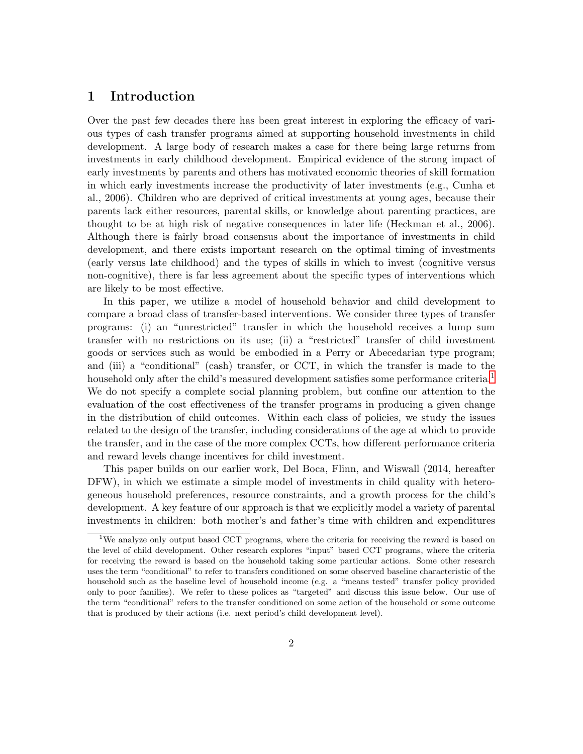### 1 Introduction

Over the past few decades there has been great interest in exploring the efficacy of various types of cash transfer programs aimed at supporting household investments in child development. A large body of research makes a case for there being large returns from investments in early childhood development. Empirical evidence of the strong impact of early investments by parents and others has motivated economic theories of skill formation in which early investments increase the productivity of later investments (e.g., Cunha et al., 2006). Children who are deprived of critical investments at young ages, because their parents lack either resources, parental skills, or knowledge about parenting practices, are thought to be at high risk of negative consequences in later life (Heckman et al., 2006). Although there is fairly broad consensus about the importance of investments in child development, and there exists important research on the optimal timing of investments (early versus late childhood) and the types of skills in which to invest (cognitive versus non-cognitive), there is far less agreement about the specific types of interventions which are likely to be most effective.

In this paper, we utilize a model of household behavior and child development to compare a broad class of transfer-based interventions. We consider three types of transfer programs: (i) an "unrestricted" transfer in which the household receives a lump sum transfer with no restrictions on its use; (ii) a "restricted" transfer of child investment goods or services such as would be embodied in a Perry or Abecedarian type program; and (iii) a "conditional" (cash) transfer, or CCT, in which the transfer is made to the household only after the child's measured development satisfies some performance criteria.<sup>[1](#page-3-0)</sup> We do not specify a complete social planning problem, but confine our attention to the evaluation of the cost effectiveness of the transfer programs in producing a given change in the distribution of child outcomes. Within each class of policies, we study the issues related to the design of the transfer, including considerations of the age at which to provide the transfer, and in the case of the more complex CCTs, how different performance criteria and reward levels change incentives for child investment.

This paper builds on our earlier work, Del Boca, Flinn, and Wiswall (2014, hereafter DFW), in which we estimate a simple model of investments in child quality with heterogeneous household preferences, resource constraints, and a growth process for the child's development. A key feature of our approach is that we explicitly model a variety of parental investments in children: both mother's and father's time with children and expenditures

<span id="page-3-0"></span><sup>&</sup>lt;sup>1</sup>We analyze only output based CCT programs, where the criteria for receiving the reward is based on the level of child development. Other research explores "input" based CCT programs, where the criteria for receiving the reward is based on the household taking some particular actions. Some other research uses the term "conditional" to refer to transfers conditioned on some observed baseline characteristic of the household such as the baseline level of household income (e.g. a "means tested" transfer policy provided only to poor families). We refer to these polices as "targeted" and discuss this issue below. Our use of the term "conditional" refers to the transfer conditioned on some action of the household or some outcome that is produced by their actions (i.e. next period's child development level).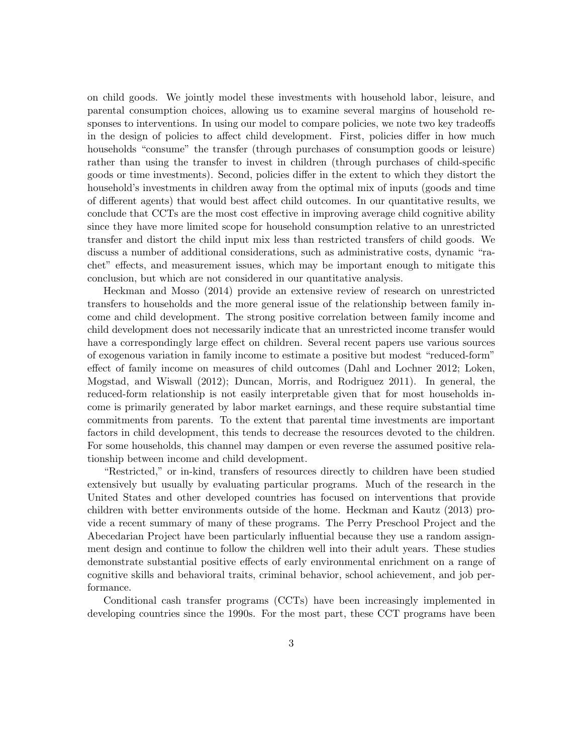on child goods. We jointly model these investments with household labor, leisure, and parental consumption choices, allowing us to examine several margins of household responses to interventions. In using our model to compare policies, we note two key tradeoffs in the design of policies to affect child development. First, policies differ in how much households "consume" the transfer (through purchases of consumption goods or leisure) rather than using the transfer to invest in children (through purchases of child-specific goods or time investments). Second, policies differ in the extent to which they distort the household's investments in children away from the optimal mix of inputs (goods and time of different agents) that would best affect child outcomes. In our quantitative results, we conclude that CCTs are the most cost effective in improving average child cognitive ability since they have more limited scope for household consumption relative to an unrestricted transfer and distort the child input mix less than restricted transfers of child goods. We discuss a number of additional considerations, such as administrative costs, dynamic "rachet" effects, and measurement issues, which may be important enough to mitigate this conclusion, but which are not considered in our quantitative analysis.

Heckman and Mosso (2014) provide an extensive review of research on unrestricted transfers to households and the more general issue of the relationship between family income and child development. The strong positive correlation between family income and child development does not necessarily indicate that an unrestricted income transfer would have a correspondingly large effect on children. Several recent papers use various sources of exogenous variation in family income to estimate a positive but modest "reduced-form" effect of family income on measures of child outcomes (Dahl and Lochner 2012; Loken, Mogstad, and Wiswall (2012); Duncan, Morris, and Rodriguez 2011). In general, the reduced-form relationship is not easily interpretable given that for most households income is primarily generated by labor market earnings, and these require substantial time commitments from parents. To the extent that parental time investments are important factors in child development, this tends to decrease the resources devoted to the children. For some households, this channel may dampen or even reverse the assumed positive relationship between income and child development.

"Restricted," or in-kind, transfers of resources directly to children have been studied extensively but usually by evaluating particular programs. Much of the research in the United States and other developed countries has focused on interventions that provide children with better environments outside of the home. Heckman and Kautz (2013) provide a recent summary of many of these programs. The Perry Preschool Project and the Abecedarian Project have been particularly influential because they use a random assignment design and continue to follow the children well into their adult years. These studies demonstrate substantial positive effects of early environmental enrichment on a range of cognitive skills and behavioral traits, criminal behavior, school achievement, and job performance.

Conditional cash transfer programs (CCTs) have been increasingly implemented in developing countries since the 1990s. For the most part, these CCT programs have been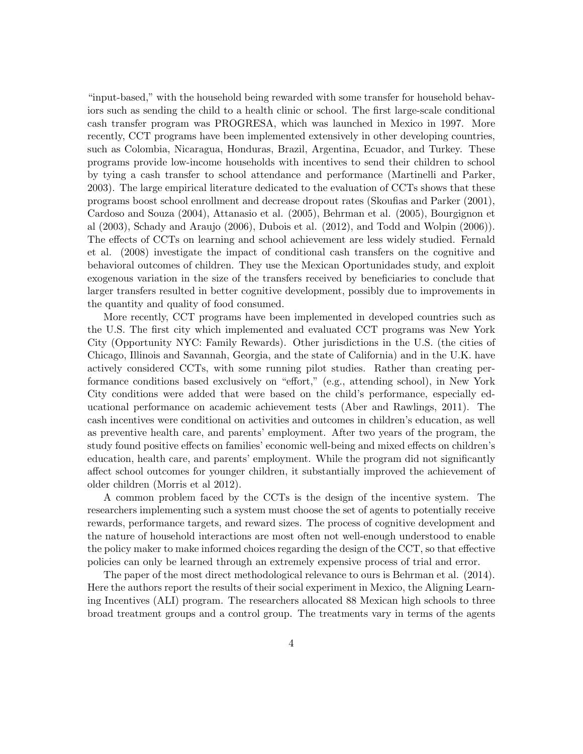"input-based," with the household being rewarded with some transfer for household behaviors such as sending the child to a health clinic or school. The first large-scale conditional cash transfer program was PROGRESA, which was launched in Mexico in 1997. More recently, CCT programs have been implemented extensively in other developing countries, such as Colombia, Nicaragua, Honduras, Brazil, Argentina, Ecuador, and Turkey. These programs provide low-income households with incentives to send their children to school by tying a cash transfer to school attendance and performance (Martinelli and Parker, 2003). The large empirical literature dedicated to the evaluation of CCTs shows that these programs boost school enrollment and decrease dropout rates (Skoufias and Parker (2001), Cardoso and Souza (2004), Attanasio et al. (2005), Behrman et al. (2005), Bourgignon et al (2003), Schady and Araujo (2006), Dubois et al. (2012), and Todd and Wolpin (2006)). The effects of CCTs on learning and school achievement are less widely studied. Fernald et al. (2008) investigate the impact of conditional cash transfers on the cognitive and behavioral outcomes of children. They use the Mexican Oportunidades study, and exploit exogenous variation in the size of the transfers received by beneficiaries to conclude that larger transfers resulted in better cognitive development, possibly due to improvements in the quantity and quality of food consumed.

More recently, CCT programs have been implemented in developed countries such as the U.S. The first city which implemented and evaluated CCT programs was New York City (Opportunity NYC: Family Rewards). Other jurisdictions in the U.S. (the cities of Chicago, Illinois and Savannah, Georgia, and the state of California) and in the U.K. have actively considered CCTs, with some running pilot studies. Rather than creating performance conditions based exclusively on "effort," (e.g., attending school), in New York City conditions were added that were based on the child's performance, especially educational performance on academic achievement tests (Aber and Rawlings, 2011). The cash incentives were conditional on activities and outcomes in children's education, as well as preventive health care, and parents' employment. After two years of the program, the study found positive effects on families' economic well-being and mixed effects on children's education, health care, and parents' employment. While the program did not significantly affect school outcomes for younger children, it substantially improved the achievement of older children (Morris et al 2012).

A common problem faced by the CCTs is the design of the incentive system. The researchers implementing such a system must choose the set of agents to potentially receive rewards, performance targets, and reward sizes. The process of cognitive development and the nature of household interactions are most often not well-enough understood to enable the policy maker to make informed choices regarding the design of the CCT, so that effective policies can only be learned through an extremely expensive process of trial and error.

The paper of the most direct methodological relevance to ours is Behrman et al. (2014). Here the authors report the results of their social experiment in Mexico, the Aligning Learning Incentives (ALI) program. The researchers allocated 88 Mexican high schools to three broad treatment groups and a control group. The treatments vary in terms of the agents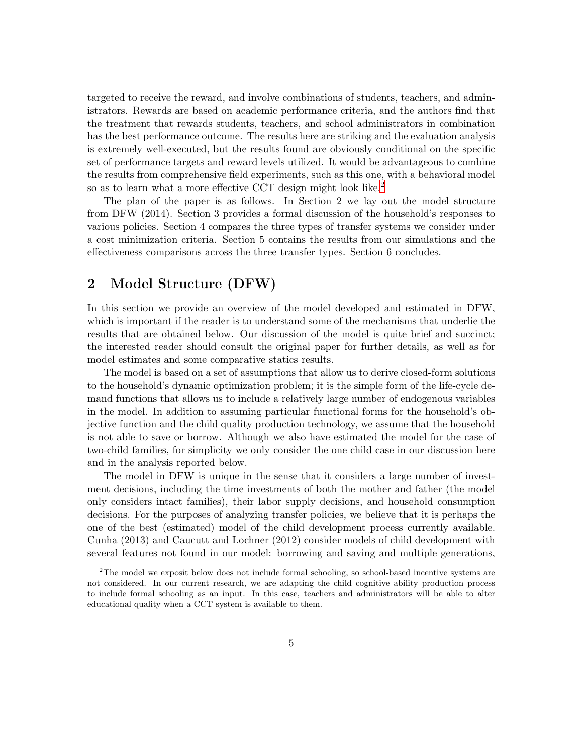targeted to receive the reward, and involve combinations of students, teachers, and administrators. Rewards are based on academic performance criteria, and the authors find that the treatment that rewards students, teachers, and school administrators in combination has the best performance outcome. The results here are striking and the evaluation analysis is extremely well-executed, but the results found are obviously conditional on the specific set of performance targets and reward levels utilized. It would be advantageous to combine the results from comprehensive field experiments, such as this one, with a behavioral model so as to learn what a more effective CCT design might look like.<sup>[2](#page-6-0)</sup>

The plan of the paper is as follows. In Section 2 we lay out the model structure from DFW (2014). Section 3 provides a formal discussion of the household's responses to various policies. Section 4 compares the three types of transfer systems we consider under a cost minimization criteria. Section 5 contains the results from our simulations and the effectiveness comparisons across the three transfer types. Section 6 concludes.

# 2 Model Structure (DFW)

In this section we provide an overview of the model developed and estimated in DFW, which is important if the reader is to understand some of the mechanisms that underlie the results that are obtained below. Our discussion of the model is quite brief and succinct; the interested reader should consult the original paper for further details, as well as for model estimates and some comparative statics results.

The model is based on a set of assumptions that allow us to derive closed-form solutions to the household's dynamic optimization problem; it is the simple form of the life-cycle demand functions that allows us to include a relatively large number of endogenous variables in the model. In addition to assuming particular functional forms for the household's objective function and the child quality production technology, we assume that the household is not able to save or borrow. Although we also have estimated the model for the case of two-child families, for simplicity we only consider the one child case in our discussion here and in the analysis reported below.

The model in DFW is unique in the sense that it considers a large number of investment decisions, including the time investments of both the mother and father (the model only considers intact families), their labor supply decisions, and household consumption decisions. For the purposes of analyzing transfer policies, we believe that it is perhaps the one of the best (estimated) model of the child development process currently available. Cunha (2013) and Caucutt and Lochner (2012) consider models of child development with several features not found in our model: borrowing and saving and multiple generations,

<span id="page-6-0"></span> $2$ The model we exposit below does not include formal schooling, so school-based incentive systems are not considered. In our current research, we are adapting the child cognitive ability production process to include formal schooling as an input. In this case, teachers and administrators will be able to alter educational quality when a CCT system is available to them.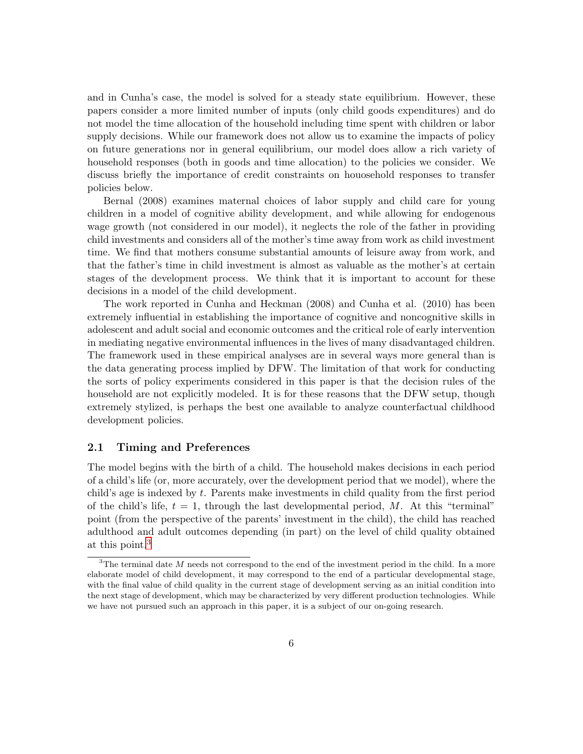and in Cunha's case, the model is solved for a steady state equilibrium. However, these papers consider a more limited number of inputs (only child goods expenditures) and do not model the time allocation of the household including time spent with children or labor supply decisions. While our framework does not allow us to examine the impacts of policy on future generations nor in general equilibrium, our model does allow a rich variety of household responses (both in goods and time allocation) to the policies we consider. We discuss briefly the importance of credit constraints on houosehold responses to transfer policies below.

Bernal (2008) examines maternal choices of labor supply and child care for young children in a model of cognitive ability development, and while allowing for endogenous wage growth (not considered in our model), it neglects the role of the father in providing child investments and considers all of the mother's time away from work as child investment time. We find that mothers consume substantial amounts of leisure away from work, and that the father's time in child investment is almost as valuable as the mother's at certain stages of the development process. We think that it is important to account for these decisions in a model of the child development.

The work reported in Cunha and Heckman (2008) and Cunha et al. (2010) has been extremely influential in establishing the importance of cognitive and noncognitive skills in adolescent and adult social and economic outcomes and the critical role of early intervention in mediating negative environmental influences in the lives of many disadvantaged children. The framework used in these empirical analyses are in several ways more general than is the data generating process implied by DFW. The limitation of that work for conducting the sorts of policy experiments considered in this paper is that the decision rules of the household are not explicitly modeled. It is for these reasons that the DFW setup, though extremely stylized, is perhaps the best one available to analyze counterfactual childhood development policies.

#### 2.1 Timing and Preferences

The model begins with the birth of a child. The household makes decisions in each period of a child's life (or, more accurately, over the development period that we model), where the child's age is indexed by t. Parents make investments in child quality from the first period of the child's life,  $t = 1$ , through the last developmental period, M. At this "terminal" point (from the perspective of the parents' investment in the child), the child has reached adulthood and adult outcomes depending (in part) on the level of child quality obtained at this point.<sup>[3](#page-7-0)</sup>

<span id="page-7-0"></span> $3$ The terminal date M needs not correspond to the end of the investment period in the child. In a more elaborate model of child development, it may correspond to the end of a particular developmental stage, with the final value of child quality in the current stage of development serving as an initial condition into the next stage of development, which may be characterized by very different production technologies. While we have not pursued such an approach in this paper, it is a subject of our on-going research.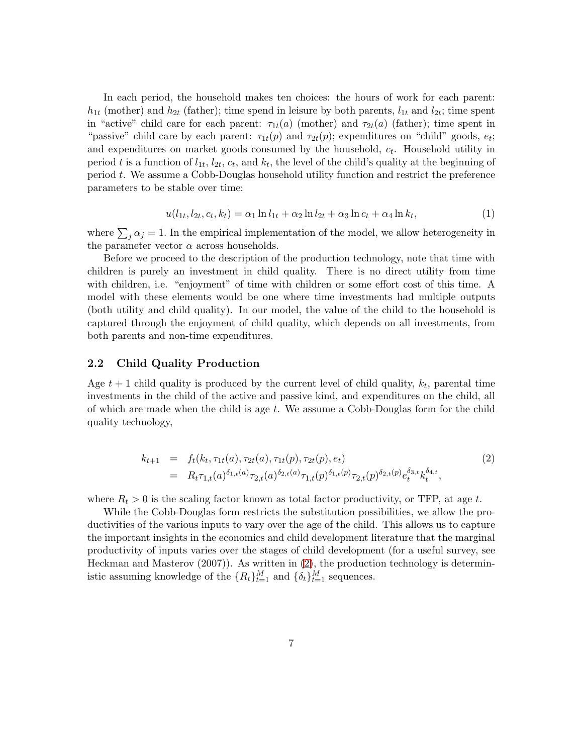In each period, the household makes ten choices: the hours of work for each parent:  $h_{1t}$  (mother) and  $h_{2t}$  (father); time spend in leisure by both parents,  $l_{1t}$  and  $l_{2t}$ ; time spent in "active" child care for each parent:  $\tau_{1t}(a)$  (mother) and  $\tau_{2t}(a)$  (father); time spent in "passive" child care by each parent:  $\tau_{1t}(p)$  and  $\tau_{2t}(p)$ ; expenditures on "child" goods,  $e_t$ ; and expenditures on market goods consumed by the household,  $c_t$ . Household utility in period t is a function of  $l_{1t}$ ,  $l_{2t}$ ,  $c_t$ , and  $k_t$ , the level of the child's quality at the beginning of period t. We assume a Cobb-Douglas household utility function and restrict the preference parameters to be stable over time:

$$
u(l_{1t}, l_{2t}, c_t, k_t) = \alpha_1 \ln l_{1t} + \alpha_2 \ln l_{2t} + \alpha_3 \ln c_t + \alpha_4 \ln k_t, \tag{1}
$$

where  $\sum_j \alpha_j = 1$ . In the empirical implementation of the model, we allow heterogeneity in the parameter vector  $\alpha$  across households.

Before we proceed to the description of the production technology, note that time with children is purely an investment in child quality. There is no direct utility from time with children, i.e. "enjoyment" of time with children or some effort cost of this time. A model with these elements would be one where time investments had multiple outputs (both utility and child quality). In our model, the value of the child to the household is captured through the enjoyment of child quality, which depends on all investments, from both parents and non-time expenditures.

#### 2.2 Child Quality Production

Age  $t+1$  child quality is produced by the current level of child quality,  $k_t$ , parental time investments in the child of the active and passive kind, and expenditures on the child, all of which are made when the child is age t. We assume a Cobb-Douglas form for the child quality technology,

<span id="page-8-0"></span>
$$
k_{t+1} = f_t(k_t, \tau_{1t}(a), \tau_{2t}(a), \tau_{1t}(p), \tau_{2t}(p), e_t)
$$
  
=  $R_t \tau_{1,t}(a)^{\delta_{1,t}(a)} \tau_{2,t}(a)^{\delta_{2,t}(a)} \tau_{1,t}(p)^{\delta_{1,t}(p)} \tau_{2,t}(p)^{\delta_{2,t}(p)} e_t^{\delta_{3,t}} k_t^{\delta_{4,t}},$  (2)

where  $R_t > 0$  is the scaling factor known as total factor productivity, or TFP, at age t.

While the Cobb-Douglas form restricts the substitution possibilities, we allow the productivities of the various inputs to vary over the age of the child. This allows us to capture the important insights in the economics and child development literature that the marginal productivity of inputs varies over the stages of child development (for a useful survey, see Heckman and Masterov (2007)). As written in [\(2\)](#page-8-0), the production technology is deterministic assuming knowledge of the  $\{R_t\}_{t=1}^M$  and  $\{\delta_t\}_{t=1}^M$  sequences.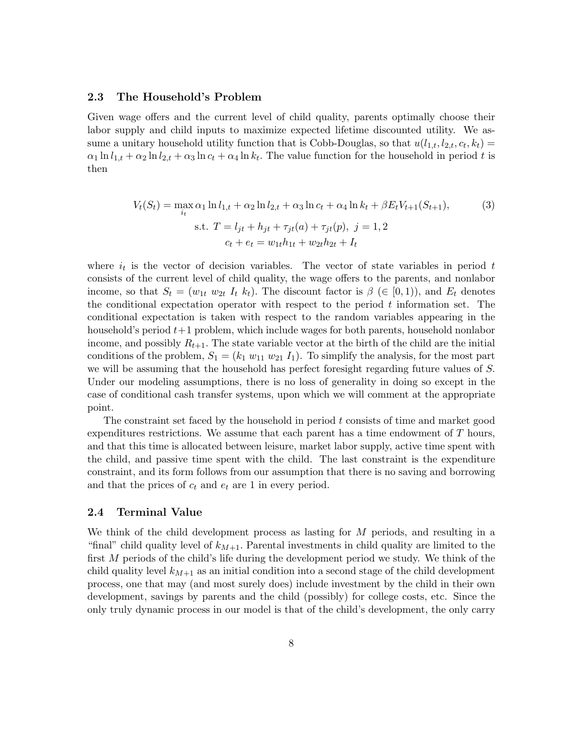#### 2.3 The Household's Problem

Given wage offers and the current level of child quality, parents optimally choose their labor supply and child inputs to maximize expected lifetime discounted utility. We assume a unitary household utility function that is Cobb-Douglas, so that  $u(l_{1,t}, l_{2,t}, c_t, k_t) =$  $\alpha_1 \ln l_{1,t} + \alpha_2 \ln l_{2,t} + \alpha_3 \ln c_t + \alpha_4 \ln k_t$ . The value function for the household in period t is then

<span id="page-9-0"></span>
$$
V_t(S_t) = \max_{i_t} \alpha_1 \ln l_{1,t} + \alpha_2 \ln l_{2,t} + \alpha_3 \ln c_t + \alpha_4 \ln k_t + \beta E_t V_{t+1}(S_{t+1}),
$$
  
s.t.  $T = l_{jt} + h_{jt} + \tau_{jt}(a) + \tau_{jt}(p), \ j = 1, 2$   
 $c_t + e_t = w_{1t}h_{1t} + w_{2t}h_{2t} + I_t$  (3)

where  $i_t$  is the vector of decision variables. The vector of state variables in period t consists of the current level of child quality, the wage offers to the parents, and nonlabor income, so that  $S_t = (w_{1t} w_{2t} I_t k_t)$ . The discount factor is  $\beta \in [0,1)$ , and  $E_t$  denotes the conditional expectation operator with respect to the period  $t$  information set. The conditional expectation is taken with respect to the random variables appearing in the household's period  $t+1$  problem, which include wages for both parents, household nonlabor income, and possibly  $R_{t+1}$ . The state variable vector at the birth of the child are the initial conditions of the problem,  $S_1 = (k_1 \ w_{11} \ w_{21} \ I_1)$ . To simplify the analysis, for the most part we will be assuming that the household has perfect foresight regarding future values of S. Under our modeling assumptions, there is no loss of generality in doing so except in the case of conditional cash transfer systems, upon which we will comment at the appropriate point.

The constraint set faced by the household in period t consists of time and market good expenditures restrictions. We assume that each parent has a time endowment of  $T$  hours, and that this time is allocated between leisure, market labor supply, active time spent with the child, and passive time spent with the child. The last constraint is the expenditure constraint, and its form follows from our assumption that there is no saving and borrowing and that the prices of  $c_t$  and  $e_t$  are 1 in every period.

#### 2.4 Terminal Value

We think of the child development process as lasting for M periods, and resulting in a "final" child quality level of  $k_{M+1}$ . Parental investments in child quality are limited to the first M periods of the child's life during the development period we study. We think of the child quality level  $k_{M+1}$  as an initial condition into a second stage of the child development process, one that may (and most surely does) include investment by the child in their own development, savings by parents and the child (possibly) for college costs, etc. Since the only truly dynamic process in our model is that of the child's development, the only carry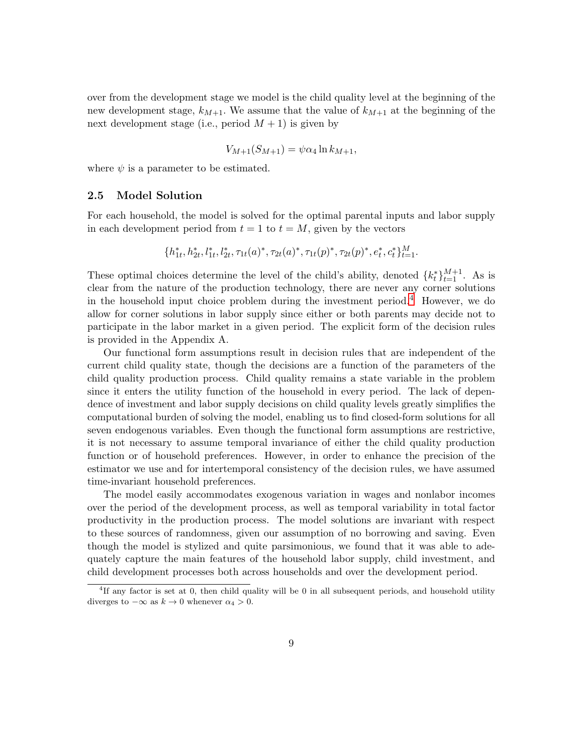over from the development stage we model is the child quality level at the beginning of the new development stage,  $k_{M+1}$ . We assume that the value of  $k_{M+1}$  at the beginning of the next development stage (i.e., period  $M + 1$ ) is given by

$$
V_{M+1}(S_{M+1}) = \psi \alpha_4 \ln k_{M+1},
$$

where  $\psi$  is a parameter to be estimated.

#### 2.5 Model Solution

For each household, the model is solved for the optimal parental inputs and labor supply in each development period from  $t = 1$  to  $t = M$ , given by the vectors

$$
\{h_{1t}^*, h_{2t}^*, l_{1t}^*, l_{2t}^*, \tau_{1t}(a)^*, \tau_{2t}(a)^*, \tau_{1t}(p)^*, \tau_{2t}(p)^*, e_t^*, c_t^*\}_{t=1}^M.
$$

M

These optimal choices determine the level of the child's ability, denoted  $\{k_t^*\}_{t=1}^{M+1}$ . As is clear from the nature of the production technology, there are never any corner solutions in the household input choice problem during the investment period.<sup>[4](#page-10-0)</sup> However, we do allow for corner solutions in labor supply since either or both parents may decide not to participate in the labor market in a given period. The explicit form of the decision rules is provided in the Appendix A.

Our functional form assumptions result in decision rules that are independent of the current child quality state, though the decisions are a function of the parameters of the child quality production process. Child quality remains a state variable in the problem since it enters the utility function of the household in every period. The lack of dependence of investment and labor supply decisions on child quality levels greatly simplifies the computational burden of solving the model, enabling us to find closed-form solutions for all seven endogenous variables. Even though the functional form assumptions are restrictive, it is not necessary to assume temporal invariance of either the child quality production function or of household preferences. However, in order to enhance the precision of the estimator we use and for intertemporal consistency of the decision rules, we have assumed time-invariant household preferences.

The model easily accommodates exogenous variation in wages and nonlabor incomes over the period of the development process, as well as temporal variability in total factor productivity in the production process. The model solutions are invariant with respect to these sources of randomness, given our assumption of no borrowing and saving. Even though the model is stylized and quite parsimonious, we found that it was able to adequately capture the main features of the household labor supply, child investment, and child development processes both across households and over the development period.

<span id="page-10-0"></span><sup>&</sup>lt;sup>4</sup>If any factor is set at 0, then child quality will be 0 in all subsequent periods, and household utility diverges to  $-\infty$  as  $k \to 0$  whenever  $\alpha_4 > 0$ .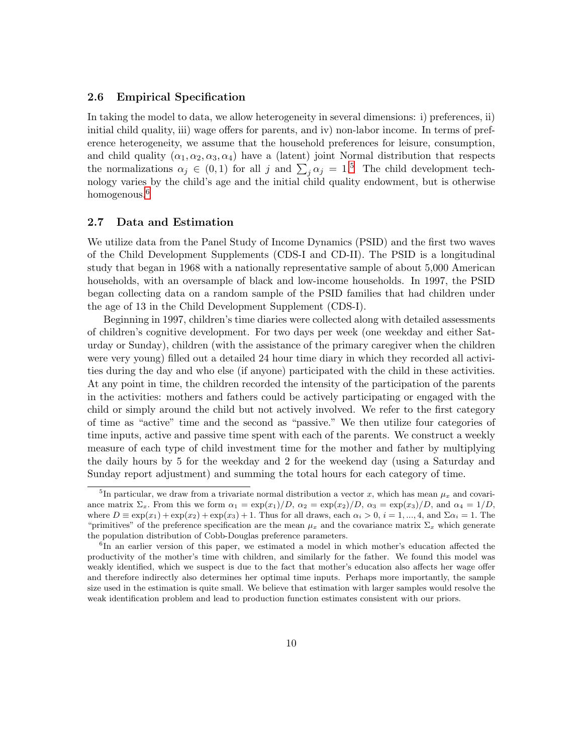#### 2.6 Empirical Specification

In taking the model to data, we allow heterogeneity in several dimensions: i) preferences, ii) initial child quality, iii) wage offers for parents, and iv) non-labor income. In terms of preference heterogeneity, we assume that the household preferences for leisure, consumption, and child quality  $(\alpha_1, \alpha_2, \alpha_3, \alpha_4)$  have a (latent) joint Normal distribution that respects the normalizations  $\alpha_j \in (0,1)$  for all j and  $\sum_j \alpha_j = 1$ .<sup>[5](#page-11-0)</sup> The child development technology varies by the child's age and the initial child quality endowment, but is otherwise homogenous.<sup>[6](#page-11-1)</sup>

#### 2.7 Data and Estimation

We utilize data from the Panel Study of Income Dynamics (PSID) and the first two waves of the Child Development Supplements (CDS-I and CD-II). The PSID is a longitudinal study that began in 1968 with a nationally representative sample of about 5,000 American households, with an oversample of black and low-income households. In 1997, the PSID began collecting data on a random sample of the PSID families that had children under the age of 13 in the Child Development Supplement (CDS-I).

Beginning in 1997, children's time diaries were collected along with detailed assessments of children's cognitive development. For two days per week (one weekday and either Saturday or Sunday), children (with the assistance of the primary caregiver when the children were very young) filled out a detailed 24 hour time diary in which they recorded all activities during the day and who else (if anyone) participated with the child in these activities. At any point in time, the children recorded the intensity of the participation of the parents in the activities: mothers and fathers could be actively participating or engaged with the child or simply around the child but not actively involved. We refer to the first category of time as "active" time and the second as "passive." We then utilize four categories of time inputs, active and passive time spent with each of the parents. We construct a weekly measure of each type of child investment time for the mother and father by multiplying the daily hours by 5 for the weekday and 2 for the weekend day (using a Saturday and Sunday report adjustment) and summing the total hours for each category of time.

<span id="page-11-0"></span><sup>&</sup>lt;sup>5</sup>In particular, we draw from a trivariate normal distribution a vector x, which has mean  $\mu_x$  and covariance matrix  $\Sigma_x$ . From this we form  $\alpha_1 = \exp(x_1)/D$ ,  $\alpha_2 = \exp(x_2)/D$ ,  $\alpha_3 = \exp(x_3)/D$ , and  $\alpha_4 = 1/D$ , where  $D \equiv \exp(x_1) + \exp(x_2) + \exp(x_3) + 1$ . Thus for all draws, each  $\alpha_i > 0$ ,  $i = 1, ..., 4$ , and  $\Sigma \alpha_i = 1$ . The "primitives" of the preference specification are the mean  $\mu_x$  and the covariance matrix  $\Sigma_x$  which generate the population distribution of Cobb-Douglas preference parameters.

<span id="page-11-1"></span><sup>&</sup>lt;sup>6</sup>In an earlier version of this paper, we estimated a model in which mother's education affected the productivity of the mother's time with children, and similarly for the father. We found this model was weakly identified, which we suspect is due to the fact that mother's education also affects her wage offer and therefore indirectly also determines her optimal time inputs. Perhaps more importantly, the sample size used in the estimation is quite small. We believe that estimation with larger samples would resolve the weak identification problem and lead to production function estimates consistent with our priors.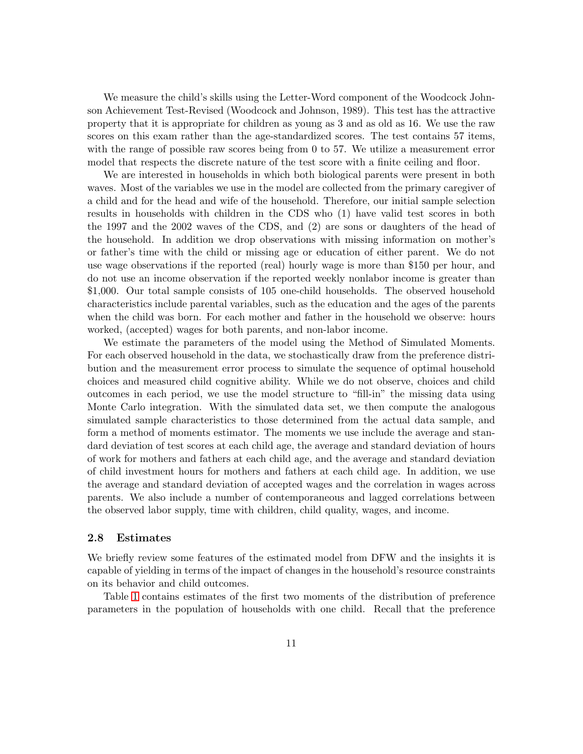We measure the child's skills using the Letter-Word component of the Woodcock Johnson Achievement Test-Revised (Woodcock and Johnson, 1989). This test has the attractive property that it is appropriate for children as young as 3 and as old as 16. We use the raw scores on this exam rather than the age-standardized scores. The test contains 57 items, with the range of possible raw scores being from 0 to 57. We utilize a measurement error model that respects the discrete nature of the test score with a finite ceiling and floor.

We are interested in households in which both biological parents were present in both waves. Most of the variables we use in the model are collected from the primary caregiver of a child and for the head and wife of the household. Therefore, our initial sample selection results in households with children in the CDS who (1) have valid test scores in both the 1997 and the 2002 waves of the CDS, and (2) are sons or daughters of the head of the household. In addition we drop observations with missing information on mother's or father's time with the child or missing age or education of either parent. We do not use wage observations if the reported (real) hourly wage is more than \$150 per hour, and do not use an income observation if the reported weekly nonlabor income is greater than \$1,000. Our total sample consists of 105 one-child households. The observed household characteristics include parental variables, such as the education and the ages of the parents when the child was born. For each mother and father in the household we observe: hours worked, (accepted) wages for both parents, and non-labor income.

We estimate the parameters of the model using the Method of Simulated Moments. For each observed household in the data, we stochastically draw from the preference distribution and the measurement error process to simulate the sequence of optimal household choices and measured child cognitive ability. While we do not observe, choices and child outcomes in each period, we use the model structure to "fill-in" the missing data using Monte Carlo integration. With the simulated data set, we then compute the analogous simulated sample characteristics to those determined from the actual data sample, and form a method of moments estimator. The moments we use include the average and standard deviation of test scores at each child age, the average and standard deviation of hours of work for mothers and fathers at each child age, and the average and standard deviation of child investment hours for mothers and fathers at each child age. In addition, we use the average and standard deviation of accepted wages and the correlation in wages across parents. We also include a number of contemporaneous and lagged correlations between the observed labor supply, time with children, child quality, wages, and income.

#### 2.8 Estimates

We briefly review some features of the estimated model from DFW and the insights it is capable of yielding in terms of the impact of changes in the household's resource constraints on its behavior and child outcomes.

Table [1](#page-58-0) contains estimates of the first two moments of the distribution of preference parameters in the population of households with one child. Recall that the preference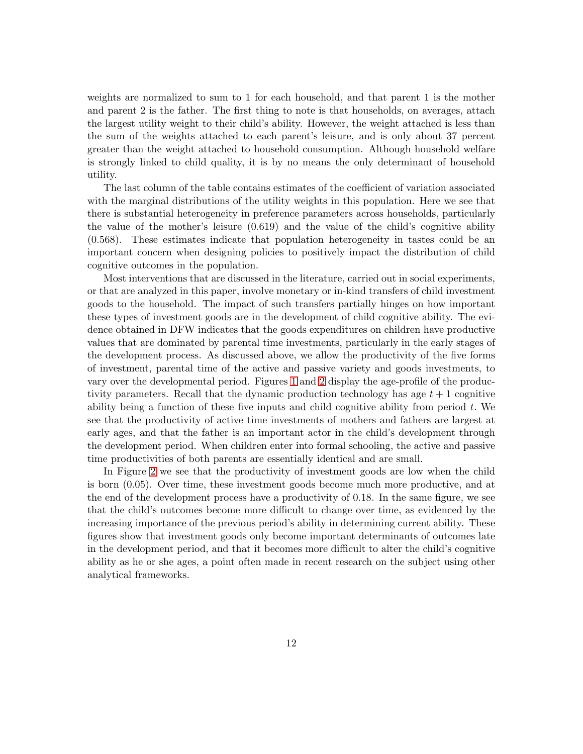weights are normalized to sum to 1 for each household, and that parent 1 is the mother and parent 2 is the father. The first thing to note is that households, on averages, attach the largest utility weight to their child's ability. However, the weight attached is less than the sum of the weights attached to each parent's leisure, and is only about 37 percent greater than the weight attached to household consumption. Although household welfare is strongly linked to child quality, it is by no means the only determinant of household utility.

The last column of the table contains estimates of the coefficient of variation associated with the marginal distributions of the utility weights in this population. Here we see that there is substantial heterogeneity in preference parameters across households, particularly the value of the mother's leisure (0.619) and the value of the child's cognitive ability (0.568). These estimates indicate that population heterogeneity in tastes could be an important concern when designing policies to positively impact the distribution of child cognitive outcomes in the population.

Most interventions that are discussed in the literature, carried out in social experiments, or that are analyzed in this paper, involve monetary or in-kind transfers of child investment goods to the household. The impact of such transfers partially hinges on how important these types of investment goods are in the development of child cognitive ability. The evidence obtained in DFW indicates that the goods expenditures on children have productive values that are dominated by parental time investments, particularly in the early stages of the development process. As discussed above, we allow the productivity of the five forms of investment, parental time of the active and passive variety and goods investments, to vary over the developmental period. Figures [1](#page-49-0) and [2](#page-50-0) display the age-profile of the productivity parameters. Recall that the dynamic production technology has age  $t + 1$  cognitive ability being a function of these five inputs and child cognitive ability from period  $t$ . We see that the productivity of active time investments of mothers and fathers are largest at early ages, and that the father is an important actor in the child's development through the development period. When children enter into formal schooling, the active and passive time productivities of both parents are essentially identical and are small.

In Figure [2](#page-50-0) we see that the productivity of investment goods are low when the child is born (0.05). Over time, these investment goods become much more productive, and at the end of the development process have a productivity of 0.18. In the same figure, we see that the child's outcomes become more difficult to change over time, as evidenced by the increasing importance of the previous period's ability in determining current ability. These figures show that investment goods only become important determinants of outcomes late in the development period, and that it becomes more difficult to alter the child's cognitive ability as he or she ages, a point often made in recent research on the subject using other analytical frameworks.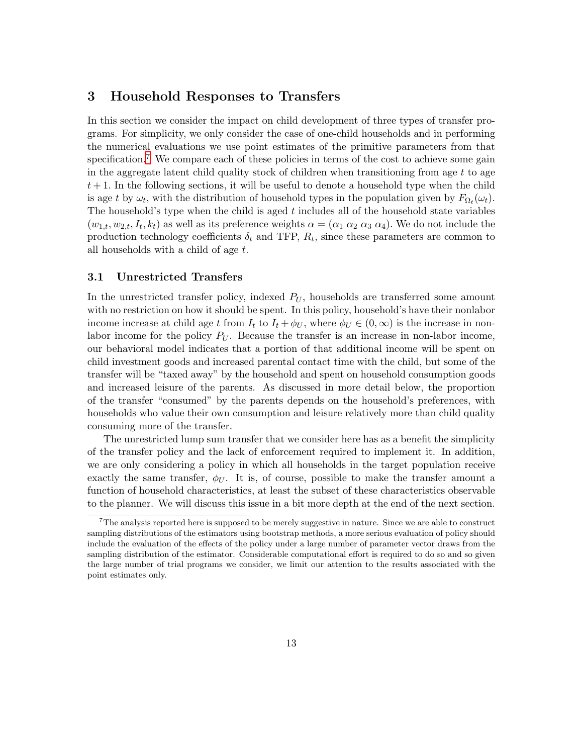### 3 Household Responses to Transfers

In this section we consider the impact on child development of three types of transfer programs. For simplicity, we only consider the case of one-child households and in performing the numerical evaluations we use point estimates of the primitive parameters from that specification.<sup>[7](#page-14-0)</sup> We compare each of these policies in terms of the cost to achieve some gain in the aggregate latent child quality stock of children when transitioning from age  $t$  to age  $t+1$ . In the following sections, it will be useful to denote a household type when the child is age t by  $\omega_t$ , with the distribution of household types in the population given by  $F_{\Omega_t}(\omega_t)$ . The household's type when the child is aged  $t$  includes all of the household state variables  $(w_{1,t}, w_{2,t}, I_t, k_t)$  as well as its preference weights  $\alpha = (\alpha_1 \alpha_2 \alpha_3 \alpha_4)$ . We do not include the production technology coefficients  $\delta_t$  and TFP,  $R_t$ , since these parameters are common to all households with a child of age t.

#### 3.1 Unrestricted Transfers

In the unrestricted transfer policy, indexed  $P_U$ , households are transferred some amount with no restriction on how it should be spent. In this policy, household's have their nonlabor income increase at child age t from  $I_t$  to  $I_t + \phi_U$ , where  $\phi_U \in (0, \infty)$  is the increase in nonlabor income for the policy  $P_U$ . Because the transfer is an increase in non-labor income, our behavioral model indicates that a portion of that additional income will be spent on child investment goods and increased parental contact time with the child, but some of the transfer will be "taxed away" by the household and spent on household consumption goods and increased leisure of the parents. As discussed in more detail below, the proportion of the transfer "consumed" by the parents depends on the household's preferences, with households who value their own consumption and leisure relatively more than child quality consuming more of the transfer.

The unrestricted lump sum transfer that we consider here has as a benefit the simplicity of the transfer policy and the lack of enforcement required to implement it. In addition, we are only considering a policy in which all households in the target population receive exactly the same transfer,  $\phi_U$ . It is, of course, possible to make the transfer amount a function of household characteristics, at least the subset of these characteristics observable to the planner. We will discuss this issue in a bit more depth at the end of the next section.

<span id="page-14-0"></span> $7$ The analysis reported here is supposed to be merely suggestive in nature. Since we are able to construct sampling distributions of the estimators using bootstrap methods, a more serious evaluation of policy should include the evaluation of the effects of the policy under a large number of parameter vector draws from the sampling distribution of the estimator. Considerable computational effort is required to do so and so given the large number of trial programs we consider, we limit our attention to the results associated with the point estimates only.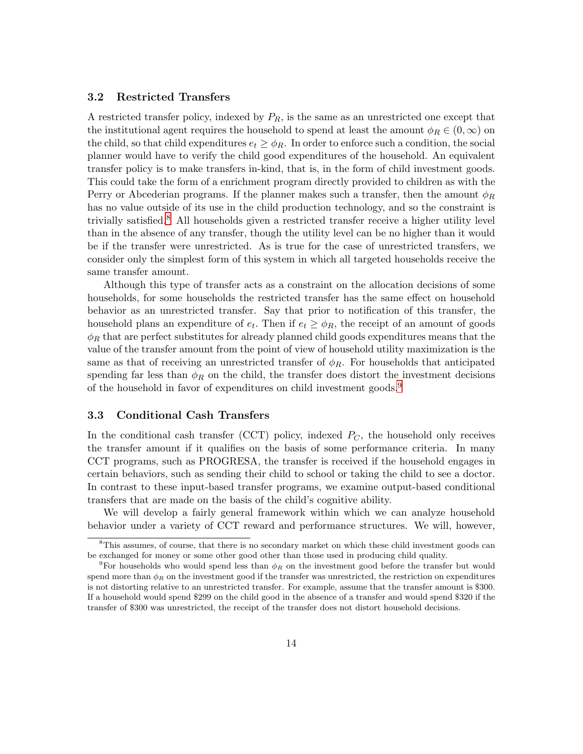#### 3.2 Restricted Transfers

A restricted transfer policy, indexed by  $P_R$ , is the same as an unrestricted one except that the institutional agent requires the household to spend at least the amount  $\phi_R \in (0, \infty)$  on the child, so that child expenditures  $e_t \geq \phi_R$ . In order to enforce such a condition, the social planner would have to verify the child good expenditures of the household. An equivalent transfer policy is to make transfers in-kind, that is, in the form of child investment goods. This could take the form of a enrichment program directly provided to children as with the Perry or Abcederian programs. If the planner makes such a transfer, then the amount  $\phi_R$ has no value outside of its use in the child production technology, and so the constraint is trivially satisfied.<sup>[8](#page-15-0)</sup> All households given a restricted transfer receive a higher utility level than in the absence of any transfer, though the utility level can be no higher than it would be if the transfer were unrestricted. As is true for the case of unrestricted transfers, we consider only the simplest form of this system in which all targeted households receive the same transfer amount.

Although this type of transfer acts as a constraint on the allocation decisions of some households, for some households the restricted transfer has the same effect on household behavior as an unrestricted transfer. Say that prior to notification of this transfer, the household plans an expenditure of  $e_t$ . Then if  $e_t \geq \phi_R$ , the receipt of an amount of goods  $\phi_R$  that are perfect substitutes for already planned child goods expenditures means that the value of the transfer amount from the point of view of household utility maximization is the same as that of receiving an unrestricted transfer of  $\phi_R$ . For households that anticipated spending far less than  $\phi_R$  on the child, the transfer does distort the investment decisions of the household in favor of expenditures on child investment goods.<sup>[9](#page-15-1)</sup>

#### 3.3 Conditional Cash Transfers

In the conditional cash transfer (CCT) policy, indexed  $P<sub>C</sub>$ , the household only receives the transfer amount if it qualifies on the basis of some performance criteria. In many CCT programs, such as PROGRESA, the transfer is received if the household engages in certain behaviors, such as sending their child to school or taking the child to see a doctor. In contrast to these input-based transfer programs, we examine output-based conditional transfers that are made on the basis of the child's cognitive ability.

We will develop a fairly general framework within which we can analyze household behavior under a variety of CCT reward and performance structures. We will, however,

<span id="page-15-0"></span><sup>&</sup>lt;sup>8</sup>This assumes, of course, that there is no secondary market on which these child investment goods can be exchanged for money or some other good other than those used in producing child quality.

<span id="page-15-1"></span><sup>&</sup>lt;sup>9</sup>For households who would spend less than  $\phi_R$  on the investment good before the transfer but would spend more than  $\phi_R$  on the investment good if the transfer was unrestricted, the restriction on expenditures is not distorting relative to an unrestricted transfer. For example, assume that the transfer amount is \$300. If a household would spend \$299 on the child good in the absence of a transfer and would spend \$320 if the transfer of \$300 was unrestricted, the receipt of the transfer does not distort household decisions.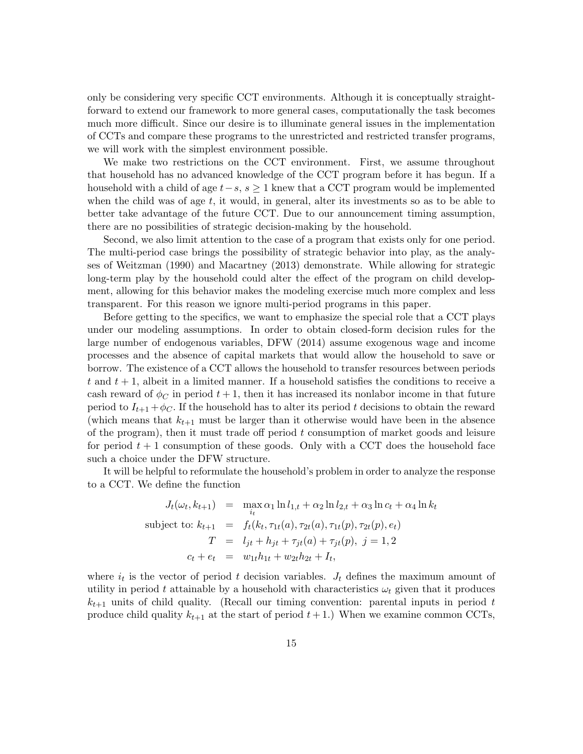only be considering very specific CCT environments. Although it is conceptually straightforward to extend our framework to more general cases, computationally the task becomes much more difficult. Since our desire is to illuminate general issues in the implementation of CCTs and compare these programs to the unrestricted and restricted transfer programs, we will work with the simplest environment possible.

We make two restrictions on the CCT environment. First, we assume throughout that household has no advanced knowledge of the CCT program before it has begun. If a household with a child of age  $t-s$ ,  $s \geq 1$  knew that a CCT program would be implemented when the child was of age  $t$ , it would, in general, alter its investments so as to be able to better take advantage of the future CCT. Due to our announcement timing assumption, there are no possibilities of strategic decision-making by the household.

Second, we also limit attention to the case of a program that exists only for one period. The multi-period case brings the possibility of strategic behavior into play, as the analyses of Weitzman (1990) and Macartney (2013) demonstrate. While allowing for strategic long-term play by the household could alter the effect of the program on child development, allowing for this behavior makes the modeling exercise much more complex and less transparent. For this reason we ignore multi-period programs in this paper.

Before getting to the specifics, we want to emphasize the special role that a CCT plays under our modeling assumptions. In order to obtain closed-form decision rules for the large number of endogenous variables, DFW (2014) assume exogenous wage and income processes and the absence of capital markets that would allow the household to save or borrow. The existence of a CCT allows the household to transfer resources between periods t and  $t + 1$ , albeit in a limited manner. If a household satisfies the conditions to receive a cash reward of  $\phi_C$  in period  $t+1$ , then it has increased its nonlabor income in that future period to  $I_{t+1} + \phi_C$ . If the household has to alter its period t decisions to obtain the reward (which means that  $k_{t+1}$  must be larger than it otherwise would have been in the absence of the program), then it must trade off period  $t$  consumption of market goods and leisure for period  $t + 1$  consumption of these goods. Only with a CCT does the household face such a choice under the DFW structure.

It will be helpful to reformulate the household's problem in order to analyze the response to a CCT. We define the function

$$
J_t(\omega_t, k_{t+1}) = \max_{i_t} \alpha_1 \ln l_{1,t} + \alpha_2 \ln l_{2,t} + \alpha_3 \ln c_t + \alpha_4 \ln k_t
$$
  
subject to:  $k_{t+1} = f_t(k_t, \tau_{1t}(a), \tau_{2t}(a), \tau_{1t}(p), \tau_{2t}(p), e_t)$   
 $T = l_{jt} + h_{jt} + \tau_{jt}(a) + \tau_{jt}(p), \ j = 1, 2$   
 $c_t + e_t = w_{1t}h_{1t} + w_{2t}h_{2t} + I_t,$ 

where  $i_t$  is the vector of period t decision variables.  $J_t$  defines the maximum amount of utility in period t attainable by a household with characteristics  $\omega_t$  given that it produces  $k_{t+1}$  units of child quality. (Recall our timing convention: parental inputs in period t produce child quality  $k_{t+1}$  at the start of period  $t+1$ .) When we examine common CCTs,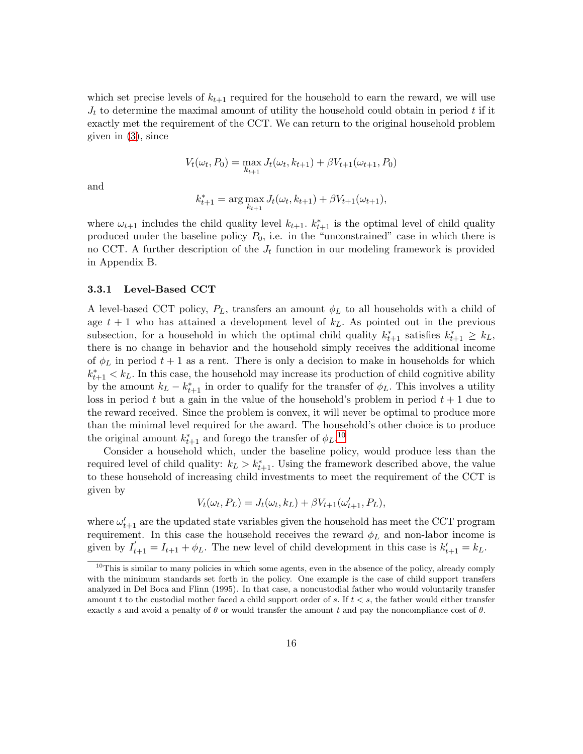which set precise levels of  $k_{t+1}$  required for the household to earn the reward, we will use  $J_t$  to determine the maximal amount of utility the household could obtain in period  $t$  if it exactly met the requirement of the CCT. We can return to the original household problem given in [\(3\)](#page-9-0), since

$$
V_t(\omega_t, P_0) = \max_{k_{t+1}} J_t(\omega_t, k_{t+1}) + \beta V_{t+1}(\omega_{t+1}, P_0)
$$

and

$$
k_{t+1}^* = \arg \max_{k_{t+1}} J_t(\omega_t, k_{t+1}) + \beta V_{t+1}(\omega_{t+1}),
$$

where  $\omega_{t+1}$  includes the child quality level  $k_{t+1}$ .  $k_{t+1}^*$  is the optimal level of child quality produced under the baseline policy  $P_0$ , i.e. in the "unconstrained" case in which there is no CCT. A further description of the  $J_t$  function in our modeling framework is provided in Appendix B.

#### 3.3.1 Level-Based CCT

A level-based CCT policy,  $P_L$ , transfers an amount  $\phi_L$  to all households with a child of age  $t + 1$  who has attained a development level of  $k<sub>L</sub>$ . As pointed out in the previous subsection, for a household in which the optimal child quality  $k_{t+1}^*$  satisfies  $k_{t+1}^* \geq k_L$ , there is no change in behavior and the household simply receives the additional income of  $\phi_L$  in period  $t + 1$  as a rent. There is only a decision to make in households for which  $k_{t+1}^* < k_L$ . In this case, the household may increase its production of child cognitive ability by the amount  $k_L - k_{t+1}^*$  in order to qualify for the transfer of  $\phi_L$ . This involves a utility loss in period t but a gain in the value of the household's problem in period  $t + 1$  due to the reward received. Since the problem is convex, it will never be optimal to produce more than the minimal level required for the award. The household's other choice is to produce the original amount  $k_{t+1}^*$  and forego the transfer of  $\phi_L$ .<sup>[10](#page-17-0)</sup>

Consider a household which, under the baseline policy, would produce less than the required level of child quality:  $k_L > k_{t+1}^*$ . Using the framework described above, the value to these household of increasing child investments to meet the requirement of the CCT is given by

$$
V_t(\omega_t, P_L) = J_t(\omega_t, k_L) + \beta V_{t+1}(\omega_{t+1}', P_L),
$$

where  $\omega'_{t+1}$  are the updated state variables given the household has meet the CCT program requirement. In this case the household receives the reward  $\phi_L$  and non-labor income is given by  $I'_{t+1} = I_{t+1} + \phi_L$ . The new level of child development in this case is  $k'_{t+1} = k_L$ .

<span id="page-17-0"></span><sup>&</sup>lt;sup>10</sup>This is similar to many policies in which some agents, even in the absence of the policy, already comply with the minimum standards set forth in the policy. One example is the case of child support transfers analyzed in Del Boca and Flinn (1995). In that case, a noncustodial father who would voluntarily transfer amount t to the custodial mother faced a child support order of s. If  $t < s$ , the father would either transfer exactly s and avoid a penalty of  $\theta$  or would transfer the amount t and pay the noncompliance cost of  $\theta$ .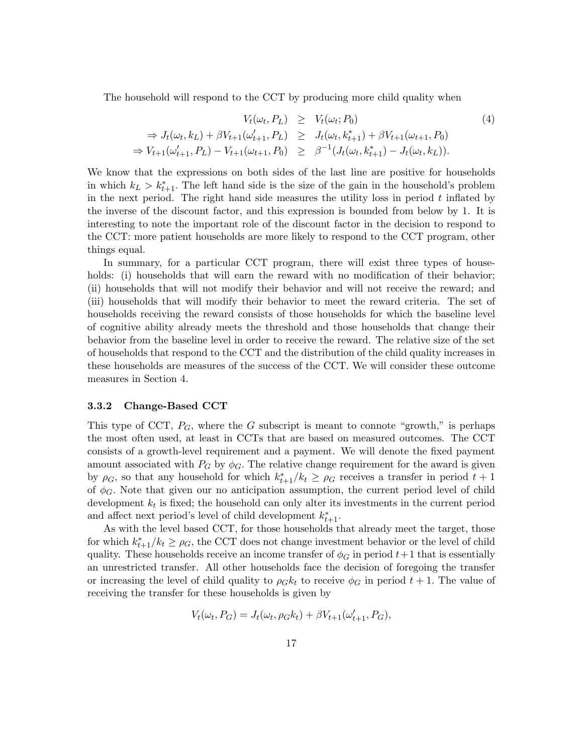The household will respond to the CCT by producing more child quality when

<span id="page-18-0"></span>
$$
V_t(\omega_t, P_L) \geq V_t(\omega_t; P_0)
$$
\n
$$
\Rightarrow J_t(\omega_t, k_L) + \beta V_{t+1}(\omega_{t+1}', P_L) \geq J_t(\omega_t, k_{t+1}^*) + \beta V_{t+1}(\omega_{t+1}, P_0)
$$
\n
$$
\Rightarrow V_{t+1}(\omega_{t+1}', P_L) - V_{t+1}(\omega_{t+1}, P_0) \geq \beta^{-1}(J_t(\omega_t, k_{t+1}^*) - J_t(\omega_t, k_L)).
$$
\n(4)

We know that the expressions on both sides of the last line are positive for households in which  $k_L > k_{t+1}^*$ . The left hand side is the size of the gain in the household's problem in the next period. The right hand side measures the utility loss in period  $t$  inflated by the inverse of the discount factor, and this expression is bounded from below by 1. It is interesting to note the important role of the discount factor in the decision to respond to the CCT: more patient households are more likely to respond to the CCT program, other things equal.

In summary, for a particular CCT program, there will exist three types of households: (i) households that will earn the reward with no modification of their behavior; (ii) households that will not modify their behavior and will not receive the reward; and (iii) households that will modify their behavior to meet the reward criteria. The set of households receiving the reward consists of those households for which the baseline level of cognitive ability already meets the threshold and those households that change their behavior from the baseline level in order to receive the reward. The relative size of the set of households that respond to the CCT and the distribution of the child quality increases in these households are measures of the success of the CCT. We will consider these outcome measures in Section 4.

#### 3.3.2 Change-Based CCT

This type of CCT,  $P_G$ , where the G subscript is meant to connote "growth," is perhaps the most often used, at least in CCTs that are based on measured outcomes. The CCT consists of a growth-level requirement and a payment. We will denote the fixed payment amount associated with  $P_G$  by  $\phi_G$ . The relative change requirement for the award is given by  $\rho_G$ , so that any household for which  $k_{t+1}^*/k_t \geq \rho_G$  receives a transfer in period  $t+1$ of  $\phi_G$ . Note that given our no anticipation assumption, the current period level of child development  $k_t$  is fixed; the household can only alter its investments in the current period and affect next period's level of child development  $k_{t+1}^*$ .

As with the level based CCT, for those households that already meet the target, those for which  $k_{t+1}^*/k_t \geq \rho_G$ , the CCT does not change investment behavior or the level of child quality. These households receive an income transfer of  $\phi_G$  in period  $t+1$  that is essentially an unrestricted transfer. All other households face the decision of foregoing the transfer or increasing the level of child quality to  $\rho_G k_t$  to receive  $\phi_G$  in period  $t + 1$ . The value of receiving the transfer for these households is given by

$$
V_t(\omega_t, P_G) = J_t(\omega_t, \rho_G k_t) + \beta V_{t+1}(\omega_{t+1}', P_G),
$$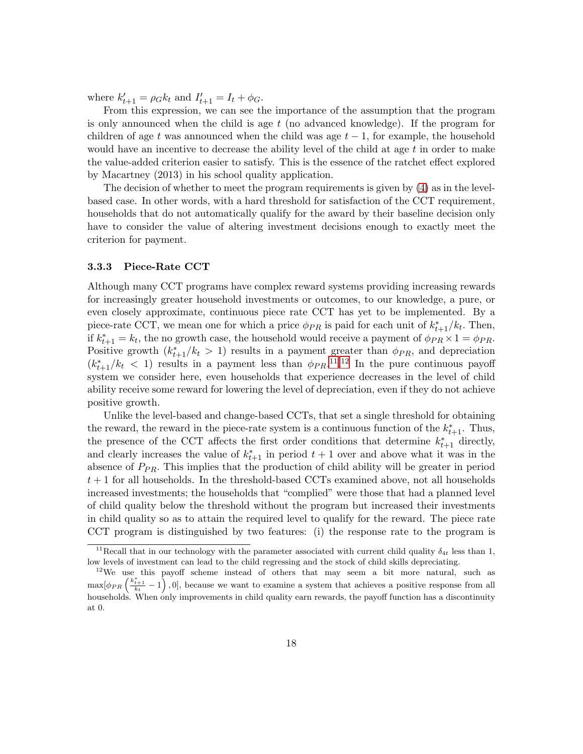where  $k'_{t+1} = \rho_G k_t$  and  $I'_{t+1} = I_t + \phi_G$ .

From this expression, we can see the importance of the assumption that the program is only announced when the child is age  $t$  (no advanced knowledge). If the program for children of age t was announced when the child was age  $t-1$ , for example, the household would have an incentive to decrease the ability level of the child at age t in order to make the value-added criterion easier to satisfy. This is the essence of the ratchet effect explored by Macartney (2013) in his school quality application.

The decision of whether to meet the program requirements is given by [\(4\)](#page-18-0) as in the levelbased case. In other words, with a hard threshold for satisfaction of the CCT requirement, households that do not automatically qualify for the award by their baseline decision only have to consider the value of altering investment decisions enough to exactly meet the criterion for payment.

#### 3.3.3 Piece-Rate CCT

Although many CCT programs have complex reward systems providing increasing rewards for increasingly greater household investments or outcomes, to our knowledge, a pure, or even closely approximate, continuous piece rate CCT has yet to be implemented. By a piece-rate CCT, we mean one for which a price  $\phi_{PR}$  is paid for each unit of  $k_{t+1}^*/k_t$ . Then, if  $k_{t+1}^* = k_t$ , the no growth case, the household would receive a payment of  $\phi_{PR} \times 1 = \phi_{PR}$ . Positive growth  $(k_{t+1}^*/k_t > 1)$  results in a payment greater than  $\phi_{PR}$ , and depreciation  $(k_{t+1}^*/k_t < 1)$  results in a payment less than  $\phi_{PR}.^{11},^{12}$  $\phi_{PR}.^{11},^{12}$  $\phi_{PR}.^{11},^{12}$  $\phi_{PR}.^{11},^{12}$  $\phi_{PR}.^{11},^{12}$  In the pure continuous payoff system we consider here, even households that experience decreases in the level of child ability receive some reward for lowering the level of depreciation, even if they do not achieve positive growth.

Unlike the level-based and change-based CCTs, that set a single threshold for obtaining the reward, the reward in the piece-rate system is a continuous function of the  $k_{t+1}^*$ . Thus, the presence of the CCT affects the first order conditions that determine  $k_{t+1}^*$  directly, and clearly increases the value of  $k_{t+1}^*$  in period  $t+1$  over and above what it was in the absence of  $P_{PR}$ . This implies that the production of child ability will be greater in period  $t+1$  for all households. In the threshold-based CCTs examined above, not all households increased investments; the households that "complied" were those that had a planned level of child quality below the threshold without the program but increased their investments in child quality so as to attain the required level to qualify for the reward. The piece rate CCT program is distinguished by two features: (i) the response rate to the program is

<sup>&</sup>lt;sup>11</sup>Recall that in our technology with the parameter associated with current child quality  $\delta_{4t}$  less than 1, low levels of investment can lead to the child regressing and the stock of child skills depreciating.

<span id="page-19-1"></span><span id="page-19-0"></span> $12\text{We}$  use this payoff scheme instead of others that may seem a bit more natural, such as  $\max[\phi_{PR}\left(\frac{k_{t+1}^*}{k_t}-1\right), 0]$ , because we want to examine a system that achieves a positive response from all households. When only improvements in child quality earn rewards, the payoff function has a discontinuity at 0.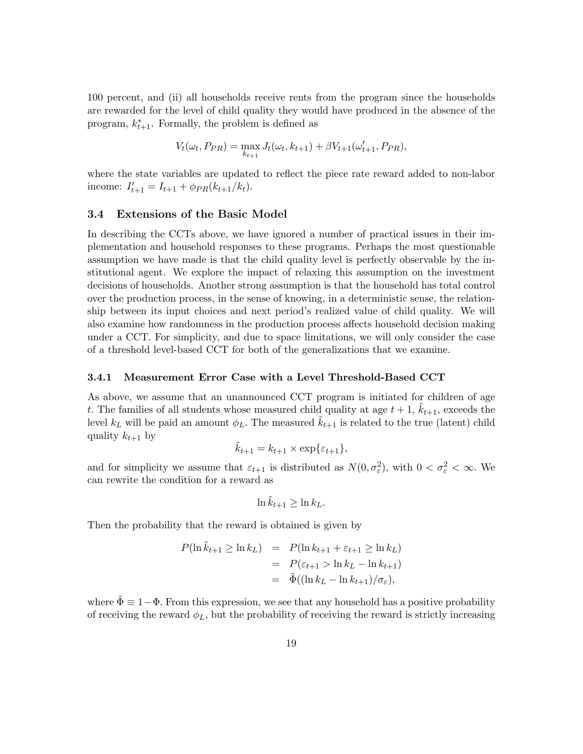100 percent, and (ii) all households receive rents from the program since the households are rewarded for the level of child quality they would have produced in the absence of the program,  $k_{t+1}^*$ . Formally, the problem is defined as

$$
V_t(\omega_t, P_{PR}) = \max_{k_{t+1}} J_t(\omega_t, k_{t+1}) + \beta V_{t+1}(\omega_{t+1}', P_{PR}),
$$

where the state variables are updated to reflect the piece rate reward added to non-labor income:  $I'_{t+1} = I_{t+1} + \phi_{PR}(k_{t+1}/k_t)$ .

#### 3.4 Extensions of the Basic Model

In describing the CCTs above, we have ignored a number of practical issues in their implementation and household responses to these programs. Perhaps the most questionable assumption we have made is that the child quality level is perfectly observable by the institutional agent. We explore the impact of relaxing this assumption on the investment decisions of households. Another strong assumption is that the household has total control over the production process, in the sense of knowing, in a deterministic sense, the relationship between its input choices and next period's realized value of child quality. We will also examine how randomness in the production process affects household decision making under a CCT. For simplicity, and due to space limitations, we will only consider the case of a threshold level-based CCT for both of the generalizations that we examine.

#### 3.4.1 Measurement Error Case with a Level Threshold-Based CCT

As above, we assume that an unannounced CCT program is initiated for children of age t. The families of all students whose measured child quality at age  $t + 1$ ,  $\tilde{k}_{t+1}$ , exceeds the level  $k_L$  will be paid an amount  $\phi_L$ . The measured  $k_{t+1}$  is related to the true (latent) child quality  $k_{t+1}$  by

$$
\tilde{k}_{t+1} = k_{t+1} \times \exp{\{\varepsilon_{t+1}\}},
$$

and for simplicity we assume that  $\varepsilon_{t+1}$  is distributed as  $N(0, \sigma_{\varepsilon}^2)$ , with  $0 < \sigma_{\varepsilon}^2 < \infty$ . We can rewrite the condition for a reward as

$$
\ln \tilde{k}_{t+1} \ge \ln k_L.
$$

Then the probability that the reward is obtained is given by

$$
P(\ln \tilde{k}_{t+1} \ge \ln k_L) = P(\ln k_{t+1} + \varepsilon_{t+1} \ge \ln k_L)
$$
  
= 
$$
P(\varepsilon_{t+1} > \ln k_L - \ln k_{t+1})
$$
  
= 
$$
\tilde{\Phi}((\ln k_L - \ln k_{t+1})/\sigma_{\varepsilon}),
$$

where  $\tilde{\Phi} \equiv 1-\Phi$ . From this expression, we see that any household has a positive probability of receiving the reward  $\phi_L$ , but the probability of receiving the reward is strictly increasing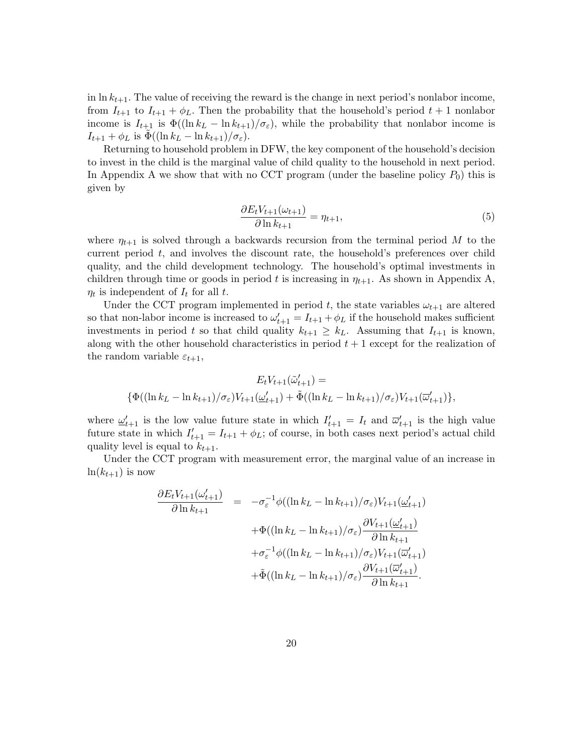in  $\ln k_{t+1}$ . The value of receiving the reward is the change in next period's nonlabor income, from  $I_{t+1}$  to  $I_{t+1} + \phi_L$ . Then the probability that the household's period  $t + 1$  nonlabor income is  $I_{t+1}$  is  $\Phi((\ln k_L - \ln k_{t+1})/\sigma_{\varepsilon})$ , while the probability that nonlabor income is  $I_{t+1} + \phi_L$  is  $\Phi((\ln k_L - \ln k_{t+1})/\sigma_{\varepsilon}).$ 

Returning to household problem in DFW, the key component of the household's decision to invest in the child is the marginal value of child quality to the household in next period. In Appendix A we show that with no CCT program (under the baseline policy  $P_0$ ) this is given by

$$
\frac{\partial E_t V_{t+1}(\omega_{t+1})}{\partial \ln k_{t+1}} = \eta_{t+1},\tag{5}
$$

where  $\eta_{t+1}$  is solved through a backwards recursion from the terminal period M to the current period  $t$ , and involves the discount rate, the household's preferences over child quality, and the child development technology. The household's optimal investments in children through time or goods in period t is increasing in  $\eta_{t+1}$ . As shown in Appendix A,  $\eta_t$  is independent of  $I_t$  for all t.

Under the CCT program implemented in period t, the state variables  $\omega_{t+1}$  are altered so that non-labor income is increased to  $\omega'_{t+1} = I_{t+1} + \phi_L$  if the household makes sufficient investments in period t so that child quality  $k_{t+1} \geq k_L$ . Assuming that  $I_{t+1}$  is known, along with the other household characteristics in period  $t + 1$  except for the realization of the random variable  $\varepsilon_{t+1}$ ,

$$
E_t V_{t+1}(\tilde{\omega}'_{t+1}) =
$$
  

$$
\{\Phi((\ln k_L - \ln k_{t+1})/\sigma_{\varepsilon})V_{t+1}(\underline{\omega}'_{t+1}) + \tilde{\Phi}((\ln k_L - \ln k_{t+1})/\sigma_{\varepsilon})V_{t+1}(\overline{\omega}'_{t+1})\},\
$$

where  $\underline{\omega}'_{t+1}$  is the low value future state in which  $I'_{t+1} = I_t$  and  $\overline{\omega}'_{t+1}$  is the high value future state in which  $I'_{t+1} = I_{t+1} + \phi_L$ ; of course, in both cases next period's actual child quality level is equal to  $k_{t+1}$ .

Under the CCT program with measurement error, the marginal value of an increase in  $ln(k_{t+1})$  is now

$$
\frac{\partial E_t V_{t+1}(\omega'_{t+1})}{\partial \ln k_{t+1}} = -\sigma_{\varepsilon}^{-1} \phi((\ln k_L - \ln k_{t+1})/\sigma_{\varepsilon}) V_{t+1}(\underline{\omega'_{t+1}}) \n+ \Phi((\ln k_L - \ln k_{t+1})/\sigma_{\varepsilon}) \frac{\partial V_{t+1}(\underline{\omega'_{t+1}})}{\partial \ln k_{t+1}} \n+ \sigma_{\varepsilon}^{-1} \phi((\ln k_L - \ln k_{t+1})/\sigma_{\varepsilon}) V_{t+1}(\overline{\omega'_{t+1}}) \n+ \tilde{\Phi}((\ln k_L - \ln k_{t+1})/\sigma_{\varepsilon}) \frac{\partial V_{t+1}(\overline{\omega'_{t+1}})}{\partial \ln k_{t+1}}.
$$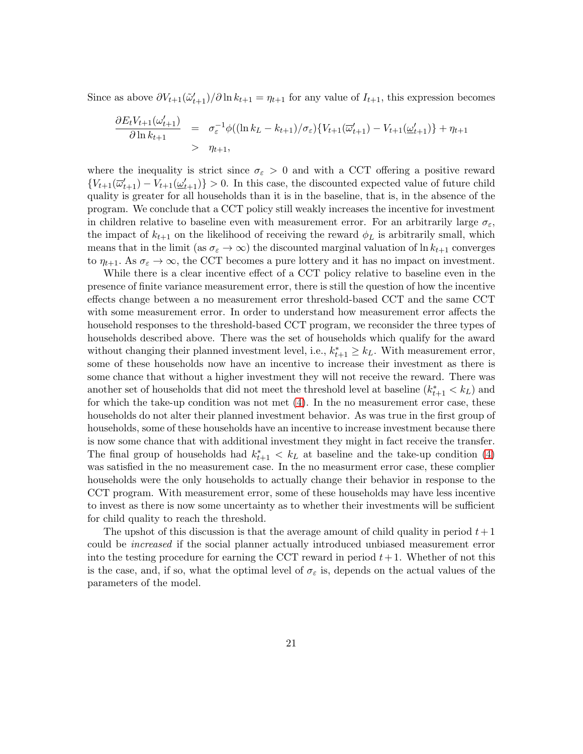Since as above  $\partial V_{t+1}(\tilde{\omega}'_{t+1})/\partial \ln k_{t+1} = \eta_{t+1}$  for any value of  $I_{t+1}$ , this expression becomes

$$
\frac{\partial E_t V_{t+1}(\omega'_{t+1})}{\partial \ln k_{t+1}} = \sigma_{\varepsilon}^{-1} \phi((\ln k_L - k_{t+1})/\sigma_{\varepsilon}) \{V_{t+1}(\overline{\omega}'_{t+1}) - V_{t+1}(\underline{\omega}'_{t+1})\} + \eta_{t+1} > \eta_{t+1},
$$

where the inequality is strict since  $\sigma_{\varepsilon} > 0$  and with a CCT offering a positive reward  ${V_{t+1}(\overline{\omega}'_{t+1}) - V_{t+1}(\underline{\omega}'_{t+1})} > 0$ . In this case, the discounted expected value of future child quality is greater for all households than it is in the baseline, that is, in the absence of the program. We conclude that a CCT policy still weakly increases the incentive for investment in children relative to baseline even with measurement error. For an arbitrarily large  $\sigma_{\varepsilon}$ , the impact of  $k_{t+1}$  on the likelihood of receiving the reward  $\phi_L$  is arbitrarily small, which means that in the limit (as  $\sigma_{\varepsilon} \to \infty$ ) the discounted marginal valuation of ln  $k_{t+1}$  converges to  $\eta_{t+1}$ . As  $\sigma_{\varepsilon} \to \infty$ , the CCT becomes a pure lottery and it has no impact on investment.

While there is a clear incentive effect of a CCT policy relative to baseline even in the presence of finite variance measurement error, there is still the question of how the incentive effects change between a no measurement error threshold-based CCT and the same CCT with some measurement error. In order to understand how measurement error affects the household responses to the threshold-based CCT program, we reconsider the three types of households described above. There was the set of households which qualify for the award without changing their planned investment level, i.e.,  $k_{t+1}^* \geq k_L$ . With measurement error, some of these households now have an incentive to increase their investment as there is some chance that without a higher investment they will not receive the reward. There was another set of households that did not meet the threshold level at baseline  $(k_{t+1}^* < k_L)$  and for which the take-up condition was not met [\(4\)](#page-18-0). In the no measurement error case, these households do not alter their planned investment behavior. As was true in the first group of households, some of these households have an incentive to increase investment because there is now some chance that with additional investment they might in fact receive the transfer. The final group of households had  $k_{t+1}^* < k_L$  at baseline and the take-up condition [\(4\)](#page-18-0) was satisfied in the no measurement case. In the no measurment error case, these complier households were the only households to actually change their behavior in response to the CCT program. With measurement error, some of these households may have less incentive to invest as there is now some uncertainty as to whether their investments will be sufficient for child quality to reach the threshold.

The upshot of this discussion is that the average amount of child quality in period  $t+1$ could be *increased* if the social planner actually introduced unbiased measurement error into the testing procedure for earning the CCT reward in period  $t+1$ . Whether of not this is the case, and, if so, what the optimal level of  $\sigma_{\varepsilon}$  is, depends on the actual values of the parameters of the model.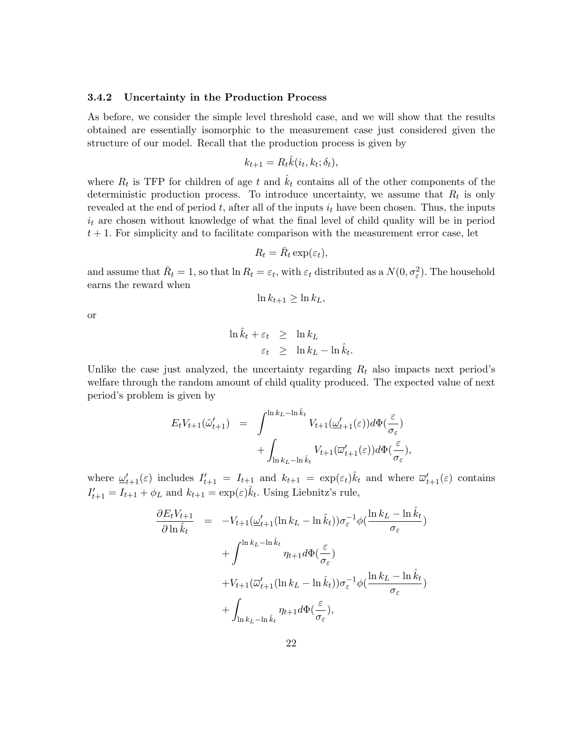#### 3.4.2 Uncertainty in the Production Process

As before, we consider the simple level threshold case, and we will show that the results obtained are essentially isomorphic to the measurement case just considered given the structure of our model. Recall that the production process is given by

$$
k_{t+1} = R_t \hat{k}(i_t, k_t; \delta_t),
$$

where  $R_t$  is TFP for children of age t and  $\hat{k}_t$  contains all of the other components of the deterministic production process. To introduce uncertainty, we assume that  $R_t$  is only revealed at the end of period t, after all of the inputs  $i_t$  have been chosen. Thus, the inputs  $i_t$  are chosen without knowledge of what the final level of child quality will be in period  $t + 1$ . For simplicity and to facilitate comparison with the measurement error case, let

$$
R_t = \bar{R}_t \exp(\varepsilon_t),
$$

and assume that  $\bar{R}_t = 1$ , so that  $\ln R_t = \varepsilon_t$ , with  $\varepsilon_t$  distributed as a  $N(0, \sigma_\varepsilon^2)$ . The household earns the reward when

$$
\ln k_{t+1} \ge \ln k_L,
$$

or

$$
\ln \hat{k}_t + \varepsilon_t \geq \ln k_L \n\varepsilon_t \geq \ln k_L - \ln \hat{k}_t
$$

.

Unlike the case just analyzed, the uncertainty regarding  $R_t$  also impacts next period's welfare through the random amount of child quality produced. The expected value of next period's problem is given by

$$
E_t V_{t+1}(\tilde{\omega}'_{t+1}) = \int_{\ln k_L - \ln \hat{k}_t}^{\ln k_L - \ln \hat{k}_t} V_{t+1}(\underline{\omega}'_{t+1}(\varepsilon)) d\Phi(\frac{\varepsilon}{\sigma_{\varepsilon}}) + \int_{\ln k_L - \ln \hat{k}_t} V_{t+1}(\overline{\omega}'_{t+1}(\varepsilon)) d\Phi(\frac{\varepsilon}{\sigma_{\varepsilon}}),
$$

where  $\omega'_{t+1}(\varepsilon)$  includes  $I'_{t+1} = I_{t+1}$  and  $k_{t+1} = \exp(\varepsilon_t)\hat{k}_t$  and where  $\overline{\omega}'_{t+1}(\varepsilon)$  contains  $I'_{t+1} = I_{t+1} + \phi_L$  and  $k_{t+1} = \exp(\varepsilon) \hat{k}_t$ . Using Liebnitz's rule,

$$
\frac{\partial E_t V_{t+1}}{\partial \ln \hat{k}_t} = -V_{t+1}(\underline{\omega}'_{t+1}(\ln k_L - \ln \hat{k}_t))\sigma_{\varepsilon}^{-1}\phi(\frac{\ln k_L - \ln \hat{k}_t}{\sigma_{\varepsilon}})
$$

$$
+ \int^{\ln k_L - \ln \hat{k}_t} \eta_{t+1} d\Phi(\frac{\varepsilon}{\sigma_{\varepsilon}})
$$

$$
+ V_{t+1}(\overline{\omega}'_{t+1}(\ln k_L - \ln \hat{k}_t))\sigma_{\varepsilon}^{-1}\phi(\frac{\ln k_L - \ln \hat{k}_t}{\sigma_{\varepsilon}})
$$

$$
+ \int_{\ln k_L - \ln \hat{k}_t} \eta_{t+1} d\Phi(\frac{\varepsilon}{\sigma_{\varepsilon}}),
$$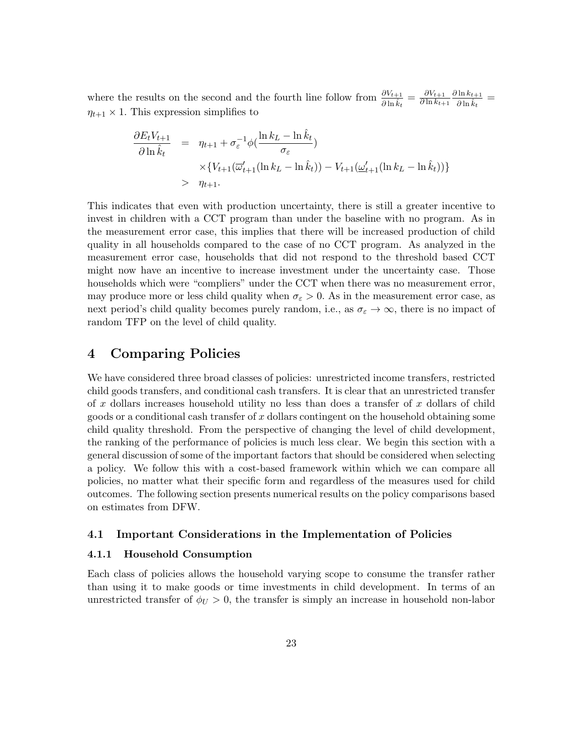where the results on the second and the fourth line follow from  $\frac{\partial V_{t+1}}{\partial u}$  $\frac{\partial V_{t+1}}{\partial \ln \hat{k}_t} = \frac{\partial V_{t+1}}{\partial \ln k_{t+1}}$  $\partial \ln k_{t+1}$  $\partial \ln k_{t+1}$  $\frac{\sin \kappa_{t+1}}{\partial \ln \hat{k}_t} =$  $\eta_{t+1} \times 1$ . This expression simplifies to

$$
\frac{\partial E_t V_{t+1}}{\partial \ln \hat{k}_t} = \eta_{t+1} + \sigma_{\varepsilon}^{-1} \phi\left(\frac{\ln k_L - \ln \hat{k}_t}{\sigma_{\varepsilon}}\right)
$$
  
 
$$
\times \{V_{t+1}(\overline{\omega}_{t+1}(\ln k_L - \ln \hat{k}_t)) - V_{t+1}(\underline{\omega}_{t+1}(\ln k_L - \ln \hat{k}_t))\}
$$
  
 
$$
> \eta_{t+1}.
$$

This indicates that even with production uncertainty, there is still a greater incentive to invest in children with a CCT program than under the baseline with no program. As in the measurement error case, this implies that there will be increased production of child quality in all households compared to the case of no CCT program. As analyzed in the measurement error case, households that did not respond to the threshold based CCT might now have an incentive to increase investment under the uncertainty case. Those households which were "compliers" under the CCT when there was no measurement error, may produce more or less child quality when  $\sigma_{\varepsilon} > 0$ . As in the measurement error case, as next period's child quality becomes purely random, i.e., as  $\sigma_{\varepsilon} \to \infty$ , there is no impact of random TFP on the level of child quality.

### 4 Comparing Policies

We have considered three broad classes of policies: unrestricted income transfers, restricted child goods transfers, and conditional cash transfers. It is clear that an unrestricted transfer of x dollars increases household utility no less than does a transfer of x dollars of child goods or a conditional cash transfer of  $x$  dollars contingent on the household obtaining some child quality threshold. From the perspective of changing the level of child development, the ranking of the performance of policies is much less clear. We begin this section with a general discussion of some of the important factors that should be considered when selecting a policy. We follow this with a cost-based framework within which we can compare all policies, no matter what their specific form and regardless of the measures used for child outcomes. The following section presents numerical results on the policy comparisons based on estimates from DFW.

#### 4.1 Important Considerations in the Implementation of Policies

#### 4.1.1 Household Consumption

Each class of policies allows the household varying scope to consume the transfer rather than using it to make goods or time investments in child development. In terms of an unrestricted transfer of  $\phi_U > 0$ , the transfer is simply an increase in household non-labor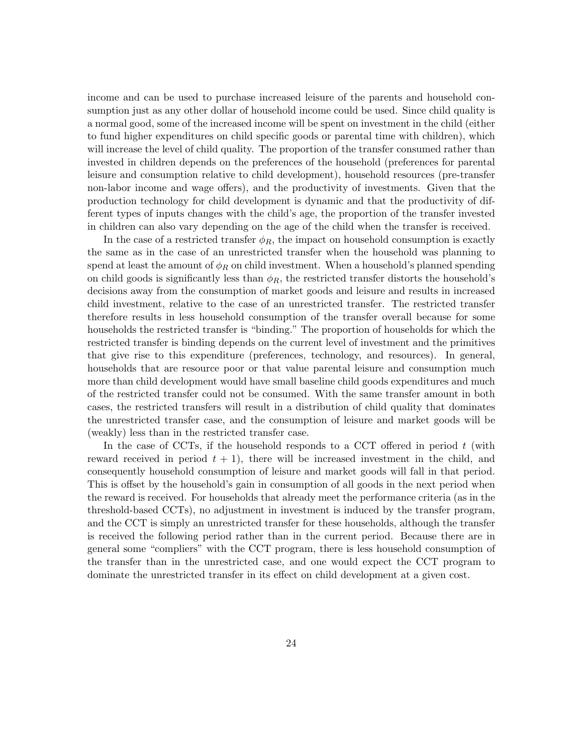income and can be used to purchase increased leisure of the parents and household consumption just as any other dollar of household income could be used. Since child quality is a normal good, some of the increased income will be spent on investment in the child (either to fund higher expenditures on child specific goods or parental time with children), which will increase the level of child quality. The proportion of the transfer consumed rather than invested in children depends on the preferences of the household (preferences for parental leisure and consumption relative to child development), household resources (pre-transfer non-labor income and wage offers), and the productivity of investments. Given that the production technology for child development is dynamic and that the productivity of different types of inputs changes with the child's age, the proportion of the transfer invested in children can also vary depending on the age of the child when the transfer is received.

In the case of a restricted transfer  $\phi_R$ , the impact on household consumption is exactly the same as in the case of an unrestricted transfer when the household was planning to spend at least the amount of  $\phi_R$  on child investment. When a household's planned spending on child goods is significantly less than  $\phi_R$ , the restricted transfer distorts the household's decisions away from the consumption of market goods and leisure and results in increased child investment, relative to the case of an unrestricted transfer. The restricted transfer therefore results in less household consumption of the transfer overall because for some households the restricted transfer is "binding." The proportion of households for which the restricted transfer is binding depends on the current level of investment and the primitives that give rise to this expenditure (preferences, technology, and resources). In general, households that are resource poor or that value parental leisure and consumption much more than child development would have small baseline child goods expenditures and much of the restricted transfer could not be consumed. With the same transfer amount in both cases, the restricted transfers will result in a distribution of child quality that dominates the unrestricted transfer case, and the consumption of leisure and market goods will be (weakly) less than in the restricted transfer case.

In the case of CCTs, if the household responds to a CCT offered in period  $t$  (with reward received in period  $t + 1$ , there will be increased investment in the child, and consequently household consumption of leisure and market goods will fall in that period. This is offset by the household's gain in consumption of all goods in the next period when the reward is received. For households that already meet the performance criteria (as in the threshold-based CCTs), no adjustment in investment is induced by the transfer program, and the CCT is simply an unrestricted transfer for these households, although the transfer is received the following period rather than in the current period. Because there are in general some "compliers" with the CCT program, there is less household consumption of the transfer than in the unrestricted case, and one would expect the CCT program to dominate the unrestricted transfer in its effect on child development at a given cost.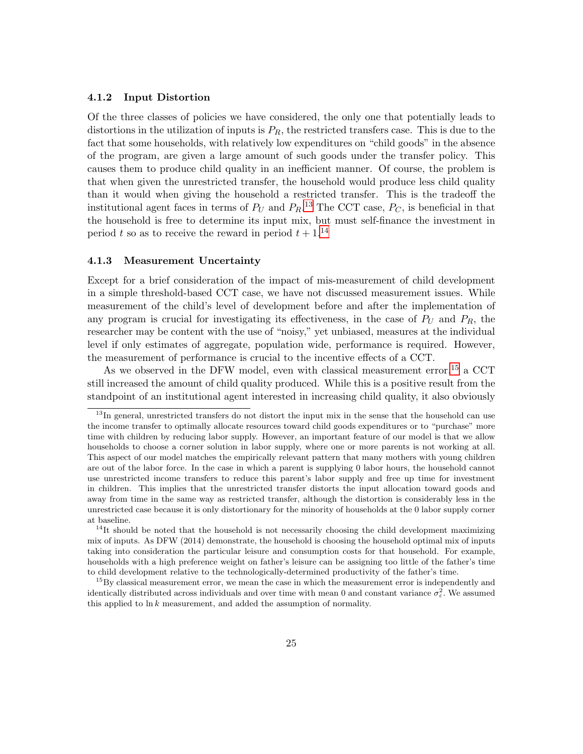#### 4.1.2 Input Distortion

Of the three classes of policies we have considered, the only one that potentially leads to distortions in the utilization of inputs is  $P_R$ , the restricted transfers case. This is due to the fact that some households, with relatively low expenditures on "child goods" in the absence of the program, are given a large amount of such goods under the transfer policy. This causes them to produce child quality in an inefficient manner. Of course, the problem is that when given the unrestricted transfer, the household would produce less child quality than it would when giving the household a restricted transfer. This is the tradeoff the institutional agent faces in terms of  $P_U$  and  $P_R$ .<sup>[13](#page-26-0)</sup> The CCT case,  $P_C$ , is beneficial in that the household is free to determine its input mix, but must self-finance the investment in period t so as to receive the reward in period  $t + 1$ .<sup>[14](#page-26-1)</sup>

#### 4.1.3 Measurement Uncertainty

Except for a brief consideration of the impact of mis-measurement of child development in a simple threshold-based CCT case, we have not discussed measurement issues. While measurement of the child's level of development before and after the implementation of any program is crucial for investigating its effectiveness, in the case of  $P_U$  and  $P_R$ , the researcher may be content with the use of "noisy," yet unbiased, measures at the individual level if only estimates of aggregate, population wide, performance is required. However, the measurement of performance is crucial to the incentive effects of a CCT.

As we observed in the DFW model, even with classical measurement error,<sup>[15](#page-26-2)</sup> a CCT still increased the amount of child quality produced. While this is a positive result from the standpoint of an institutional agent interested in increasing child quality, it also obviously

<span id="page-26-0"></span><sup>&</sup>lt;sup>13</sup>In general, unrestricted transfers do not distort the input mix in the sense that the household can use the income transfer to optimally allocate resources toward child goods expenditures or to "purchase" more time with children by reducing labor supply. However, an important feature of our model is that we allow households to choose a corner solution in labor supply, where one or more parents is not working at all. This aspect of our model matches the empirically relevant pattern that many mothers with young children are out of the labor force. In the case in which a parent is supplying 0 labor hours, the household cannot use unrestricted income transfers to reduce this parent's labor supply and free up time for investment in children. This implies that the unrestricted transfer distorts the input allocation toward goods and away from time in the same way as restricted transfer, although the distortion is considerably less in the unrestricted case because it is only distortionary for the minority of households at the 0 labor supply corner at baseline.

<span id="page-26-1"></span><sup>&</sup>lt;sup>14</sup>It should be noted that the household is not necessarily choosing the child development maximizing mix of inputs. As DFW (2014) demonstrate, the household is choosing the household optimal mix of inputs taking into consideration the particular leisure and consumption costs for that household. For example, households with a high preference weight on father's leisure can be assigning too little of the father's time to child development relative to the technologically-determined productivity of the father's time.

<span id="page-26-2"></span><sup>&</sup>lt;sup>15</sup>By classical measurement error, we mean the case in which the measurement error is independently and identically distributed across individuals and over time with mean 0 and constant variance  $\sigma_{\varepsilon}^2$ . We assumed this applied to  $\ln k$  measurement, and added the assumption of normality.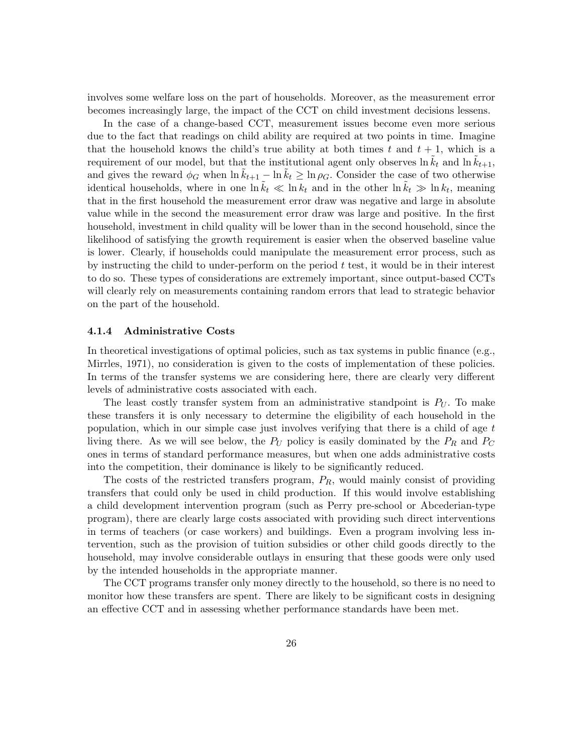involves some welfare loss on the part of households. Moreover, as the measurement error becomes increasingly large, the impact of the CCT on child investment decisions lessens.

In the case of a change-based CCT, measurement issues become even more serious due to the fact that readings on child ability are required at two points in time. Imagine that the household knows the child's true ability at both times t and  $t + 1$ , which is a requirement of our model, but that the institutional agent only observes  $\ln k_t$  and  $\ln k_{t+1}$ , and gives the reward  $\phi_G$  when  $\ln \tilde{k}_{t+1} - \ln \tilde{k}_t \geq \ln \rho_G$ . Consider the case of two otherwise identical households, where in one  $\ln \tilde{k}_t \ll \ln k_t$  and in the other  $\ln \tilde{k}_t \gg \ln k_t$ , meaning that in the first household the measurement error draw was negative and large in absolute value while in the second the measurement error draw was large and positive. In the first household, investment in child quality will be lower than in the second household, since the likelihood of satisfying the growth requirement is easier when the observed baseline value is lower. Clearly, if households could manipulate the measurement error process, such as by instructing the child to under-perform on the period  $t$  test, it would be in their interest to do so. These types of considerations are extremely important, since output-based CCTs will clearly rely on measurements containing random errors that lead to strategic behavior on the part of the household.

#### 4.1.4 Administrative Costs

In theoretical investigations of optimal policies, such as tax systems in public finance (e.g., Mirrles, 1971), no consideration is given to the costs of implementation of these policies. In terms of the transfer systems we are considering here, there are clearly very different levels of administrative costs associated with each.

The least costly transfer system from an administrative standpoint is  $P_U$ . To make these transfers it is only necessary to determine the eligibility of each household in the population, which in our simple case just involves verifying that there is a child of age t living there. As we will see below, the  $P_U$  policy is easily dominated by the  $P_R$  and  $P_C$ ones in terms of standard performance measures, but when one adds administrative costs into the competition, their dominance is likely to be significantly reduced.

The costs of the restricted transfers program,  $P_R$ , would mainly consist of providing transfers that could only be used in child production. If this would involve establishing a child development intervention program (such as Perry pre-school or Abcederian-type program), there are clearly large costs associated with providing such direct interventions in terms of teachers (or case workers) and buildings. Even a program involving less intervention, such as the provision of tuition subsidies or other child goods directly to the household, may involve considerable outlays in ensuring that these goods were only used by the intended households in the appropriate manner.

The CCT programs transfer only money directly to the household, so there is no need to monitor how these transfers are spent. There are likely to be significant costs in designing an effective CCT and in assessing whether performance standards have been met.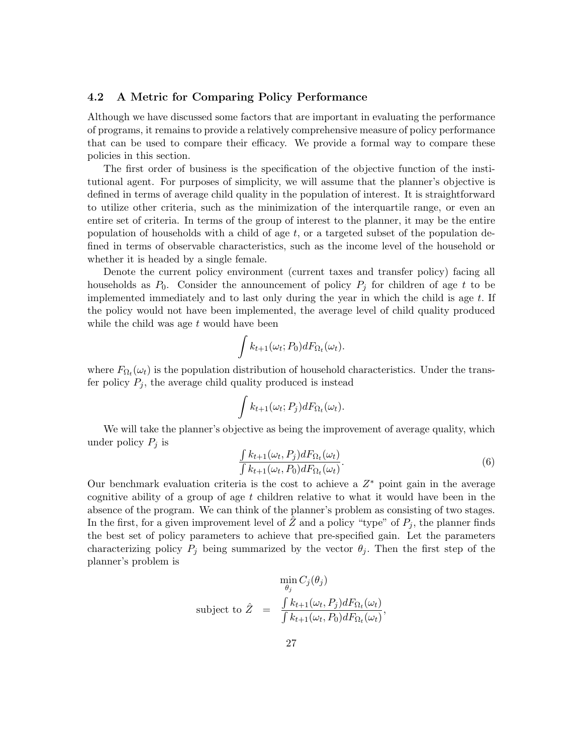#### 4.2 A Metric for Comparing Policy Performance

Although we have discussed some factors that are important in evaluating the performance of programs, it remains to provide a relatively comprehensive measure of policy performance that can be used to compare their efficacy. We provide a formal way to compare these policies in this section.

The first order of business is the specification of the objective function of the institutional agent. For purposes of simplicity, we will assume that the planner's objective is defined in terms of average child quality in the population of interest. It is straightforward to utilize other criteria, such as the minimization of the interquartile range, or even an entire set of criteria. In terms of the group of interest to the planner, it may be the entire population of households with a child of age t, or a targeted subset of the population defined in terms of observable characteristics, such as the income level of the household or whether it is headed by a single female.

Denote the current policy environment (current taxes and transfer policy) facing all households as  $P_0$ . Consider the announcement of policy  $P_j$  for children of age t to be implemented immediately and to last only during the year in which the child is age  $t$ . If the policy would not have been implemented, the average level of child quality produced while the child was age  $t$  would have been

$$
\int k_{t+1}(\omega_t; P_0) dF_{\Omega_t}(\omega_t).
$$

where  $F_{\Omega_t}(\omega_t)$  is the population distribution of household characteristics. Under the transfer policy  $P_j$ , the average child quality produced is instead

$$
\int k_{t+1}(\omega_t; P_j)dF_{\Omega_t}(\omega_t).
$$

We will take the planner's objective as being the improvement of average quality, which under policy  $P_i$  is

<span id="page-28-0"></span>
$$
\frac{\int k_{t+1}(\omega_t, P_j) dF_{\Omega_t}(\omega_t)}{\int k_{t+1}(\omega_t, P_0) dF_{\Omega_t}(\omega_t)}.
$$
\n
$$
(6)
$$

Our benchmark evaluation criteria is the cost to achieve a  $Z^*$  point gain in the average cognitive ability of a group of age  $t$  children relative to what it would have been in the absence of the program. We can think of the planner's problem as consisting of two stages. In the first, for a given improvement level of Z and a policy "type" of  $P_j$ , the planner finds the best set of policy parameters to achieve that pre-specified gain. Let the parameters characterizing policy  $P_j$  being summarized by the vector  $\theta_j$ . Then the first step of the planner's problem is

$$
\min_{\theta_j} C_j(\theta_j)
$$
  
subject to  $\hat{Z} = \frac{\int k_{t+1}(\omega_t, P_j) dF_{\Omega_t}(\omega_t)}{\int k_{t+1}(\omega_t, P_0) dF_{\Omega_t}(\omega_t)},$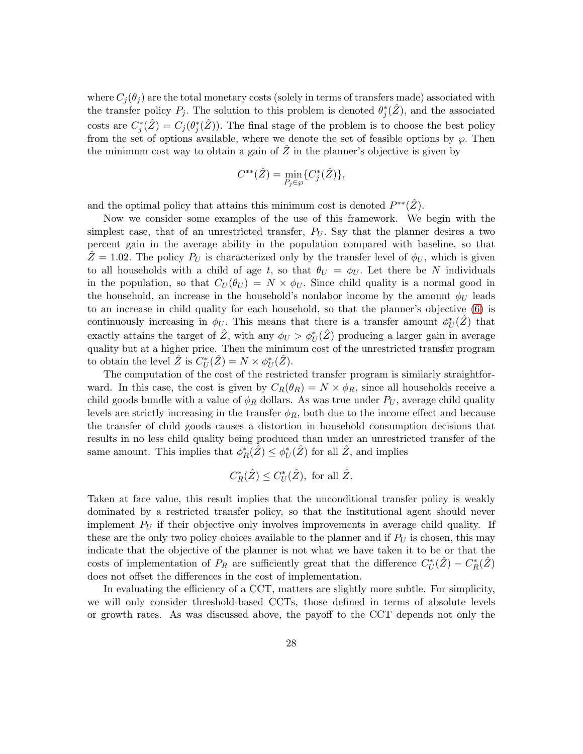where  $C_i(\theta_i)$  are the total monetary costs (solely in terms of transfers made) associated with the transfer policy  $P_j$ . The solution to this problem is denoted  $\theta_j^*$  $j(\hat{Z})$ , and the associated costs are  $C_i^*$  $j^*(\hat{Z})=C_j(\theta_j^*)$  $j^*(\hat{Z})$ ). The final stage of the problem is to choose the best policy from the set of options available, where we denote the set of feasible options by  $\wp$ . Then the minimum cost way to obtain a gain of  $\hat{Z}$  in the planner's objective is given by

$$
C^{**}(\hat{Z}) = \min_{P_j \in \wp} \{ C^*_j(\hat{Z}) \},\
$$

and the optimal policy that attains this minimum cost is denoted  $P^{**}(\hat{Z})$ .

Now we consider some examples of the use of this framework. We begin with the simplest case, that of an unrestricted transfer,  $P_U$ . Say that the planner desires a two percent gain in the average ability in the population compared with baseline, so that  $\tilde{Z} = 1.02$ . The policy  $P_U$  is characterized only by the transfer level of  $\phi_U$ , which is given to all households with a child of age t, so that  $\theta_U = \phi_U$ . Let there be N individuals in the population, so that  $C_U(\theta_U) = N \times \phi_U$ . Since child quality is a normal good in the household, an increase in the household's nonlabor income by the amount  $\phi_U$  leads to an increase in child quality for each household, so that the planner's objective [\(6\)](#page-28-0) is continuously increasing in  $\phi_U$ . This means that there is a transfer amount  $\phi_U^*$  $^*_U(\hat{Z})$  that exactly attains the target of  $\hat{Z}$ , with any  $\phi_U > \phi_U^*(\hat{Z})$  producing a larger gain in average quality but at a higher price. Then the minimum cost of the unrestricted transfer program to obtain the level  $\hat{Z}$  is  $C^*_{U}$  $U^*(\hat{Z}) = N \times \phi_U^*$  $_U^*(\hat{Z}).$ 

The computation of the cost of the restricted transfer program is similarly straightforward. In this case, the cost is given by  $C_R(\theta_R) = N \times \phi_R$ , since all households receive a child goods bundle with a value of  $\phi_R$  dollars. As was true under  $P_U$ , average child quality levels are strictly increasing in the transfer  $\phi_R$ , both due to the income effect and because the transfer of child goods causes a distortion in household consumption decisions that results in no less child quality being produced than under an unrestricted transfer of the same amount. This implies that  $\phi^*_{\mu}$  ${}_{R}^{*}(\hat{Z}) \leq \phi_{U}^{*}$  $\chi^*_{U}(\hat{Z})$  for all  $\hat{Z}$ , and implies

$$
C_R^*(\hat{Z}) \leq C_U^*(\hat{Z}), \text{ for all } \hat{Z}.
$$

Taken at face value, this result implies that the unconditional transfer policy is weakly dominated by a restricted transfer policy, so that the institutional agent should never implement  $P_U$  if their objective only involves improvements in average child quality. If these are the only two policy choices available to the planner and if  $P_U$  is chosen, this may indicate that the objective of the planner is not what we have taken it to be or that the costs of implementation of  $P_R$  are sufficiently great that the difference  $C_U^*$  $U^*(\hat{Z}) - C_R^*$  $\mathop{R}\limits^{\scriptscriptstyle(\ast)}(\hat{Z})$ does not offset the differences in the cost of implementation.

In evaluating the efficiency of a CCT, matters are slightly more subtle. For simplicity, we will only consider threshold-based CCTs, those defined in terms of absolute levels or growth rates. As was discussed above, the payoff to the CCT depends not only the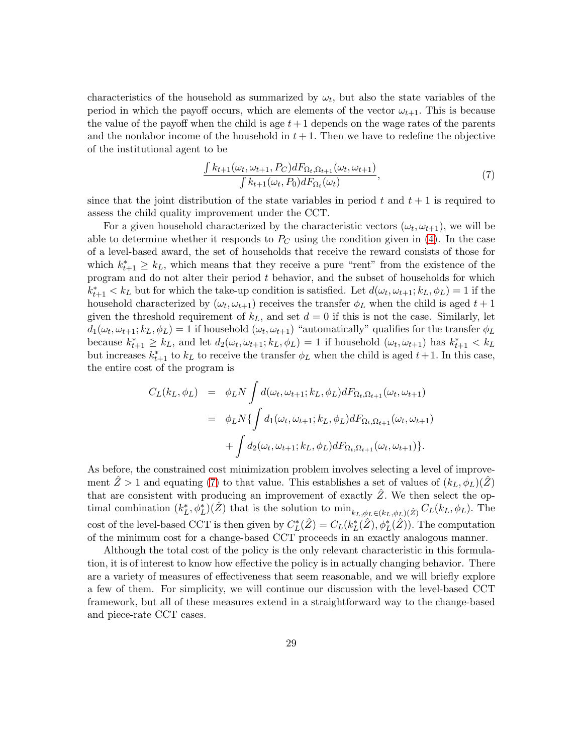characteristics of the household as summarized by  $\omega_t$ , but also the state variables of the period in which the payoff occurs, which are elements of the vector  $\omega_{t+1}$ . This is because the value of the payoff when the child is age  $t+1$  depends on the wage rates of the parents and the nonlabor income of the household in  $t + 1$ . Then we have to redefine the objective of the institutional agent to be

<span id="page-30-0"></span>
$$
\frac{\int k_{t+1}(\omega_t, \omega_{t+1}, P_C) dF_{\Omega_t, \Omega_{t+1}}(\omega_t, \omega_{t+1})}{\int k_{t+1}(\omega_t, P_0) dF_{\Omega_t}(\omega_t)},
$$
\n
$$
(7)
$$

since that the joint distribution of the state variables in period t and  $t + 1$  is required to assess the child quality improvement under the CCT.

For a given household characterized by the characteristic vectors  $(\omega_t, \omega_{t+1})$ , we will be able to determine whether it responds to  $P<sub>C</sub>$  using the condition given in [\(4\)](#page-18-0). In the case of a level-based award, the set of households that receive the reward consists of those for which  $k_{t+1}^* \geq k_L$ , which means that they receive a pure "rent" from the existence of the program and do not alter their period t behavior, and the subset of households for which  $k_{t+1}^* < k_L$  but for which the take-up condition is satisfied. Let  $d(\omega_t, \omega_{t+1}; k_L, \phi_L) = 1$  if the household characterized by  $(\omega_t, \omega_{t+1})$  receives the transfer  $\phi_L$  when the child is aged  $t+1$ given the threshold requirement of  $k<sub>L</sub>$ , and set  $d = 0$  if this is not the case. Similarly, let  $d_1(\omega_t, \omega_{t+1}; k_L, \phi_L) = 1$  if household  $(\omega_t, \omega_{t+1})$  "automatically" qualifies for the transfer  $\phi_L$ because  $k_{t+1}^* \geq k_L$ , and let  $d_2(\omega_t, \omega_{t+1}; k_L, \phi_L) = 1$  if household  $(\omega_t, \omega_{t+1})$  has  $k_{t+1}^* < k_L$ but increases  $k_{t+1}^*$  to  $k_L$  to receive the transfer  $\phi_L$  when the child is aged  $t+1$ . In this case, the entire cost of the program is

$$
C_L(k_L, \phi_L) = \phi_L N \int d(\omega_t, \omega_{t+1}; k_L, \phi_L) dF_{\Omega_t, \Omega_{t+1}}(\omega_t, \omega_{t+1})
$$
  

$$
= \phi_L N \{ \int d_1(\omega_t, \omega_{t+1}; k_L, \phi_L) dF_{\Omega_t, \Omega_{t+1}}(\omega_t, \omega_{t+1})
$$
  

$$
+ \int d_2(\omega_t, \omega_{t+1}; k_L, \phi_L) dF_{\Omega_t, \Omega_{t+1}}(\omega_t, \omega_{t+1}) \}.
$$

As before, the constrained cost minimization problem involves selecting a level of improvement  $Z > 1$  and equating [\(7\)](#page-30-0) to that value. This establishes a set of values of  $(k_L, \phi_L)(Z)$ that are consistent with producing an improvement of exactly  $Z$ . We then select the optimal combination  $(k_I^*)$  $(L, \phi_L^*)(\hat{Z})$  that is the solution to  $\min_{k_L, \phi_L \in (k_L, \phi_L)(\hat{Z})} C_L(k_L, \phi_L)$ . The cost of the level-based CCT is then given by  $C_L^*$  $L^*(\hat{Z}) = C_L(k_L^*)$  $L^*(\hat{Z}), \phi_L^*(\hat{Z})$ . The computation of the minimum cost for a change-based CCT proceeds in an exactly analogous manner.

Although the total cost of the policy is the only relevant characteristic in this formulation, it is of interest to know how effective the policy is in actually changing behavior. There are a variety of measures of effectiveness that seem reasonable, and we will briefly explore a few of them. For simplicity, we will continue our discussion with the level-based CCT framework, but all of these measures extend in a straightforward way to the change-based and piece-rate CCT cases.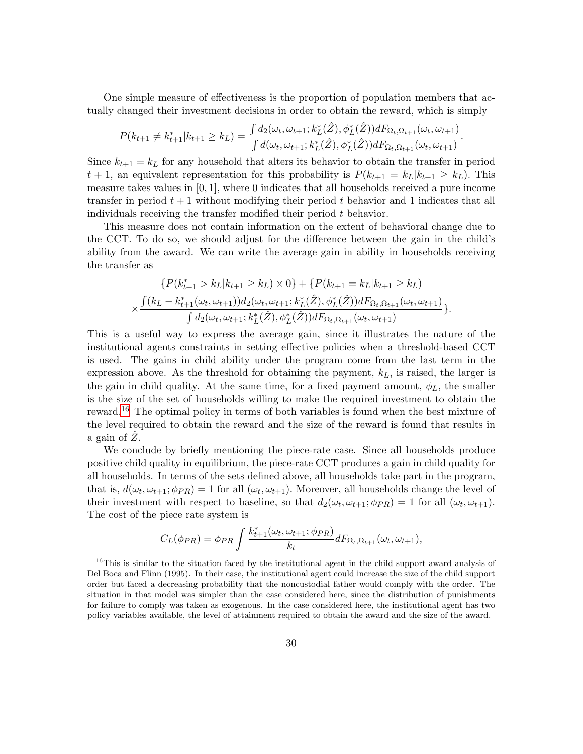One simple measure of effectiveness is the proportion of population members that actually changed their investment decisions in order to obtain the reward, which is simply

$$
P(k_{t+1} \neq k_{t+1}^* | k_{t+1} \geq k_L) = \frac{\int d_2(\omega_t, \omega_{t+1}; k_L^*(\hat{Z}), \phi_L^*(\hat{Z})) dF_{\Omega_t, \Omega_{t+1}}(\omega_t, \omega_{t+1})}{\int d(\omega_t, \omega_{t+1}; k_L^*(\hat{Z}), \phi_L^*(\hat{Z})) dF_{\Omega_t, \Omega_{t+1}}(\omega_t, \omega_{t+1})}.
$$

Since  $k_{t+1} = k_L$  for any household that alters its behavior to obtain the transfer in period  $t + 1$ , an equivalent representation for this probability is  $P(k_{t+1} = k_L | k_{t+1} \ge k_L)$ . This measure takes values in  $[0, 1]$ , where 0 indicates that all households received a pure income transfer in period  $t + 1$  without modifying their period t behavior and 1 indicates that all individuals receiving the transfer modified their period t behavior.

This measure does not contain information on the extent of behavioral change due to the CCT. To do so, we should adjust for the difference between the gain in the child's ability from the award. We can write the average gain in ability in households receiving the transfer as

$$
\{P(k_{t+1}^* > k_L | k_{t+1} \ge k_L) \times 0\} + \{P(k_{t+1} = k_L | k_{t+1} \ge k_L) \times \frac{\int (k_L - k_{t+1}^* (\omega_t, \omega_{t+1})) d_2(\omega_t, \omega_{t+1}; k_L^* (\hat{Z}), \phi_L^* (\hat{Z})) dF_{\Omega_t, \Omega_{t+1}}(\omega_t, \omega_{t+1})}{\int d_2(\omega_t, \omega_{t+1}; k_L^* (\hat{Z}), \phi_L^* (\hat{Z})) dF_{\Omega_t, \Omega_{t+1}}(\omega_t, \omega_{t+1})} \}.
$$

This is a useful way to express the average gain, since it illustrates the nature of the institutional agents constraints in setting effective policies when a threshold-based CCT is used. The gains in child ability under the program come from the last term in the expression above. As the threshold for obtaining the payment,  $k<sub>L</sub>$ , is raised, the larger is the gain in child quality. At the same time, for a fixed payment amount,  $\phi_L$ , the smaller is the size of the set of households willing to make the required investment to obtain the reward.[16](#page-31-0) The optimal policy in terms of both variables is found when the best mixture of the level required to obtain the reward and the size of the reward is found that results in a gain of  $Z$ .

We conclude by briefly mentioning the piece-rate case. Since all households produce positive child quality in equilibrium, the piece-rate CCT produces a gain in child quality for all households. In terms of the sets defined above, all households take part in the program, that is,  $d(\omega_t, \omega_{t+1}; \phi_{PR}) = 1$  for all  $(\omega_t, \omega_{t+1})$ . Moreover, all households change the level of their investment with respect to baseline, so that  $d_2(\omega_t, \omega_{t+1}; \phi_{PR}) = 1$  for all  $(\omega_t, \omega_{t+1})$ . The cost of the piece rate system is

$$
C_L(\phi_{PR}) = \phi_{PR} \int \frac{k_{t+1}^*(\omega_t, \omega_{t+1}; \phi_{PR})}{k_t} dF_{\Omega_t, \Omega_{t+1}}(\omega_t, \omega_{t+1}),
$$

<span id="page-31-0"></span><sup>&</sup>lt;sup>16</sup>This is similar to the situation faced by the institutional agent in the child support award analysis of Del Boca and Flinn (1995). In their case, the institutional agent could increase the size of the child support order but faced a decreasing probability that the noncustodial father would comply with the order. The situation in that model was simpler than the case considered here, since the distribution of punishments for failure to comply was taken as exogenous. In the case considered here, the institutional agent has two policy variables available, the level of attainment required to obtain the award and the size of the award.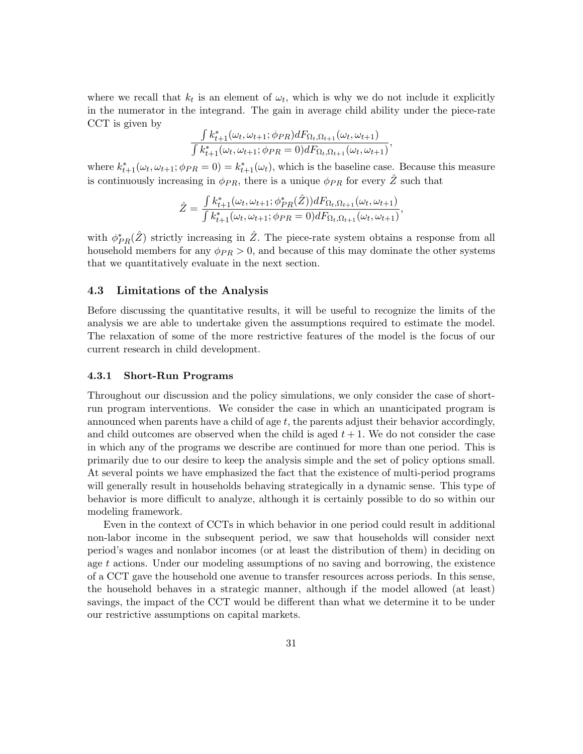where we recall that  $k_t$  is an element of  $\omega_t$ , which is why we do not include it explicitly in the numerator in the integrand. The gain in average child ability under the piece-rate CCT is given by

$$
\frac{\int k_{t+1}^*(\omega_t, \omega_{t+1}; \phi_{PR}) dF_{\Omega_t, \Omega_{t+1}}(\omega_t, \omega_{t+1})}{\int k_{t+1}^*(\omega_t, \omega_{t+1}; \phi_{PR} = 0) dF_{\Omega_t, \Omega_{t+1}}(\omega_t, \omega_{t+1})},
$$

where  $k_{t+1}^*(\omega_t, \omega_{t+1}; \phi_{PR} = 0) = k_{t+1}^*(\omega_t)$ , which is the baseline case. Because this measure is continuously increasing in  $\phi_{PR}$ , there is a unique  $\phi_{PR}$  for every  $\hat{Z}$  such that

$$
\hat{Z} = \frac{\int k_{t+1}^*(\omega_t, \omega_{t+1}; \phi_{PR}^*(\hat{Z}))dF_{\Omega_t, \Omega_{t+1}}(\omega_t, \omega_{t+1})}{\int k_{t+1}^*(\omega_t, \omega_{t+1}; \phi_{PR} = 0)dF_{\Omega_t, \Omega_{t+1}}(\omega_t, \omega_{t+1})},
$$

with  $\phi^*_{PR}(\hat{Z})$  strictly increasing in  $\hat{Z}$ . The piece-rate system obtains a response from all household members for any  $\phi_{PR} > 0$ , and because of this may dominate the other systems that we quantitatively evaluate in the next section.

#### 4.3 Limitations of the Analysis

Before discussing the quantitative results, it will be useful to recognize the limits of the analysis we are able to undertake given the assumptions required to estimate the model. The relaxation of some of the more restrictive features of the model is the focus of our current research in child development.

#### 4.3.1 Short-Run Programs

Throughout our discussion and the policy simulations, we only consider the case of shortrun program interventions. We consider the case in which an unanticipated program is announced when parents have a child of age t, the parents adjust their behavior accordingly, and child outcomes are observed when the child is aged  $t + 1$ . We do not consider the case in which any of the programs we describe are continued for more than one period. This is primarily due to our desire to keep the analysis simple and the set of policy options small. At several points we have emphasized the fact that the existence of multi-period programs will generally result in households behaving strategically in a dynamic sense. This type of behavior is more difficult to analyze, although it is certainly possible to do so within our modeling framework.

Even in the context of CCTs in which behavior in one period could result in additional non-labor income in the subsequent period, we saw that households will consider next period's wages and nonlabor incomes (or at least the distribution of them) in deciding on age  $t$  actions. Under our modeling assumptions of no saving and borrowing, the existence of a CCT gave the household one avenue to transfer resources across periods. In this sense, the household behaves in a strategic manner, although if the model allowed (at least) savings, the impact of the CCT would be different than what we determine it to be under our restrictive assumptions on capital markets.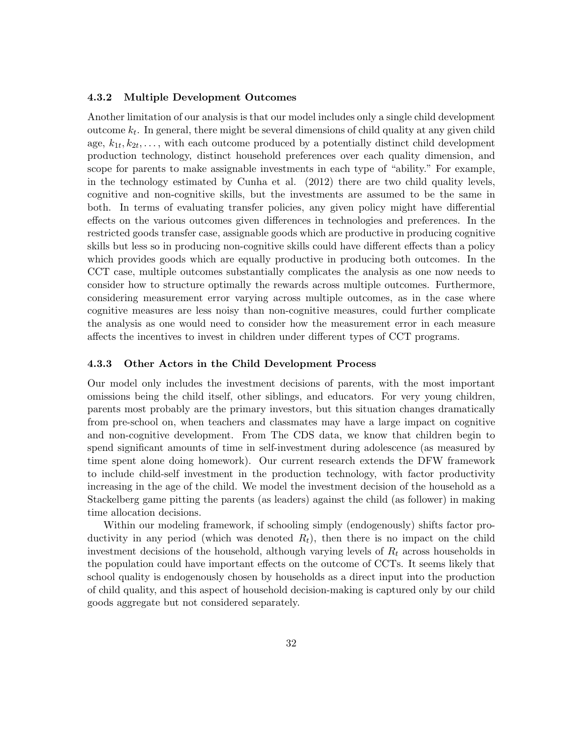#### 4.3.2 Multiple Development Outcomes

Another limitation of our analysis is that our model includes only a single child development outcome  $k_t$ . In general, there might be several dimensions of child quality at any given child age,  $k_{1t}, k_{2t}, \ldots$ , with each outcome produced by a potentially distinct child development production technology, distinct household preferences over each quality dimension, and scope for parents to make assignable investments in each type of "ability." For example, in the technology estimated by Cunha et al. (2012) there are two child quality levels, cognitive and non-cognitive skills, but the investments are assumed to be the same in both. In terms of evaluating transfer policies, any given policy might have differential effects on the various outcomes given differences in technologies and preferences. In the restricted goods transfer case, assignable goods which are productive in producing cognitive skills but less so in producing non-cognitive skills could have different effects than a policy which provides goods which are equally productive in producing both outcomes. In the CCT case, multiple outcomes substantially complicates the analysis as one now needs to consider how to structure optimally the rewards across multiple outcomes. Furthermore, considering measurement error varying across multiple outcomes, as in the case where cognitive measures are less noisy than non-cognitive measures, could further complicate the analysis as one would need to consider how the measurement error in each measure affects the incentives to invest in children under different types of CCT programs.

#### 4.3.3 Other Actors in the Child Development Process

Our model only includes the investment decisions of parents, with the most important omissions being the child itself, other siblings, and educators. For very young children, parents most probably are the primary investors, but this situation changes dramatically from pre-school on, when teachers and classmates may have a large impact on cognitive and non-cognitive development. From The CDS data, we know that children begin to spend significant amounts of time in self-investment during adolescence (as measured by time spent alone doing homework). Our current research extends the DFW framework to include child-self investment in the production technology, with factor productivity increasing in the age of the child. We model the investment decision of the household as a Stackelberg game pitting the parents (as leaders) against the child (as follower) in making time allocation decisions.

Within our modeling framework, if schooling simply (endogenously) shifts factor productivity in any period (which was denoted  $R_t$ ), then there is no impact on the child investment decisions of the household, although varying levels of  $R_t$  across households in the population could have important effects on the outcome of CCTs. It seems likely that school quality is endogenously chosen by households as a direct input into the production of child quality, and this aspect of household decision-making is captured only by our child goods aggregate but not considered separately.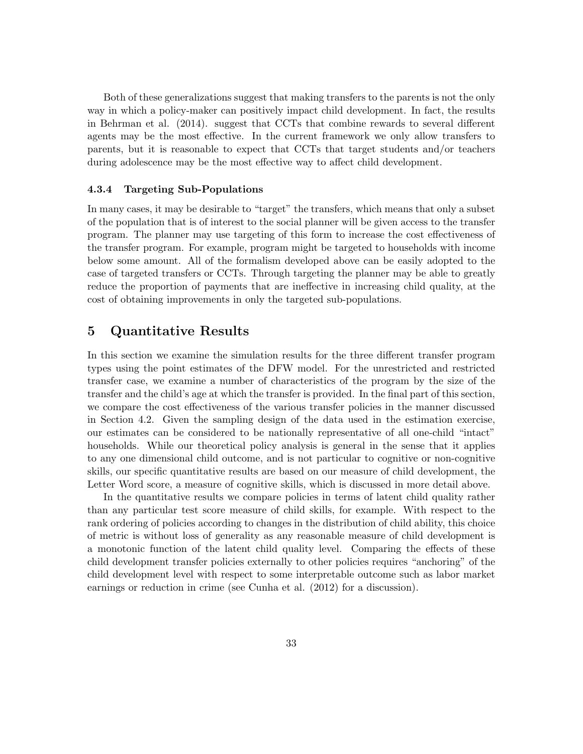Both of these generalizations suggest that making transfers to the parents is not the only way in which a policy-maker can positively impact child development. In fact, the results in Behrman et al. (2014). suggest that CCTs that combine rewards to several different agents may be the most effective. In the current framework we only allow transfers to parents, but it is reasonable to expect that CCTs that target students and/or teachers during adolescence may be the most effective way to affect child development.

#### 4.3.4 Targeting Sub-Populations

In many cases, it may be desirable to "target" the transfers, which means that only a subset of the population that is of interest to the social planner will be given access to the transfer program. The planner may use targeting of this form to increase the cost effectiveness of the transfer program. For example, program might be targeted to households with income below some amount. All of the formalism developed above can be easily adopted to the case of targeted transfers or CCTs. Through targeting the planner may be able to greatly reduce the proportion of payments that are ineffective in increasing child quality, at the cost of obtaining improvements in only the targeted sub-populations.

### 5 Quantitative Results

In this section we examine the simulation results for the three different transfer program types using the point estimates of the DFW model. For the unrestricted and restricted transfer case, we examine a number of characteristics of the program by the size of the transfer and the child's age at which the transfer is provided. In the final part of this section, we compare the cost effectiveness of the various transfer policies in the manner discussed in Section 4.2. Given the sampling design of the data used in the estimation exercise, our estimates can be considered to be nationally representative of all one-child "intact" households. While our theoretical policy analysis is general in the sense that it applies to any one dimensional child outcome, and is not particular to cognitive or non-cognitive skills, our specific quantitative results are based on our measure of child development, the Letter Word score, a measure of cognitive skills, which is discussed in more detail above.

In the quantitative results we compare policies in terms of latent child quality rather than any particular test score measure of child skills, for example. With respect to the rank ordering of policies according to changes in the distribution of child ability, this choice of metric is without loss of generality as any reasonable measure of child development is a monotonic function of the latent child quality level. Comparing the effects of these child development transfer policies externally to other policies requires "anchoring" of the child development level with respect to some interpretable outcome such as labor market earnings or reduction in crime (see Cunha et al. (2012) for a discussion).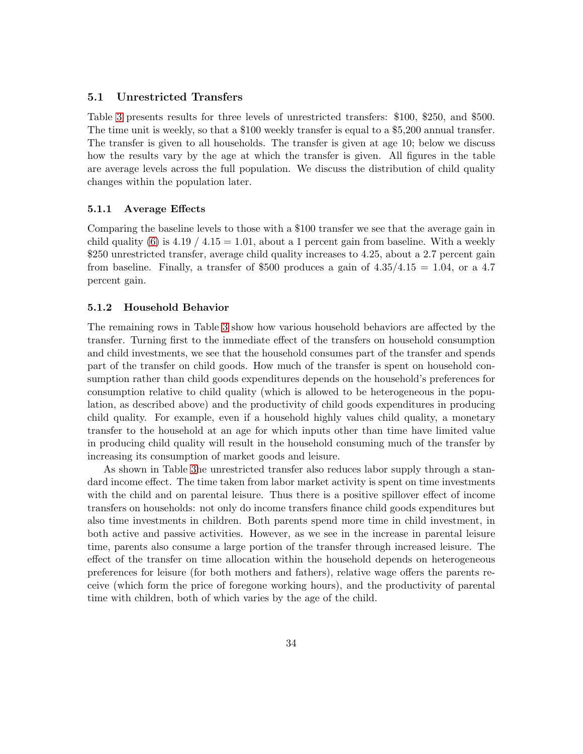#### 5.1 Unrestricted Transfers

Table [3](#page-59-0) presents results for three levels of unrestricted transfers: \$100, \$250, and \$500. The time unit is weekly, so that a \$100 weekly transfer is equal to a \$5,200 annual transfer. The transfer is given to all households. The transfer is given at age 10; below we discuss how the results vary by the age at which the transfer is given. All figures in the table are average levels across the full population. We discuss the distribution of child quality changes within the population later.

#### 5.1.1 Average Effects

Comparing the baseline levels to those with a \$100 transfer we see that the average gain in child quality [\(6\)](#page-28-0) is  $4.19 / 4.15 = 1.01$ , about a 1 percent gain from baseline. With a weekly \$250 unrestricted transfer, average child quality increases to 4.25, about a 2.7 percent gain from baseline. Finally, a transfer of \$500 produces a gain of  $4.35/4.15 = 1.04$ , or a 4.7 percent gain.

#### 5.1.2 Household Behavior

The remaining rows in Table [3](#page-59-0) show how various household behaviors are affected by the transfer. Turning first to the immediate effect of the transfers on household consumption and child investments, we see that the household consumes part of the transfer and spends part of the transfer on child goods. How much of the transfer is spent on household consumption rather than child goods expenditures depends on the household's preferences for consumption relative to child quality (which is allowed to be heterogeneous in the population, as described above) and the productivity of child goods expenditures in producing child quality. For example, even if a household highly values child quality, a monetary transfer to the household at an age for which inputs other than time have limited value in producing child quality will result in the household consuming much of the transfer by increasing its consumption of market goods and leisure.

As shown in Table [3h](#page-59-0)e unrestricted transfer also reduces labor supply through a standard income effect. The time taken from labor market activity is spent on time investments with the child and on parental leisure. Thus there is a positive spillover effect of income transfers on households: not only do income transfers finance child goods expenditures but also time investments in children. Both parents spend more time in child investment, in both active and passive activities. However, as we see in the increase in parental leisure time, parents also consume a large portion of the transfer through increased leisure. The effect of the transfer on time allocation within the household depends on heterogeneous preferences for leisure (for both mothers and fathers), relative wage offers the parents receive (which form the price of foregone working hours), and the productivity of parental time with children, both of which varies by the age of the child.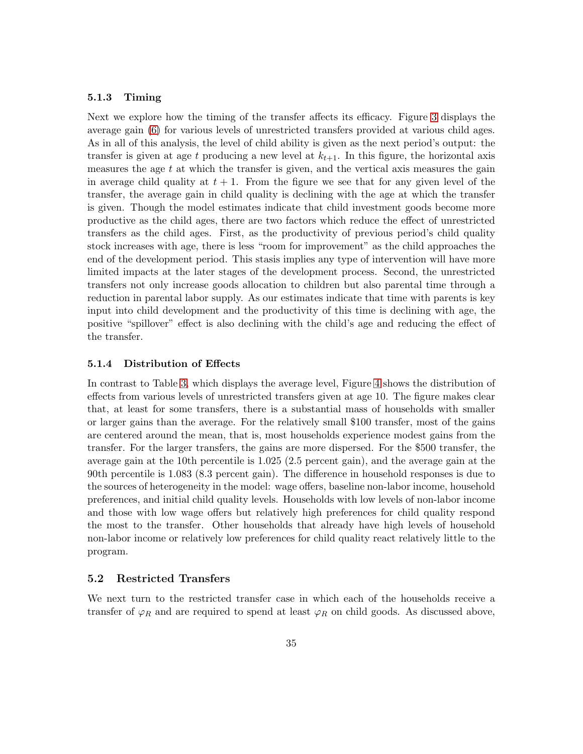#### 5.1.3 Timing

Next we explore how the timing of the transfer affects its efficacy. Figure [3](#page-51-0) displays the average gain [\(6\)](#page-28-0) for various levels of unrestricted transfers provided at various child ages. As in all of this analysis, the level of child ability is given as the next period's output: the transfer is given at age t producing a new level at  $k_{t+1}$ . In this figure, the horizontal axis measures the age  $t$  at which the transfer is given, and the vertical axis measures the gain in average child quality at  $t + 1$ . From the figure we see that for any given level of the transfer, the average gain in child quality is declining with the age at which the transfer is given. Though the model estimates indicate that child investment goods become more productive as the child ages, there are two factors which reduce the effect of unrestricted transfers as the child ages. First, as the productivity of previous period's child quality stock increases with age, there is less "room for improvement" as the child approaches the end of the development period. This stasis implies any type of intervention will have more limited impacts at the later stages of the development process. Second, the unrestricted transfers not only increase goods allocation to children but also parental time through a reduction in parental labor supply. As our estimates indicate that time with parents is key input into child development and the productivity of this time is declining with age, the positive "spillover" effect is also declining with the child's age and reducing the effect of the transfer.

#### 5.1.4 Distribution of Effects

In contrast to Table [3,](#page-59-0) which displays the average level, Figure [4](#page-52-0) shows the distribution of effects from various levels of unrestricted transfers given at age 10. The figure makes clear that, at least for some transfers, there is a substantial mass of households with smaller or larger gains than the average. For the relatively small \$100 transfer, most of the gains are centered around the mean, that is, most households experience modest gains from the transfer. For the larger transfers, the gains are more dispersed. For the \$500 transfer, the average gain at the 10th percentile is 1.025 (2.5 percent gain), and the average gain at the 90th percentile is 1.083 (8.3 percent gain). The difference in household responses is due to the sources of heterogeneity in the model: wage offers, baseline non-labor income, household preferences, and initial child quality levels. Households with low levels of non-labor income and those with low wage offers but relatively high preferences for child quality respond the most to the transfer. Other households that already have high levels of household non-labor income or relatively low preferences for child quality react relatively little to the program.

#### 5.2 Restricted Transfers

We next turn to the restricted transfer case in which each of the households receive a transfer of  $\varphi_R$  and are required to spend at least  $\varphi_R$  on child goods. As discussed above,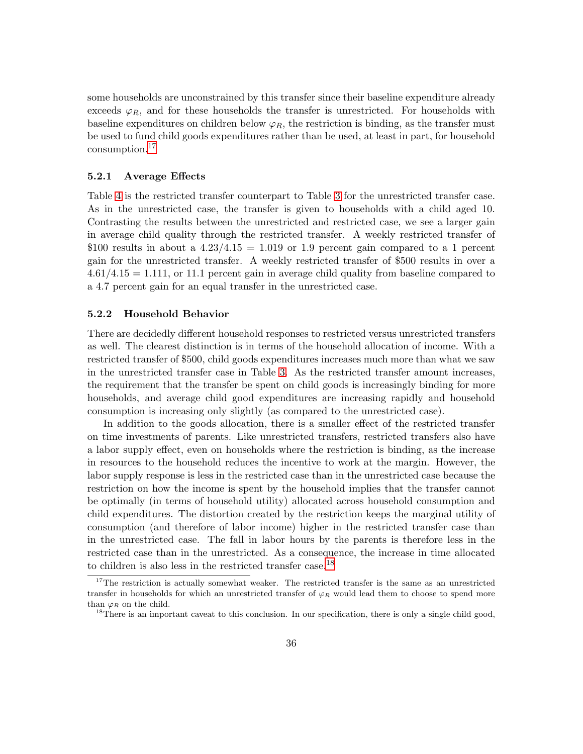some households are unconstrained by this transfer since their baseline expenditure already exceeds  $\varphi_R$ , and for these households the transfer is unrestricted. For households with baseline expenditures on children below  $\varphi_R$ , the restriction is binding, as the transfer must be used to fund child goods expenditures rather than be used, at least in part, for household consumption.[17](#page-37-0)

#### 5.2.1 Average Effects

Table [4](#page-60-0) is the restricted transfer counterpart to Table [3](#page-59-0) for the unrestricted transfer case. As in the unrestricted case, the transfer is given to households with a child aged 10. Contrasting the results between the unrestricted and restricted case, we see a larger gain in average child quality through the restricted transfer. A weekly restricted transfer of \$100 results in about a  $4.23/4.15 = 1.019$  or 1.9 percent gain compared to a 1 percent gain for the unrestricted transfer. A weekly restricted transfer of \$500 results in over a  $4.61/4.15 = 1.111$ , or 11.1 percent gain in average child quality from baseline compared to a 4.7 percent gain for an equal transfer in the unrestricted case.

#### 5.2.2 Household Behavior

There are decidedly different household responses to restricted versus unrestricted transfers as well. The clearest distinction is in terms of the household allocation of income. With a restricted transfer of \$500, child goods expenditures increases much more than what we saw in the unrestricted transfer case in Table [3.](#page-59-0) As the restricted transfer amount increases, the requirement that the transfer be spent on child goods is increasingly binding for more households, and average child good expenditures are increasing rapidly and household consumption is increasing only slightly (as compared to the unrestricted case).

In addition to the goods allocation, there is a smaller effect of the restricted transfer on time investments of parents. Like unrestricted transfers, restricted transfers also have a labor supply effect, even on households where the restriction is binding, as the increase in resources to the household reduces the incentive to work at the margin. However, the labor supply response is less in the restricted case than in the unrestricted case because the restriction on how the income is spent by the household implies that the transfer cannot be optimally (in terms of household utility) allocated across household consumption and child expenditures. The distortion created by the restriction keeps the marginal utility of consumption (and therefore of labor income) higher in the restricted transfer case than in the unrestricted case. The fall in labor hours by the parents is therefore less in the restricted case than in the unrestricted. As a consequence, the increase in time allocated to children is also less in the restricted transfer case.[18](#page-37-1)

<span id="page-37-0"></span><sup>&</sup>lt;sup>17</sup>The restriction is actually somewhat weaker. The restricted transfer is the same as an unrestricted transfer in households for which an unrestricted transfer of  $\varphi_R$  would lead them to choose to spend more than  $\varphi_R$  on the child.

<span id="page-37-1"></span><sup>&</sup>lt;sup>18</sup>There is an important caveat to this conclusion. In our specification, there is only a single child good,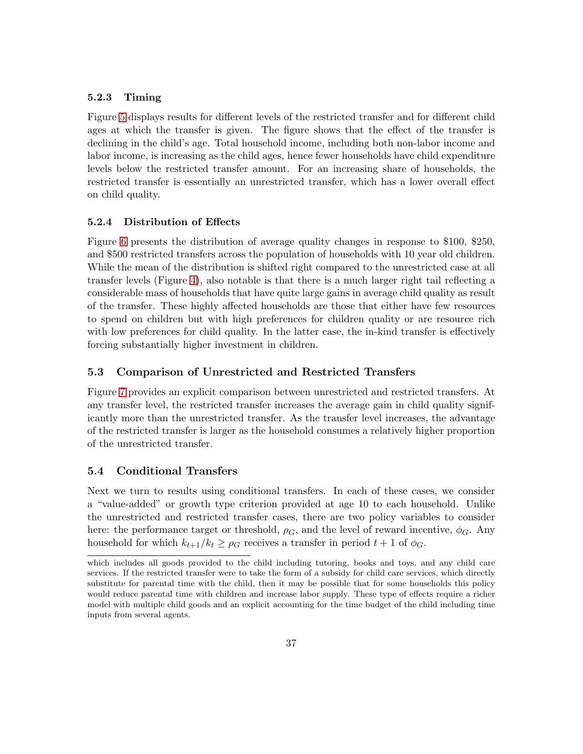#### 5.2.3 Timing

Figure [5](#page-53-0) displays results for different levels of the restricted transfer and for different child ages at which the transfer is given. The figure shows that the effect of the transfer is declining in the child's age. Total household income, including both non-labor income and labor income, is increasing as the child ages, hence fewer households have child expenditure levels below the restricted transfer amount. For an increasing share of households, the restricted transfer is essentially an unrestricted transfer, which has a lower overall effect on child quality.

#### 5.2.4 Distribution of Effects

Figure [6](#page-54-0) presents the distribution of average quality changes in response to \$100, \$250, and \$500 restricted transfers across the population of households with 10 year old children. While the mean of the distribution is shifted right compared to the unrestricted case at all transfer levels (Figure [4\)](#page-52-0), also notable is that there is a much larger right tail reflecting a considerable mass of households that have quite large gains in average child quality as result of the transfer. These highly affected households are those that either have few resources to spend on children but with high preferences for children quality or are resource rich with low preferences for child quality. In the latter case, the in-kind transfer is effectively forcing substantially higher investment in children.

#### 5.3 Comparison of Unrestricted and Restricted Transfers

Figure [7](#page-55-0) provides an explicit comparison between unrestricted and restricted transfers. At any transfer level, the restricted transfer increases the average gain in child quality significantly more than the unrestricted transfer. As the transfer level increases, the advantage of the restricted transfer is larger as the household consumes a relatively higher proportion of the unrestricted transfer.

#### 5.4 Conditional Transfers

Next we turn to results using conditional transfers. In each of these cases, we consider a "value-added" or growth type criterion provided at age 10 to each household. Unlike the unrestricted and restricted transfer cases, there are two policy variables to consider here: the performance target or threshold,  $\rho_G$ , and the level of reward incentive,  $\phi_G$ . Any household for which  $k_{t+1}/k_t \geq \rho_G$  receives a transfer in period  $t+1$  of  $\phi_G$ .

which includes all goods provided to the child including tutoring, books and toys, and any child care services. If the restricted transfer were to take the form of a subsidy for child care services, which directly substitute for parental time with the child, then it may be possible that for some households this policy would reduce parental time with children and increase labor supply. These type of effects require a richer model with multiple child goods and an explicit accounting for the time budget of the child including time inputs from several agents.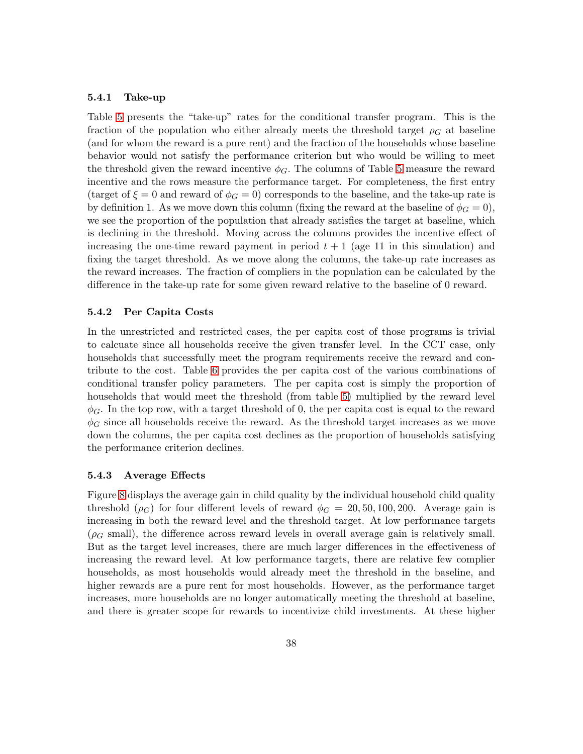#### 5.4.1 Take-up

Table [5](#page-61-0) presents the "take-up" rates for the conditional transfer program. This is the fraction of the population who either already meets the threshold target  $\rho_G$  at baseline (and for whom the reward is a pure rent) and the fraction of the households whose baseline behavior would not satisfy the performance criterion but who would be willing to meet the threshold given the reward incentive  $\phi_G$ . The columns of Table [5](#page-61-0) measure the reward incentive and the rows measure the performance target. For completeness, the first entry (target of  $\xi = 0$  and reward of  $\phi_G = 0$ ) corresponds to the baseline, and the take-up rate is by definition 1. As we move down this column (fixing the reward at the baseline of  $\phi_G = 0$ ), we see the proportion of the population that already satisfies the target at baseline, which is declining in the threshold. Moving across the columns provides the incentive effect of increasing the one-time reward payment in period  $t + 1$  (age 11 in this simulation) and fixing the target threshold. As we move along the columns, the take-up rate increases as the reward increases. The fraction of compliers in the population can be calculated by the difference in the take-up rate for some given reward relative to the baseline of 0 reward.

#### 5.4.2 Per Capita Costs

In the unrestricted and restricted cases, the per capita cost of those programs is trivial to calcuate since all households receive the given transfer level. In the CCT case, only households that successfully meet the program requirements receive the reward and contribute to the cost. Table [6](#page-61-1) provides the per capita cost of the various combinations of conditional transfer policy parameters. The per capita cost is simply the proportion of households that would meet the threshold (from table [5\)](#page-61-0) multiplied by the reward level  $\phi_G$ . In the top row, with a target threshold of 0, the per capita cost is equal to the reward  $\phi_G$  since all households receive the reward. As the threshold target increases as we move down the columns, the per capita cost declines as the proportion of households satisfying the performance criterion declines.

#### 5.4.3 Average Effects

Figure [8](#page-56-0) displays the average gain in child quality by the individual household child quality threshold ( $\rho_G$ ) for four different levels of reward  $\phi_G = 20, 50, 100, 200$ . Average gain is increasing in both the reward level and the threshold target. At low performance targets  $(\rho_G \text{ small})$ , the difference across reward levels in overall average gain is relatively small. But as the target level increases, there are much larger differences in the effectiveness of increasing the reward level. At low performance targets, there are relative few complier households, as most households would already meet the threshold in the baseline, and higher rewards are a pure rent for most households. However, as the performance target increases, more households are no longer automatically meeting the threshold at baseline, and there is greater scope for rewards to incentivize child investments. At these higher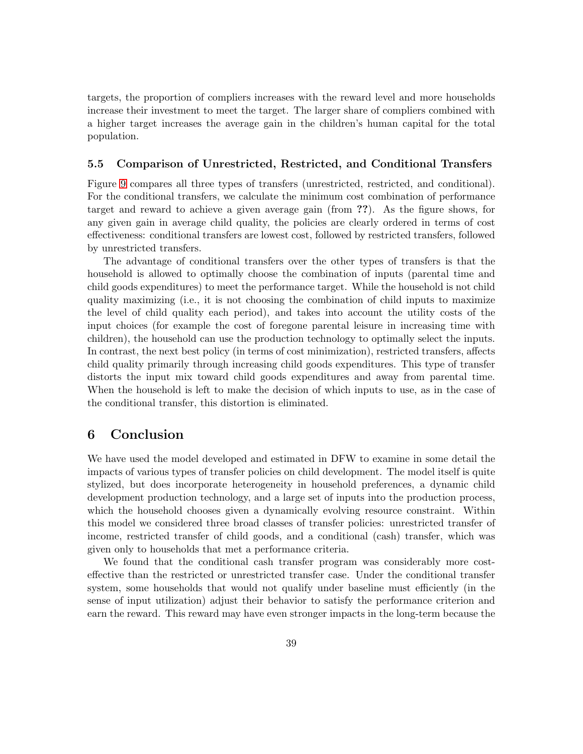targets, the proportion of compliers increases with the reward level and more households increase their investment to meet the target. The larger share of compliers combined with a higher target increases the average gain in the children's human capital for the total population.

#### 5.5 Comparison of Unrestricted, Restricted, and Conditional Transfers

Figure [9](#page-57-0) compares all three types of transfers (unrestricted, restricted, and conditional). For the conditional transfers, we calculate the minimum cost combination of performance target and reward to achieve a given average gain (from ??). As the figure shows, for any given gain in average child quality, the policies are clearly ordered in terms of cost effectiveness: conditional transfers are lowest cost, followed by restricted transfers, followed by unrestricted transfers.

The advantage of conditional transfers over the other types of transfers is that the household is allowed to optimally choose the combination of inputs (parental time and child goods expenditures) to meet the performance target. While the household is not child quality maximizing (i.e., it is not choosing the combination of child inputs to maximize the level of child quality each period), and takes into account the utility costs of the input choices (for example the cost of foregone parental leisure in increasing time with children), the household can use the production technology to optimally select the inputs. In contrast, the next best policy (in terms of cost minimization), restricted transfers, affects child quality primarily through increasing child goods expenditures. This type of transfer distorts the input mix toward child goods expenditures and away from parental time. When the household is left to make the decision of which inputs to use, as in the case of the conditional transfer, this distortion is eliminated.

### 6 Conclusion

We have used the model developed and estimated in DFW to examine in some detail the impacts of various types of transfer policies on child development. The model itself is quite stylized, but does incorporate heterogeneity in household preferences, a dynamic child development production technology, and a large set of inputs into the production process, which the household chooses given a dynamically evolving resource constraint. Within this model we considered three broad classes of transfer policies: unrestricted transfer of income, restricted transfer of child goods, and a conditional (cash) transfer, which was given only to households that met a performance criteria.

We found that the conditional cash transfer program was considerably more costeffective than the restricted or unrestricted transfer case. Under the conditional transfer system, some households that would not qualify under baseline must efficiently (in the sense of input utilization) adjust their behavior to satisfy the performance criterion and earn the reward. This reward may have even stronger impacts in the long-term because the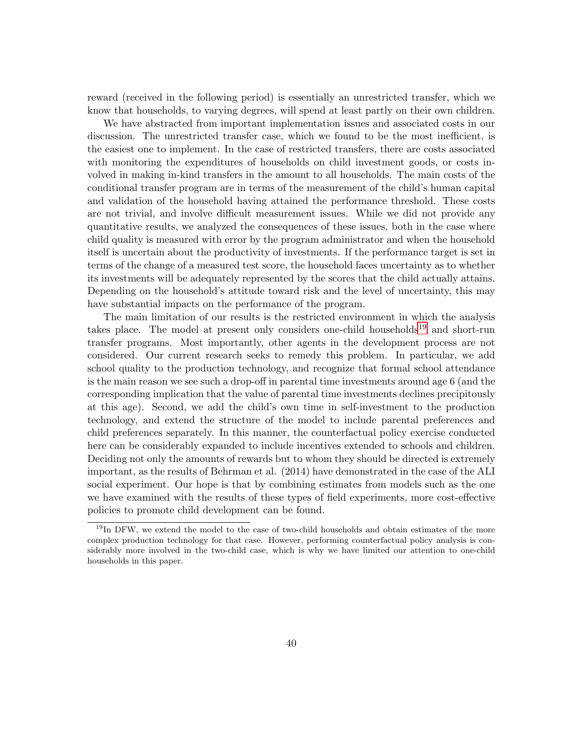reward (received in the following period) is essentially an unrestricted transfer, which we know that households, to varying degrees, will spend at least partly on their own children.

We have abstracted from important implementation issues and associated costs in our discussion. The unrestricted transfer case, which we found to be the most inefficient, is the easiest one to implement. In the case of restricted transfers, there are costs associated with monitoring the expenditures of households on child investment goods, or costs involved in making in-kind transfers in the amount to all households. The main costs of the conditional transfer program are in terms of the measurement of the child's human capital and validation of the household having attained the performance threshold. These costs are not trivial, and involve difficult measurement issues. While we did not provide any quantitative results, we analyzed the consequences of these issues, both in the case where child quality is measured with error by the program administrator and when the household itself is uncertain about the productivity of investments. If the performance target is set in terms of the change of a measured test score, the household faces uncertainty as to whether its investments will be adequately represented by the scores that the child actually attains. Depending on the household's attitude toward risk and the level of uncertainty, this may have substantial impacts on the performance of the program.

The main limitation of our results is the restricted environment in which the analysis takes place. The model at present only considers one-child households<sup>[19](#page-41-0)</sup> and short-run transfer programs. Most importantly, other agents in the development process are not considered. Our current research seeks to remedy this problem. In particular, we add school quality to the production technology, and recognize that formal school attendance is the main reason we see such a drop-off in parental time investments around age 6 (and the corresponding implication that the value of parental time investments declines precipitously at this age). Second, we add the child's own time in self-investment to the production technology, and extend the structure of the model to include parental preferences and child preferences separately. In this manner, the counterfactual policy exercise conducted here can be considerably expanded to include incentives extended to schools and children. Deciding not only the amounts of rewards but to whom they should be directed is extremely important, as the results of Behrman et al. (2014) have demonstrated in the case of the ALI social experiment. Our hope is that by combining estimates from models such as the one we have examined with the results of these types of field experiments, more cost-effective policies to promote child development can be found.

<span id="page-41-0"></span><sup>&</sup>lt;sup>19</sup>In DFW, we extend the model to the case of two-child households and obtain estimates of the more complex production technology for that case. However, performing counterfactual policy analysis is considerably more involved in the two-child case, which is why we have limited our attention to one-child households in this paper.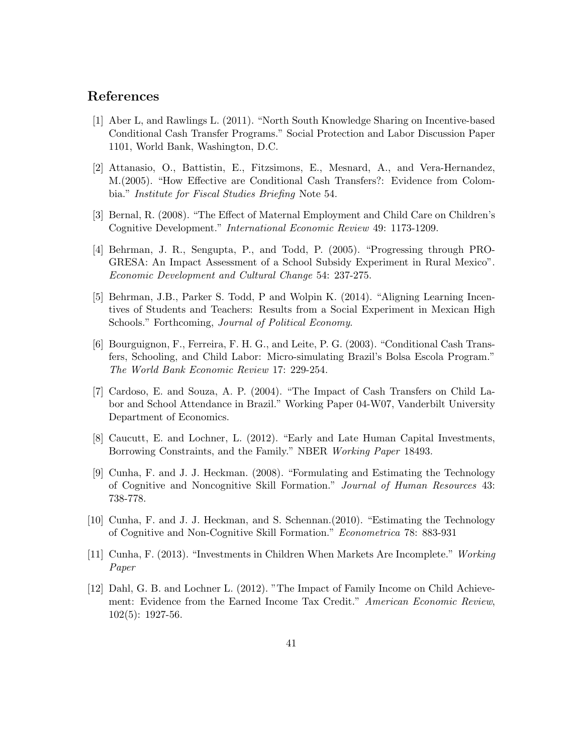### References

- [1] Aber L, and Rawlings L. (2011). "North South Knowledge Sharing on Incentive-based Conditional Cash Transfer Programs." Social Protection and Labor Discussion Paper 1101, World Bank, Washington, D.C.
- [2] Attanasio, O., Battistin, E., Fitzsimons, E., Mesnard, A., and Vera-Hernandez, M.(2005). "How Effective are Conditional Cash Transfers?: Evidence from Colombia." *Institute for Fiscal Studies Briefing* Note 54.
- [3] Bernal, R. (2008). "The Effect of Maternal Employment and Child Care on Children's Cognitive Development." *International Economic Review* 49: 1173-1209.
- [4] Behrman, J. R., Sengupta, P., and Todd, P. (2005). "Progressing through PRO-GRESA: An Impact Assessment of a School Subsidy Experiment in Rural Mexico". *Economic Development and Cultural Change* 54: 237-275.
- [5] Behrman, J.B., Parker S. Todd, P and Wolpin K. (2014). "Aligning Learning Incentives of Students and Teachers: Results from a Social Experiment in Mexican High Schools." Forthcoming, *Journal of Political Economy*.
- [6] Bourguignon, F., Ferreira, F. H. G., and Leite, P. G. (2003). "Conditional Cash Transfers, Schooling, and Child Labor: Micro-simulating Brazil's Bolsa Escola Program." *The World Bank Economic Review* 17: 229-254.
- [7] Cardoso, E. and Souza, A. P. (2004). "The Impact of Cash Transfers on Child Labor and School Attendance in Brazil." Working Paper 04-W07, Vanderbilt University Department of Economics.
- [8] Caucutt, E. and Lochner, L. (2012). "Early and Late Human Capital Investments, Borrowing Constraints, and the Family." NBER *Working Paper* 18493.
- [9] Cunha, F. and J. J. Heckman. (2008). "Formulating and Estimating the Technology of Cognitive and Noncognitive Skill Formation." *Journal of Human Resources* 43: 738-778.
- [10] Cunha, F. and J. J. Heckman, and S. Schennan.(2010). "Estimating the Technology of Cognitive and Non-Cognitive Skill Formation." *Econometrica* 78: 883-931
- [11] Cunha, F. (2013). "Investments in Children When Markets Are Incomplete." *Working Paper*
- [12] Dahl, G. B. and Lochner L. (2012). "The Impact of Family Income on Child Achievement: Evidence from the Earned Income Tax Credit." *American Economic Review*, 102(5): 1927-56.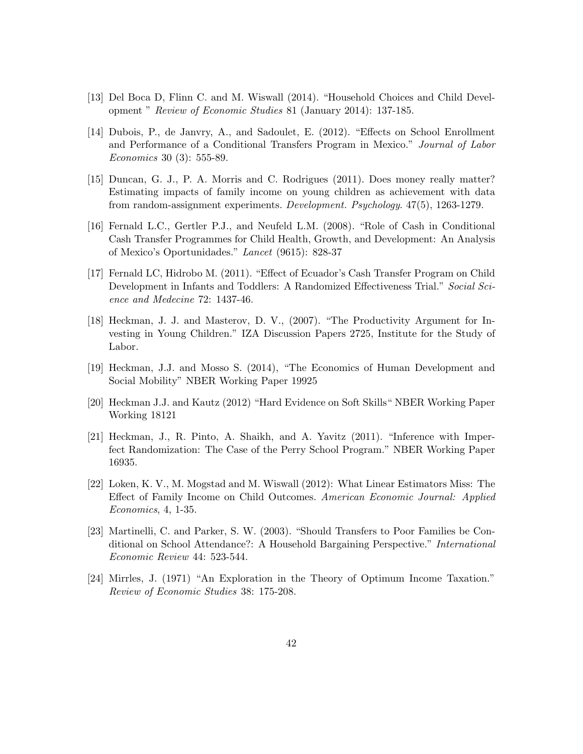- [13] Del Boca D, Flinn C. and M. Wiswall (2014). "Household Choices and Child Development " *Review of Economic Studies* 81 (January 2014): 137-185.
- [14] Dubois, P., de Janvry, A., and Sadoulet, E. (2012). "Effects on School Enrollment and Performance of a Conditional Transfers Program in Mexico." *Journal of Labor Economics* 30 (3): 555-89.
- [15] Duncan, G. J., P. A. Morris and C. Rodrigues (2011). Does money really matter? Estimating impacts of family income on young children as achievement with data from random-assignment experiments. *Development. Psychology*. 47(5), 1263-1279.
- [16] Fernald L.C., Gertler P.J., and Neufeld L.M. (2008). "Role of Cash in Conditional Cash Transfer Programmes for Child Health, Growth, and Development: An Analysis of Mexico's Oportunidades." *Lancet* (9615): 828-37
- [17] Fernald LC, Hidrobo M. (2011). "Effect of Ecuador's Cash Transfer Program on Child Development in Infants and Toddlers: A Randomized Effectiveness Trial." *Social Science and Medecine* 72: 1437-46.
- [18] Heckman, J. J. and Masterov, D. V., (2007). "The Productivity Argument for Investing in Young Children." IZA Discussion Papers 2725, Institute for the Study of Labor.
- [19] Heckman, J.J. and Mosso S. (2014), "The Economics of Human Development and Social Mobility" NBER Working Paper 19925
- [20] Heckman J.J. and Kautz (2012) "Hard Evidence on Soft Skills" NBER Working Paper Working 18121
- [21] Heckman, J., R. Pinto, A. Shaikh, and A. Yavitz (2011). "Inference with Imperfect Randomization: The Case of the Perry School Program." NBER Working Paper 16935.
- [22] Loken, K. V., M. Mogstad and M. Wiswall (2012): What Linear Estimators Miss: The Effect of Family Income on Child Outcomes. *American Economic Journal: Applied Economics*, 4, 1-35.
- [23] Martinelli, C. and Parker, S. W. (2003). "Should Transfers to Poor Families be Conditional on School Attendance?: A Household Bargaining Perspective." *International Economic Review* 44: 523-544.
- [24] Mirrles, J. (1971) "An Exploration in the Theory of Optimum Income Taxation." *Review of Economic Studies* 38: 175-208.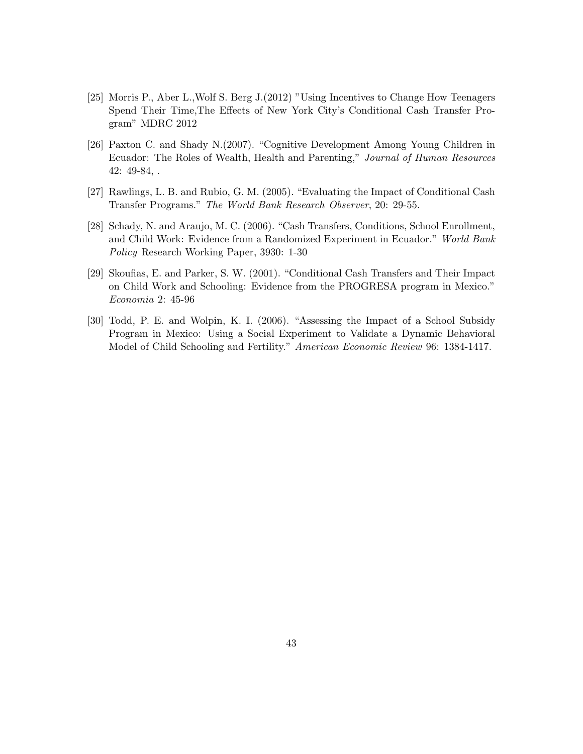- [25] Morris P., Aber L.,Wolf S. Berg J.(2012) "Using Incentives to Change How Teenagers Spend Their Time,The Effects of New York City's Conditional Cash Transfer Program" MDRC 2012
- [26] Paxton C. and Shady N.(2007). "Cognitive Development Among Young Children in Ecuador: The Roles of Wealth, Health and Parenting," *Journal of Human Resources* 42: 49-84, .
- [27] Rawlings, L. B. and Rubio, G. M. (2005). "Evaluating the Impact of Conditional Cash Transfer Programs." *The World Bank Research Observer*, 20: 29-55.
- [28] Schady, N. and Araujo, M. C. (2006). "Cash Transfers, Conditions, School Enrollment, and Child Work: Evidence from a Randomized Experiment in Ecuador." *World Bank Policy* Research Working Paper, 3930: 1-30
- [29] Skoufias, E. and Parker, S. W. (2001). "Conditional Cash Transfers and Their Impact on Child Work and Schooling: Evidence from the PROGRESA program in Mexico." *Economia* 2: 45-96
- [30] Todd, P. E. and Wolpin, K. I. (2006). "Assessing the Impact of a School Subsidy Program in Mexico: Using a Social Experiment to Validate a Dynamic Behavioral Model of Child Schooling and Fertility." *American Economic Review* 96: 1384-1417.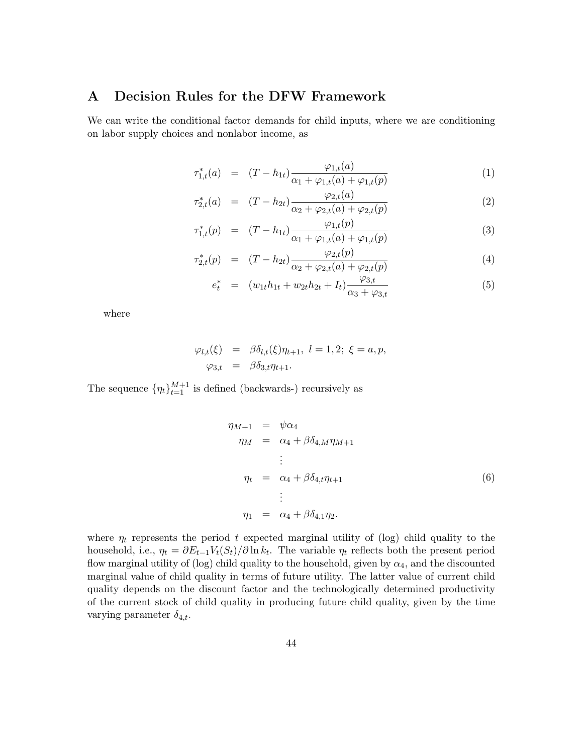# A Decision Rules for the DFW Framework

We can write the conditional factor demands for child inputs, where we are conditioning on labor supply choices and nonlabor income, as

<span id="page-45-0"></span>
$$
\tau_{1,t}^*(a) = (T - h_{1t}) \frac{\varphi_{1,t}(a)}{\alpha_1 + \varphi_{1,t}(a) + \varphi_{1,t}(p)}
$$
(1)

$$
\tau_{2,t}^*(a) = (T - h_{2t}) \frac{\varphi_{2,t}(a)}{\alpha_2 + \varphi_{2,t}(a) + \varphi_{2,t}(p)} \tag{2}
$$

$$
\tau_{1,t}^*(p) = (T - h_{1t}) \frac{\varphi_{1,t}(p)}{\alpha_1 + \varphi_{1,t}(a) + \varphi_{1,t}(p)}
$$
\n(3)

$$
\tau_{2,t}^*(p) = (T - h_{2t}) \frac{\varphi_{2,t}(p)}{\alpha_2 + \varphi_{2,t}(a) + \varphi_{2,t}(p)}
$$
\n(4)

$$
e_t^* = (w_{1t}h_{1t} + w_{2t}h_{2t} + I_t)\frac{\varphi_{3,t}}{\alpha_3 + \varphi_{3,t}}
$$
(5)

where

$$
\varphi_{l,t}(\xi) = \beta \delta_{l,t}(\xi) \eta_{t+1}, \ l = 1, 2; \ \xi = a, p,
$$
  

$$
\varphi_{3,t} = \beta \delta_{3,t} \eta_{t+1}.
$$

The sequence  $\{\eta_t\}_{t=1}^{M+1}$  is defined (backwards-) recursively as

$$
\eta_{M+1} = \psi \alpha_4
$$
  
\n
$$
\eta_M = \alpha_4 + \beta \delta_{4,M} \eta_{M+1}
$$
  
\n
$$
\vdots
$$
  
\n
$$
\eta_t = \alpha_4 + \beta \delta_{4,t} \eta_{t+1}
$$
  
\n
$$
\vdots
$$
  
\n
$$
\eta_1 = \alpha_4 + \beta \delta_{4,1} \eta_2.
$$
  
\n(6)

where  $\eta_t$  represents the period t expected marginal utility of (log) child quality to the household, i.e.,  $\eta_t = \partial E_{t-1} V_t(S_t) / \partial \ln k_t$ . The variable  $\eta_t$  reflects both the present period flow marginal utility of (log) child quality to the household, given by  $\alpha_4$ , and the discounted marginal value of child quality in terms of future utility. The latter value of current child quality depends on the discount factor and the technologically determined productivity of the current stock of child quality in producing future child quality, given by the time varying parameter  $\delta_{4,t}$ .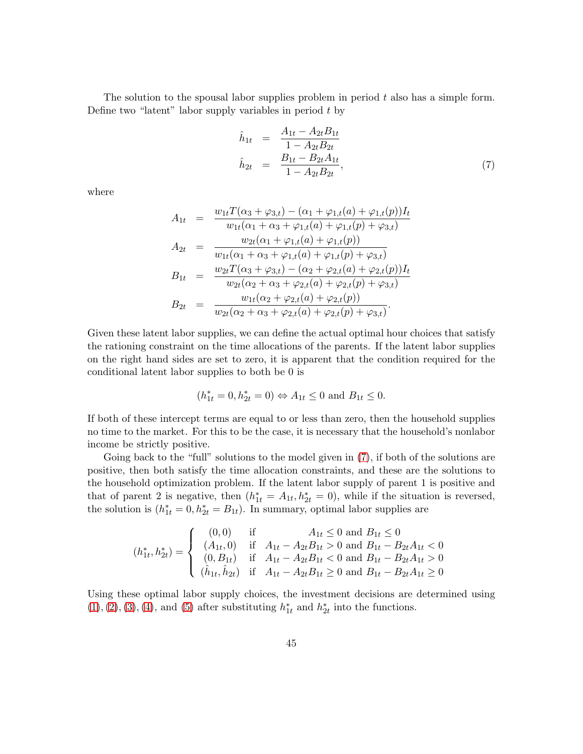The solution to the spousal labor supplies problem in period  $t$  also has a simple form. Define two "latent" labor supply variables in period  $t$  by

<span id="page-46-0"></span>
$$
\hat{h}_{1t} = \frac{A_{1t} - A_{2t}B_{1t}}{1 - A_{2t}B_{2t}} \n\hat{h}_{2t} = \frac{B_{1t} - B_{2t}A_{1t}}{1 - A_{2t}B_{2t}},
$$
\n(7)

where

$$
A_{1t} = \frac{w_{1t}T(\alpha_3 + \varphi_{3,t}) - (\alpha_1 + \varphi_{1,t}(a) + \varphi_{1,t}(p))I_t}{w_{1t}(\alpha_1 + \alpha_3 + \varphi_{1,t}(a) + \varphi_{1,t}(p) + \varphi_{3,t})}
$$
  
\n
$$
A_{2t} = \frac{w_{2t}(\alpha_1 + \varphi_{1,t}(a) + \varphi_{1,t}(p))}{w_{1t}(\alpha_1 + \alpha_3 + \varphi_{1,t}(a) + \varphi_{1,t}(p) + \varphi_{3,t})}
$$
  
\n
$$
B_{1t} = \frac{w_{2t}T(\alpha_3 + \varphi_{3,t}) - (\alpha_2 + \varphi_{2,t}(a) + \varphi_{2,t}(p))I_t}{w_{2t}(\alpha_2 + \alpha_3 + \varphi_{2,t}(a) + \varphi_{2,t}(p) + \varphi_{3,t})}
$$
  
\n
$$
B_{2t} = \frac{w_{1t}(\alpha_2 + \varphi_{2,t}(a) + \varphi_{2,t}(p))}{w_{2t}(\alpha_2 + \alpha_3 + \varphi_{2,t}(a) + \varphi_{2,t}(p) + \varphi_{3,t})}.
$$

Given these latent labor supplies, we can define the actual optimal hour choices that satisfy the rationing constraint on the time allocations of the parents. If the latent labor supplies on the right hand sides are set to zero, it is apparent that the condition required for the conditional latent labor supplies to both be 0 is

$$
(h_{1t}^* = 0, h_{2t}^* = 0) \Leftrightarrow A_{1t} \le 0
$$
 and  $B_{1t} \le 0$ .

If both of these intercept terms are equal to or less than zero, then the household supplies no time to the market. For this to be the case, it is necessary that the household's nonlabor income be strictly positive.

Going back to the "full" solutions to the model given in  $(7)$ , if both of the solutions are positive, then both satisfy the time allocation constraints, and these are the solutions to the household optimization problem. If the latent labor supply of parent 1 is positive and that of parent 2 is negative, then  $(h_{1t}^* = A_{1t}, h_{2t}^* = 0)$ , while if the situation is reversed, the solution is  $(h_{1t}^* = 0, h_{2t}^* = B_{1t})$ . In summary, optimal labor supplies are

$$
(h_{1t}^*, h_{2t}^*) = \begin{cases} (0,0) & \text{if } A_{1t} \le 0 \text{ and } B_{1t} \le 0\\ (A_{1t}, 0) & \text{if } A_{1t} - A_{2t}B_{1t} > 0 \text{ and } B_{1t} - B_{2t}A_{1t} < 0\\ (0, B_{1t}) & \text{if } A_{1t} - A_{2t}B_{1t} < 0 \text{ and } B_{1t} - B_{2t}A_{1t} > 0\\ (\hat{h}_{1t}, \hat{h}_{2t}) & \text{if } A_{1t} - A_{2t}B_{1t} \ge 0 \text{ and } B_{1t} - B_{2t}A_{1t} \ge 0 \end{cases}
$$

Using these optimal labor supply choices, the investment decisions are determined using  $(1), (2), (3), (4),$  $(1), (2), (3), (4),$  $(1), (2), (3), (4),$  $(1), (2), (3), (4),$  $(1), (2), (3), (4),$  $(1), (2), (3), (4),$  $(1), (2), (3), (4),$  $(1), (2), (3), (4),$  and  $(5)$  after substituting  $h_1^*$  $_{1t}^*$  and  $h_2^*$  $_{2t}^*$  into the functions.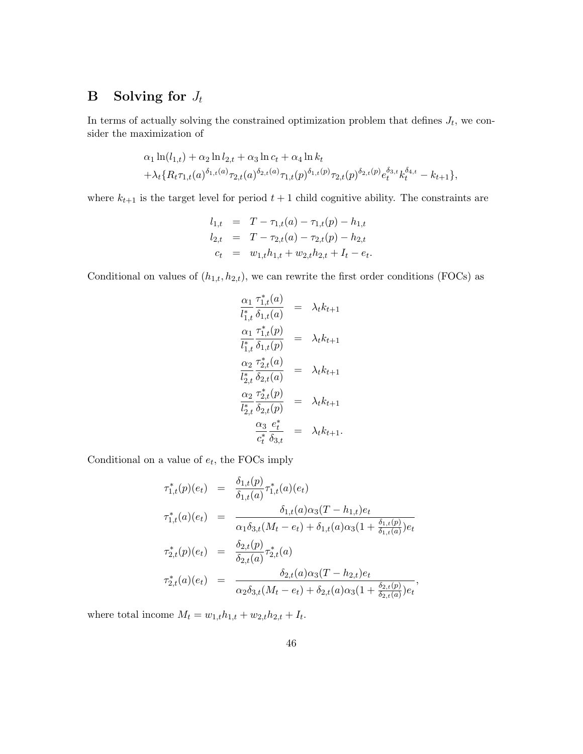# B Solving for  $J_t$

In terms of actually solving the constrained optimization problem that defines  $J_t$ , we consider the maximization of

$$
\alpha_1 \ln(l_{1,t}) + \alpha_2 \ln l_{2,t} + \alpha_3 \ln c_t + \alpha_4 \ln k_t + \lambda_t \{ R_t \tau_{1,t}(a)^{\delta_{1,t}(a)} \tau_{2,t}(a)^{\delta_{2,t}(a)} \tau_{1,t}(p)^{\delta_{1,t}(p)} \tau_{2,t}(p)^{\delta_{2,t}(p)} e_t^{\delta_{3,t}} k_t^{\delta_{4,t}} - k_{t+1} \},
$$

where  $k_{t+1}$  is the target level for period  $t+1$  child cognitive ability. The constraints are

$$
l_{1,t} = T - \tau_{1,t}(a) - \tau_{1,t}(p) - h_{1,t}
$$
  
\n
$$
l_{2,t} = T - \tau_{2,t}(a) - \tau_{2,t}(p) - h_{2,t}
$$
  
\n
$$
c_t = w_{1,t}h_{1,t} + w_{2,t}h_{2,t} + I_t - e_t.
$$

Conditional on values of  $(h_{1,t}, h_{2,t})$ , we can rewrite the first order conditions (FOCs) as

$$
\frac{\alpha_1}{l_{1,t}^*} \frac{\tau_{1,t}^*(a)}{\delta_{1,t}(a)} = \lambda_t k_{t+1}
$$
\n
$$
\frac{\alpha_1}{l_{1,t}^*} \frac{\tau_{1,t}^*(p)}{\delta_{1,t}(p)} = \lambda_t k_{t+1}
$$
\n
$$
\frac{\alpha_2}{l_{2,t}^*} \frac{\tau_{2,t}^*(a)}{\delta_{2,t}(a)} = \lambda_t k_{t+1}
$$
\n
$$
\frac{\alpha_2}{l_{2,t}^*} \frac{\tau_{2,t}^*(p)}{\delta_{2,t}(p)} = \lambda_t k_{t+1}
$$
\n
$$
\frac{\alpha_3}{c_t^*} \frac{e_t^*}{\delta_{3,t}} = \lambda_t k_{t+1}.
$$

Conditional on a value of  $e_t$ , the FOCs imply

$$
\tau_{1,t}^{*}(p)(e_{t}) = \frac{\delta_{1,t}(p)}{\delta_{1,t}(a)} \tau_{1,t}^{*}(a)(e_{t})
$$
\n
$$
\tau_{1,t}^{*}(a)(e_{t}) = \frac{\delta_{1,t}(a)\alpha_{3}(T - h_{1,t})e_{t}}{\alpha_{1}\delta_{3,t}(M_{t} - e_{t}) + \delta_{1,t}(a)\alpha_{3}(1 + \frac{\delta_{1,t}(p)}{\delta_{1,t}(a)})e_{t}}
$$
\n
$$
\tau_{2,t}^{*}(p)(e_{t}) = \frac{\delta_{2,t}(p)}{\delta_{2,t}(a)} \tau_{2,t}^{*}(a)
$$
\n
$$
\tau_{2,t}^{*}(a)(e_{t}) = \frac{\delta_{2,t}(a)\alpha_{3}(T - h_{2,t})e_{t}}{\alpha_{2}\delta_{3,t}(M_{t} - e_{t}) + \delta_{2,t}(a)\alpha_{3}(1 + \frac{\delta_{2,t}(p)}{\delta_{2,t}(a)})e_{t}},
$$

where total income  $M_t = w_{1,t} h_{1,t} + w_{2,t} h_{2,t} + I_t$ .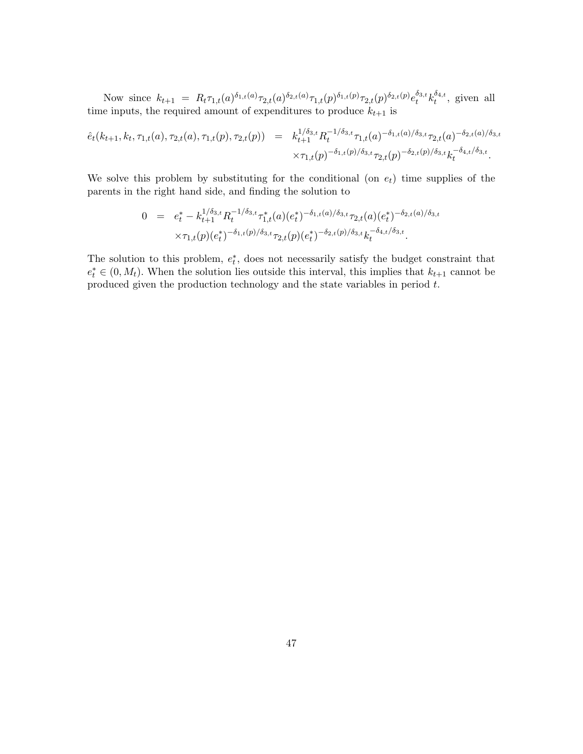Now since  $k_{t+1} = R_t \tau_{1,t}(a)^{\delta_{1,t}(a)} \tau_{2,t}(a)^{\delta_{2,t}(a)} \tau_{1,t}(p)^{\delta_{1,t}(p)} \tau_{2,t}(p)^{\delta_{2,t}(p)} e_t^{\delta_{3,t}}$  $_{t}^{\delta_{3,t}}k_{t}^{\delta_{4,t}}$  $t^{o_{4,t}}$ , given all time inputs, the required amount of expenditures to produce  $k_{t+1}$  is

$$
\hat{e}_t(k_{t+1}, k_t, \tau_{1,t}(a), \tau_{2,t}(a), \tau_{1,t}(p), \tau_{2,t}(p)) = k_{t+1}^{1/\delta_{3,t}} R_t^{-1/\delta_{3,t}} \tau_{1,t}(a)^{-\delta_{1,t}(a)/\delta_{3,t}} \tau_{2,t}(a)^{-\delta_{2,t}(a)/\delta_{3,t}} \times \tau_{1,t}(p)^{-\delta_{1,t}(p)/\delta_{3,t}} \tau_{2,t}(p)^{-\delta_{2,t}(p)/\delta_{3,t}} k_t^{-\delta_{4,t}/\delta_{3,t}}.
$$

We solve this problem by substituting for the conditional (on  $e_t$ ) time supplies of the parents in the right hand side, and finding the solution to

$$
0 = e_t^* - k_{t+1}^{1/\delta_{3,t}} R_t^{-1/\delta_{3,t}} \tau_{1,t}^*(a) (e_t^*)^{-\delta_{1,t}(a)/\delta_{3,t}} \tau_{2,t}(a) (e_t^*)^{-\delta_{2,t}(a)/\delta_{3,t}} \times \tau_{1,t}(p) (e_t^*)^{-\delta_{1,t}(p)/\delta_{3,t}} \tau_{2,t}(p) (e_t^*)^{-\delta_{2,t}(p)/\delta_{3,t}} k_t^{-\delta_{4,t}/\delta_{3,t}}.
$$

The solution to this problem,  $e_t^*$ , does not necessarily satisfy the budget constraint that  $e_t^* \in (0, M_t)$ . When the solution lies outside this interval, this implies that  $k_{t+1}$  cannot be produced given the production technology and the state variables in period t.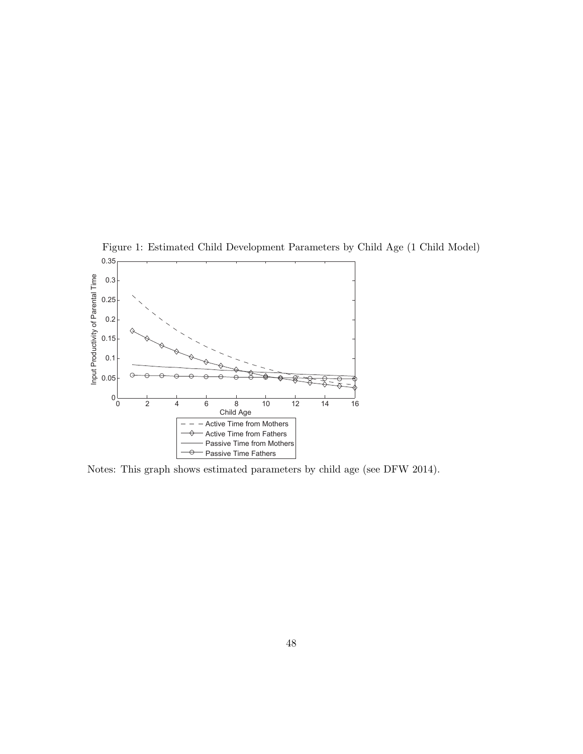

<span id="page-49-0"></span>Figure 1: Estimated Child Development Parameters by Child Age (1 Child Model)

Notes: This graph shows estimated parameters by child age (see DFW 2014).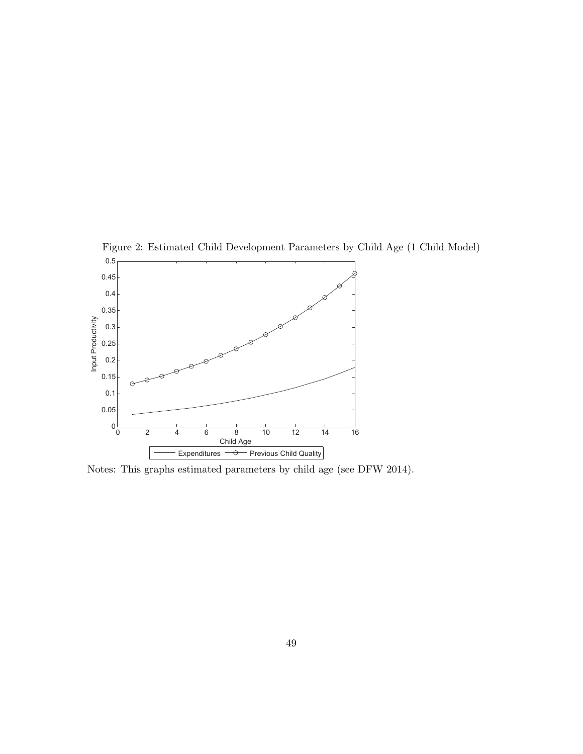

<span id="page-50-0"></span>Figure 2: Estimated Child Development Parameters by Child Age (1 Child Model)

Notes: This graphs estimated parameters by child age (see DFW 2014).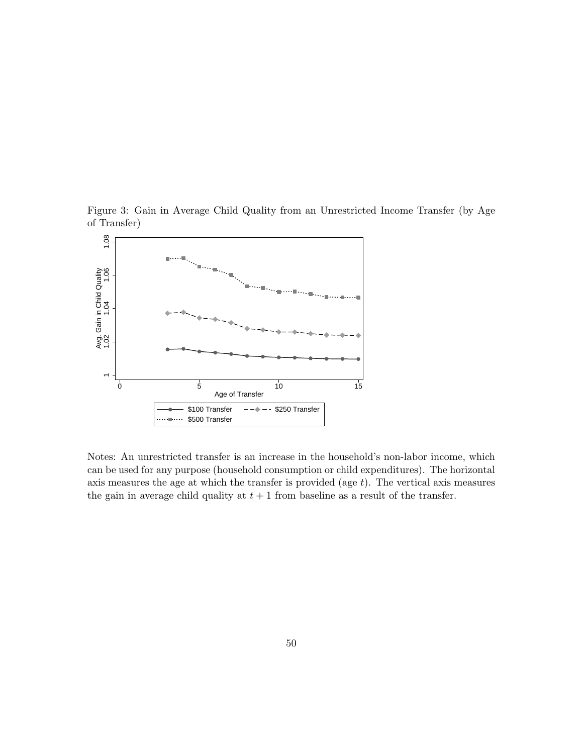<span id="page-51-0"></span>Figure 3: Gain in Average Child Quality from an Unrestricted Income Transfer (by Age of Transfer)



Notes: An unrestricted transfer is an increase in the household's non-labor income, which can be used for any purpose (household consumption or child expenditures). The horizontal axis measures the age at which the transfer is provided (age  $t$ ). The vertical axis measures the gain in average child quality at  $t + 1$  from baseline as a result of the transfer.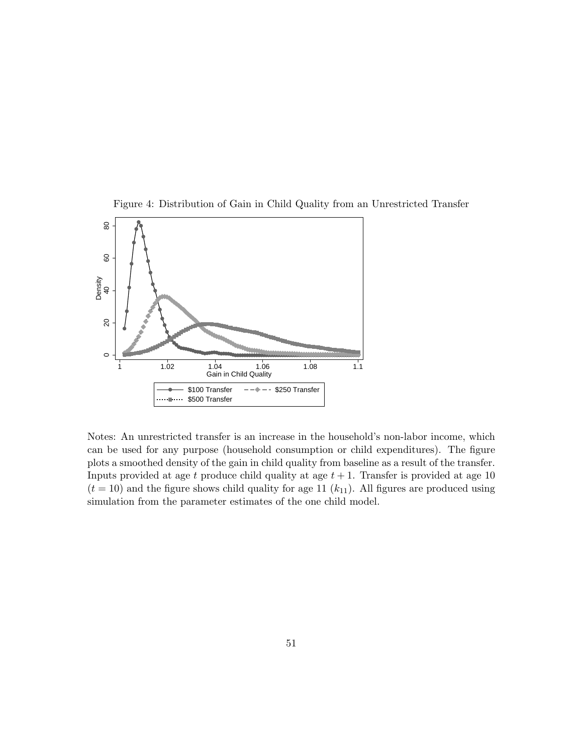

<span id="page-52-0"></span>Figure 4: Distribution of Gain in Child Quality from an Unrestricted Transfer

Notes: An unrestricted transfer is an increase in the household's non-labor income, which can be used for any purpose (household consumption or child expenditures). The figure plots a smoothed density of the gain in child quality from baseline as a result of the transfer. Inputs provided at age t produce child quality at age  $t + 1$ . Transfer is provided at age 10  $(t = 10)$  and the figure shows child quality for age 11  $(k_{11})$ . All figures are produced using simulation from the parameter estimates of the one child model.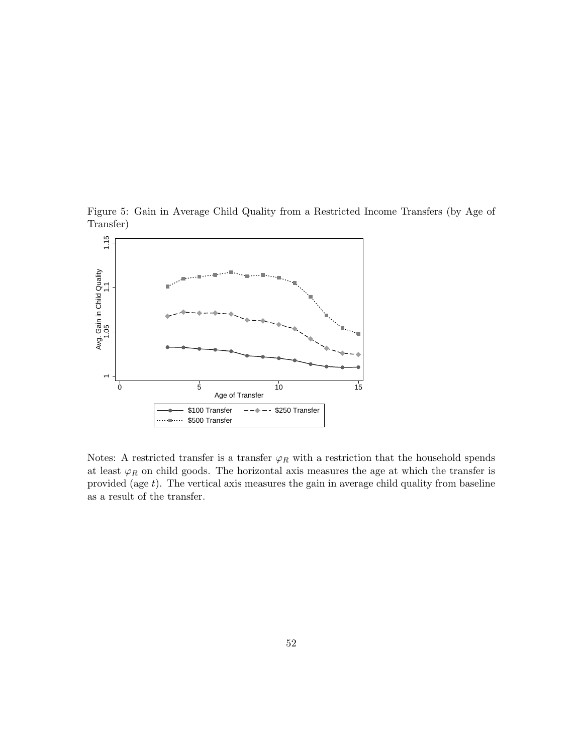<span id="page-53-0"></span>Figure 5: Gain in Average Child Quality from a Restricted Income Transfers (by Age of Transfer)



Notes: A restricted transfer is a transfer  $\varphi_R$  with a restriction that the household spends at least  $\varphi_R$  on child goods. The horizontal axis measures the age at which the transfer is provided (age  $t$ ). The vertical axis measures the gain in average child quality from baseline as a result of the transfer.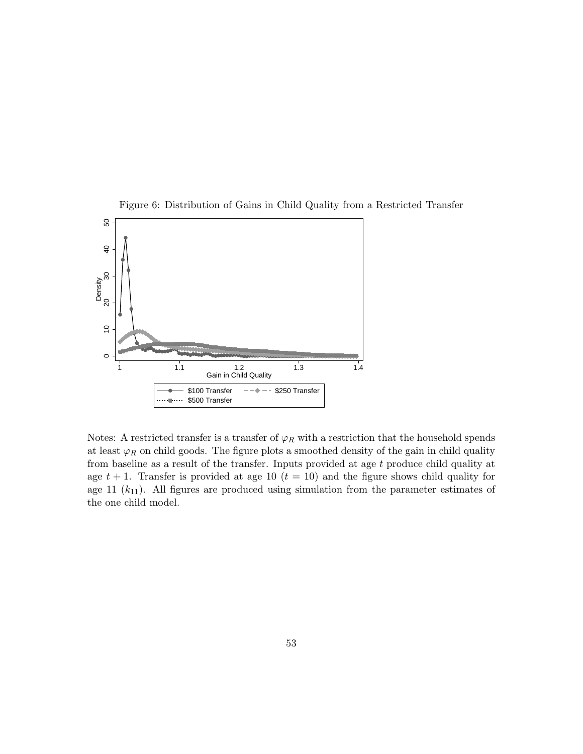

<span id="page-54-0"></span>Figure 6: Distribution of Gains in Child Quality from a Restricted Transfer

Notes: A restricted transfer is a transfer of  $\varphi_R$  with a restriction that the household spends at least  $\varphi_R$  on child goods. The figure plots a smoothed density of the gain in child quality from baseline as a result of the transfer. Inputs provided at age t produce child quality at age  $t + 1$ . Transfer is provided at age 10  $(t = 10)$  and the figure shows child quality for age 11  $(k_{11})$ . All figures are produced using simulation from the parameter estimates of the one child model.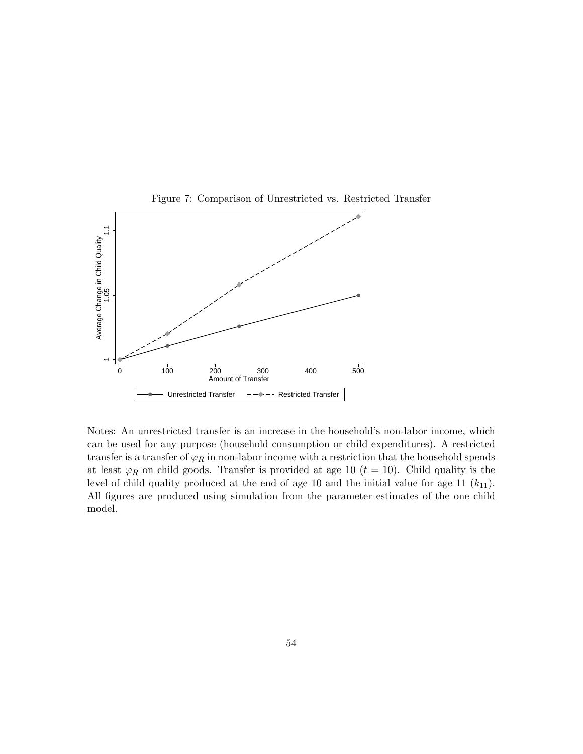

<span id="page-55-0"></span>Figure 7: Comparison of Unrestricted vs. Restricted Transfer

Notes: An unrestricted transfer is an increase in the household's non-labor income, which can be used for any purpose (household consumption or child expenditures). A restricted transfer is a transfer of  $\varphi_R$  in non-labor income with a restriction that the household spends at least  $\varphi_R$  on child goods. Transfer is provided at age 10 ( $t = 10$ ). Child quality is the level of child quality produced at the end of age 10 and the initial value for age 11  $(k_{11})$ . All figures are produced using simulation from the parameter estimates of the one child model.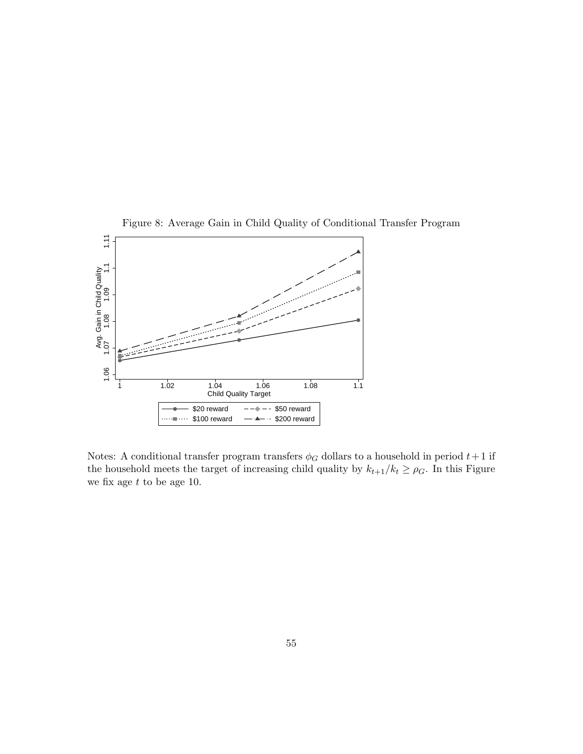

<span id="page-56-0"></span>Figure 8: Average Gain in Child Quality of Conditional Transfer Program

Notes: A conditional transfer program transfers  $\phi_G$  dollars to a household in period  $t+1$  if the household meets the target of increasing child quality by  $k_{t+1}/k_t \geq \rho_G$ . In this Figure we fix age  $t$  to be age 10.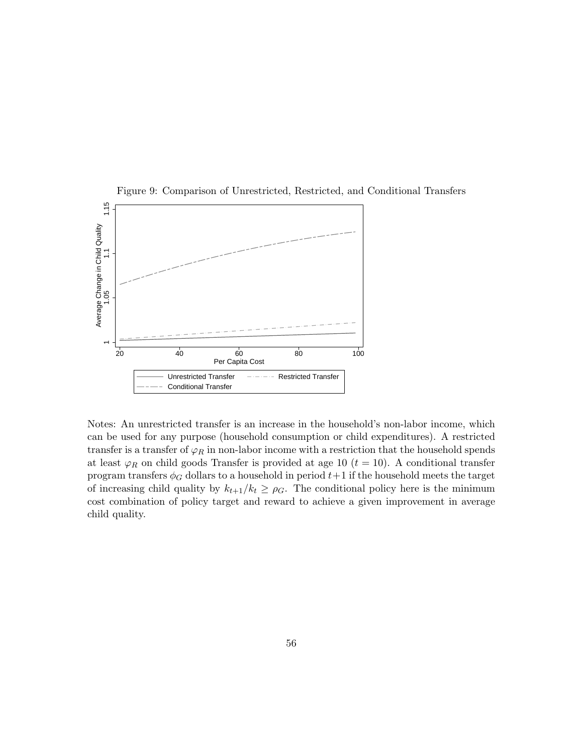

<span id="page-57-0"></span>Figure 9: Comparison of Unrestricted, Restricted, and Conditional Transfers

Notes: An unrestricted transfer is an increase in the household's non-labor income, which can be used for any purpose (household consumption or child expenditures). A restricted transfer is a transfer of  $\varphi_R$  in non-labor income with a restriction that the household spends at least  $\varphi_R$  on child goods Transfer is provided at age 10 ( $t = 10$ ). A conditional transfer program transfers  $\phi_G$  dollars to a household in period  $t+1$  if the household meets the target of increasing child quality by  $k_{t+1}/k_t \geq \rho_G$ . The conditional policy here is the minimum cost combination of policy target and reward to achieve a given improvement in average child quality.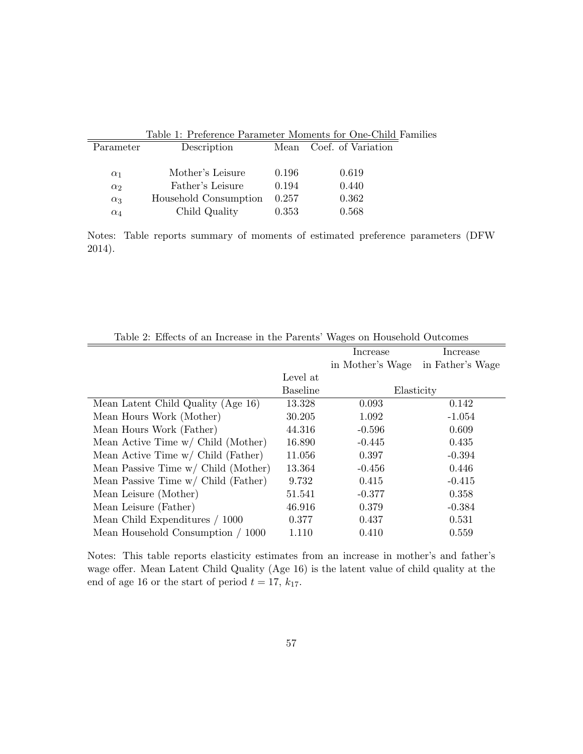<span id="page-58-0"></span>

| Table 1: Preference Parameter Moments for One-Child Families |                       |       |                         |  |  |  |  |
|--------------------------------------------------------------|-----------------------|-------|-------------------------|--|--|--|--|
| Parameter                                                    | Description           |       | Mean Coef. of Variation |  |  |  |  |
|                                                              |                       |       |                         |  |  |  |  |
| $\alpha_1$                                                   | Mother's Leisure      | 0.196 | 0.619                   |  |  |  |  |
| $\alpha_2$                                                   | Father's Leisure      | 0.194 | 0.440                   |  |  |  |  |
| $\alpha_3$                                                   | Household Consumption | 0.257 | 0.362                   |  |  |  |  |
| $\alpha_4$                                                   | Child Quality         | 0.353 | 0.568                   |  |  |  |  |

Notes: Table reports summary of moments of estimated preference parameters (DFW 2014).

| Table 2. Effects of all flictease in the Farents Wages on Household Outcomes |
|------------------------------------------------------------------------------|
| Increase<br>Increase                                                         |
| in Mother's Wage<br>in Father's Wage                                         |
| Level at                                                                     |
| <b>Baseline</b><br>Elasticity                                                |
| Mean Latent Child Quality (Age 16)<br>13.328<br>0.093<br>0.142               |
| 1.092<br>Mean Hours Work (Mother)<br>30.205<br>$-1.054$                      |
| 0.609<br>Mean Hours Work (Father)<br>44.316<br>$-0.596$                      |
| Mean Active Time $w/$ Child (Mother)<br>0.435<br>16.890<br>$-0.445$          |
| Mean Active Time $w /$ Child (Father)<br>11.056<br>0.397<br>$-0.394$         |
| 0.446<br>Mean Passive Time $w /$ Child (Mother)<br>$-0.456$<br>13.364        |
| Mean Passive Time w/ Child (Father)<br>0.415<br>$-0.415$<br>9.732            |
| 0.358<br>51.541<br>$-0.377$                                                  |
| 46.916<br>0.379<br>$-0.384$                                                  |
| 0.531<br>Mean Child Expenditures / 1000<br>0.437<br>0.377                    |
| 0.410<br>0.559<br>Mean Household Consumption / 1000<br>1.110                 |
|                                                                              |

Table 2: Effects of an Increase in the Parents' Wages on Household Outcomes

Notes: This table reports elasticity estimates from an increase in mother's and father's wage offer. Mean Latent Child Quality (Age 16) is the latent value of child quality at the end of age 16 or the start of period  $t = 17$ ,  $k_{17}$ .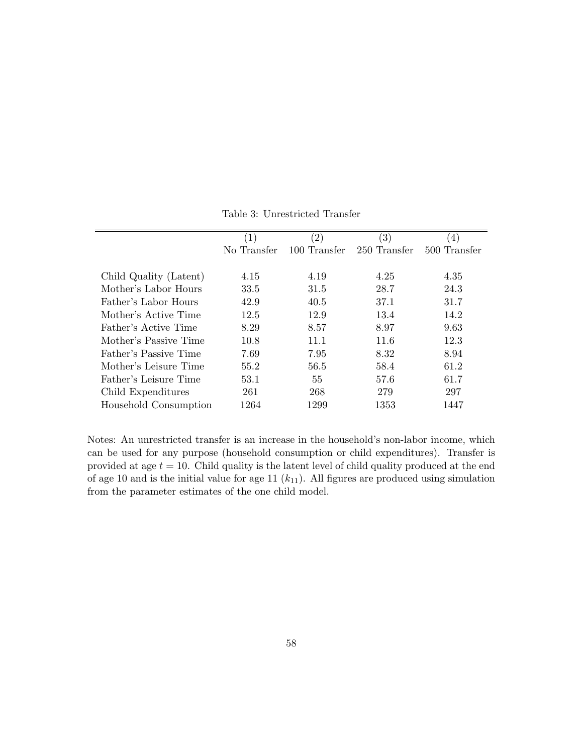|                        | $\left( 1\right)$ | $\left( 2\right)$ | $\left(3\right)$ | $\left(4\right)$ |
|------------------------|-------------------|-------------------|------------------|------------------|
|                        | No Transfer       | 100 Transfer      | 250 Transfer     | 500 Transfer     |
|                        |                   |                   |                  |                  |
| Child Quality (Latent) | 4.15              | 4.19              | 4.25             | 4.35             |
| Mother's Labor Hours   | 33.5              | 31.5              | 28.7             | 24.3             |
| Father's Labor Hours   | 42.9              | 40.5              | 37.1             | 31.7             |
| Mother's Active Time   | 12.5              | 12.9              | 13.4             | 14.2             |
| Father's Active Time   | 8.29              | 8.57              | 8.97             | 9.63             |
| Mother's Passive Time  | 10.8              | 11.1              | 11.6             | 12.3             |
| Father's Passive Time  | 7.69              | 7.95              | 8.32             | 8.94             |
| Mother's Leisure Time  | 55.2              | 56.5              | 58.4             | 61.2             |
| Father's Leisure Time  | 53.1              | 55                | 57.6             | 61.7             |
| Child Expenditures     | 261               | 268               | 279              | 297              |
| Household Consumption  | 1264              | 1299              | 1353             | 1447             |

<span id="page-59-0"></span>Table 3: Unrestricted Transfer

Notes: An unrestricted transfer is an increase in the household's non-labor income, which can be used for any purpose (household consumption or child expenditures). Transfer is provided at age  $t = 10$ . Child quality is the latent level of child quality produced at the end of age 10 and is the initial value for age 11  $(k_{11})$ . All figures are produced using simulation from the parameter estimates of the one child model.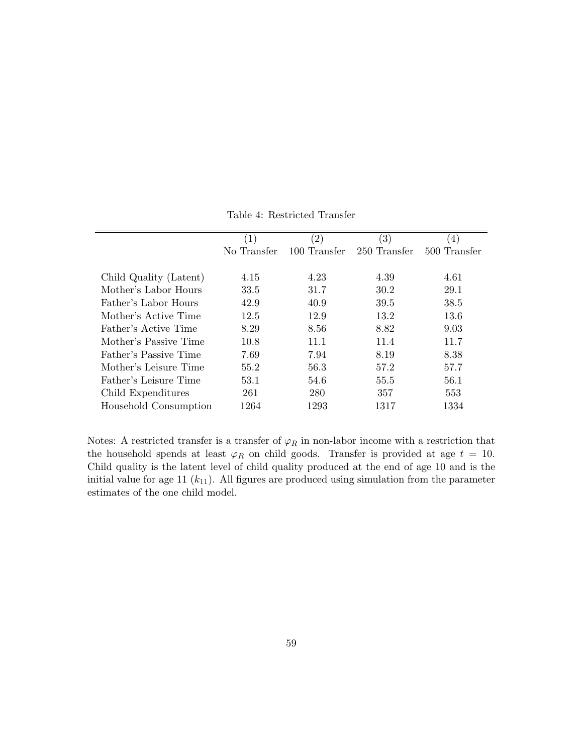|                        | $\left(1\right)$ | $\left( 2\right)$ | $\left( 3\right)$ | $\left( 4\right)$ |
|------------------------|------------------|-------------------|-------------------|-------------------|
|                        | No Transfer      | 100 Transfer      | 250 Transfer      | 500 Transfer      |
|                        |                  |                   |                   |                   |
| Child Quality (Latent) | 4.15             | 4.23              | 4.39              | 4.61              |
| Mother's Labor Hours   | 33.5             | 31.7              | 30.2              | 29.1              |
| Father's Labor Hours   | 42.9             | 40.9              | 39.5              | 38.5              |
| Mother's Active Time   | 12.5             | 12.9              | 13.2              | 13.6              |
| Father's Active Time   | 8.29             | 8.56              | 8.82              | 9.03              |
| Mother's Passive Time  | 10.8             | 11.1              | 11.4              | 11.7              |
| Father's Passive Time  | 7.69             | 7.94              | 8.19              | 8.38              |
| Mother's Leisure Time  | 55.2             | 56.3              | 57.2              | 57.7              |
| Father's Leisure Time  | 53.1             | 54.6              | 55.5              | 56.1              |
| Child Expenditures     | 261              | 280               | 357               | 553               |
| Household Consumption  | 1264             | 1293              | 1317              | 1334              |

<span id="page-60-0"></span>Table 4: Restricted Transfer

Notes: A restricted transfer is a transfer of  $\varphi_R$  in non-labor income with a restriction that the household spends at least  $\varphi_R$  on child goods. Transfer is provided at age  $t = 10$ . Child quality is the latent level of child quality produced at the end of age 10 and is the initial value for age 11  $(k_{11})$ . All figures are produced using simulation from the parameter estimates of the one child model.